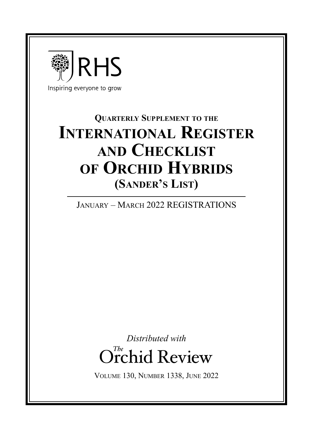

# **Quarterly Supplement to the International Register and Checklist of Orchid Hybrids (Sander's List)**

January – March 2022 REGISTRATIONS

*Distributed with* Orchid Review *The*

Volume 130, Number 1338, June 2022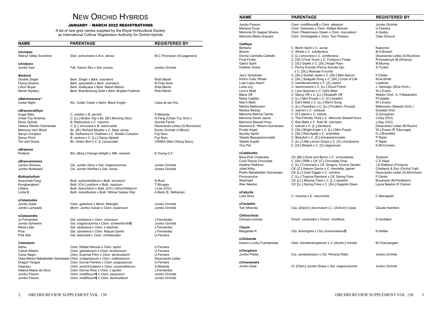## NEW ORCHID HYBRIDS

### JANUARY – MARCH 2022 REGISTRATIONS

A list of new grex names supplied by the Royal Horticultural Society as International Cultivar Registration Authority for Orchid Hybrids

| NAME                     | <b>PARENTAGE</b>                                                        | <b>REGISTERED BY</b>         |
|--------------------------|-------------------------------------------------------------------------|------------------------------|
|                          |                                                                         |                              |
| xAciopea                 |                                                                         |                              |
| Walnut Valley Sunshine   | Stan. jenischiana x Acn. densa                                          | M.C.Thompson (Ecuagenera)    |
| xAndyara                 |                                                                         |                              |
| Jumbo Sao                | Fdk. Saturn Sky x Gal. juncea                                           | Jumbo Orchids                |
| <b>Barkeria</b>          |                                                                         |                              |
| Double Zinger            | Bark. Zinger x Bark. scandens                                           | Robt.Marsh                   |
| <b>Flying Dreams</b>     | Bark. spectabilis x Bark. scandens                                      | R.Frias Solis                |
| Lilium Bryan             | Bark. lindleyana x Bark. Marsh Melton                                   | Robt.Marsh                   |
| Marsh Mystery            | Bark. Brandenburg Gold x Bark. Brigitte Foellmer                        | Robt.Marsh                   |
| xBatchmanara*            |                                                                         |                              |
| Cedar Night              | Atc. Cedar Creek x Gptm. Black Knight                                   | Casa de las Orq.             |
| xBrassocattleya          |                                                                         |                              |
| <b>Angel Siles</b>       | C. nobilior x B. perrinii                                               | A.Miranda                    |
| Chian-Tzy Anierina       | C. [Lc.] Button Top x Bc. [Bl.] Morning Glory                           | N.Fang (Chian-Tzy Orch.)     |
| Ekolu Quintal            | B. Rediculous x C. maxima                                               | <b>Quintal Farms</b>         |
| Helena Ribeiro Guimaraes | C. [L.] sincorana x B. tuberculata                                      | Deusvando Leitao (G.Munchow) |
| Memoria Vern Bloch       | Bc. [Bl.] Richard Mueller x C. Mark Jones                               | Exotic Orchids (V.Bloch)     |
| Sanyo Compton            | Bc. Katherine H. Chatham x C. Shellie Compton                           | Fuji Nurs.                   |
| Sanyo Point              | B. nodosa x C. [Lc.] Sanyo Splash                                       | Fuji Nurs.                   |
| Tim and Grace            | Bc. Green Bird x C. [L.] purpurata                                      | OSSEA (Neo Cheng Soon)       |
|                          |                                                                         |                              |
| xBratonia<br>Roderie     | Brs. [Brsa.] Orange Delight x Milt. clowesii                            | E. Young O.F.                |
|                          |                                                                         |                              |
| xBrescansinara           |                                                                         |                              |
| Jumbo Glorious           | Clo. Jumbo Glory x Gal. magnicolumna                                    | Jumbo Orchids                |
| Jumbo Northeast          | Clo. Jumbo Northen x Gal. minax                                         | Jumbo Orchids                |
| <b>Bulbophyllum</b>      |                                                                         |                              |
| Anaconda Fang            | Bulb. subumbellatum x Bulb. ericssonii                                  | N.Rust                       |
| Kongbangkerd             | Bulb. [Cirr.] putidum x Bulb. nasutum                                   | T.Wongsa                     |
| Lilliana                 | Bulb. lasiochilum x Bulb. [Cirr.] rothschildianum                       | J.Lee (O/U)                  |
| Linda B                  | Bulb. mandibulare x Bulb. Wilmar Galaxy Star                            | A.Beck (E. Beltrame)         |
| <b>xCatamodes</b>        |                                                                         |                              |
| Jumbo Galer              | Ctsm. galeritum x Morm. Midnight                                        | Jumbo Orchids                |
| Jumbo Lampads            | Morm. Jumbo Vulcan x Ctsm. expansum                                     | Jumbo Orchids                |
| xCatasandra              |                                                                         |                              |
| Ju Fernandes             | Gal. santarena x Ctsm. vinaceum                                         | J.Fernández                  |
| Jumbo Schwerin           | Gal. magnicolumna x Ctsm. schweinfurthii¶                               | Jumbo Orchids                |
| Maria Leão               | Gal. santarena x Ctsm. x dasilvae                                       | J.Fernández                  |
| Pina                     | Gal. santarena x Ctsm. Raquel Garlini                                   | J.Fernández                  |
| Pink Star                | Gal. blanchetii x Ctsm. cirrhaeoides                                    | U.Ferreira                   |
| <b>Catasetum</b>         |                                                                         |                              |
| Alpha                    | Ctsm. Rafael Wenzel x Ctsm. spitzii                                     | U.Ferreira                   |
| Carlos Alberto           | Ctsm. gladiatorium x Ctsm. tenebrosum                                   | U.Ferreira                   |
| Cisne Negro              | Ctsm. Eusimar Filho x Ctsm. denticulatum                                | U.Ferreira                   |
|                          | Clara Menen Nahabedian Guimaraes Ctsm. rodigasianum x Ctsm. mattosianum | Deusvando Leitao             |
| Dragon Tongue            | Ctsm. Durval Ferreira x Ctsm. parguazense                               | U.Ferreira                   |
| Gwarayu                  | Ctsm. semicirculatum x Ctsm. rooseveltianum                             | A.Miranda                    |
| Helena Matos da Silva    | Ctsm. Donna Wise x Ctsm. x apolloi                                      | J.Fernández                  |
| Jumbo Fission            | Ctsm. multifissum¶ x Ctsm. expansum                                     | Jumbo Orchids                |
| Jumbo Fissum             | Ctsm. multifissum¶ x Ctsm. denticulatum                                 | Jumbo Orchids                |
|                          |                                                                         |                              |

| <b>NAME</b>                              | <b>PARENTAGE</b>                                                                              | <b>REGISTERED BY</b>                     |
|------------------------------------------|-----------------------------------------------------------------------------------------------|------------------------------------------|
| Jumbo Fissure                            | Ctsm. multifissum¶ x Ctsm. pileatum                                                           | Jumbo Orchids                            |
| Mariana Fiuza                            | Ctsm. Darkness x Ctsm. Rafael Wenzel                                                          | U.Ferreira                               |
| Memoria Dr Gaspar Silvera                | Ctsm. Pileabrosum Green x Ctsm. maculatum                                                     | A.Godoy                                  |
| Memoria Maria Graziani                   | Ctsm. Orchidglade x Ctsm. Tom Pickens                                                         | Cleto Simone                             |
| Cattleya                                 |                                                                                               |                                          |
| Berliana                                 | C. Berlin Spirit x C. aurea                                                                   | Kaessner                                 |
| <b>Bravim</b>                            | C. Whitei x C. schilleriana                                                                   | M.A.Bravim                               |
| Donna Carmella Carballo                  | C. [L.] sincorana x C. schilleriana                                                           | Deusvando Leitao (G.Muchow)              |
| <b>Final Finale</b>                      | C. [Slc.] Final Touch x C. Fordyce's Finale                                                   | R.Kowalczyk (B.Oliveros)                 |
| Gaia's Spirit                            | C. [SI.] Orpetii x C. [SIc.] Angel Flare                                                      | M.Murray                                 |
| <b>Heather Grace</b>                     | C. Penny Kuroda (Penny Kuroda Gp)<br>x C. [S/c.] Redvale Fuschia                              | S.Tucker                                 |
| Jay's Temptress                          | C. [Slc.] Scarlet Jewel x C. [Slc.] Mini Apricot                                              | F.Clarke                                 |
| Krull's Color Wheel                      | C. [S/c.] Seagulls Song x C. [S/c.] Circle of Life                                            | Krull-Smith                              |
| Lues Lippy Alaorii                       | C. lueddemanniana x C. [S.] alaorii                                                           | Luetticke                                |
| Luisa Joy                                | C. lawrenceana x C. [Lc.] Good Friend                                                         | J. Santiago (Silva Orch.)                |
| Lynn's Maid                              | C. Lynn Spencer x C. Dal's Maid                                                               | W.J.Evans                                |
| Maria Off                                | C. Nancy Off x C. [Lc.] Elizabeth Off                                                         | Waldor Orch. (L.Y.Nakanishi)             |
| Marie Cataldo                            | C. [Lc.] Mini Purple x C. [S.] bicalhoi                                                       | P.Cataldo                                |
| Mari's Maid                              | C. Dal's Maid x C. [Lc.] Mari's Song                                                          | W.J.Evans                                |
| Marthe Methmann<br><b>Medios Beauty</b>  | C. [Lc.] Paradisio x C. [Lc.] Florália's Triumph<br>C. warneri x C. violacea                  | Methmann (Stewart Orch.)<br>Suwada Orch. |
| Memoria Marina Camilo                    | C. [S.] alaorii x C. luteola                                                                  | G.Goncalves                              |
| Memoria Sarah Jayne                      | C. The Friendly Third x C. Memoria Stewart Knox                                               | J.Gay(O/U)                               |
| Memoria Stewart Knox                     | C. Bob Betts x C. Ruth M. Johnston                                                            | J.Gay (O/U)                              |
| Nicanora E. Ribeiro Guimaraes            | C. luteola x C. [L.] itambana                                                                 | Deusvando Leitao (M.Rosim)               |
| Purple Angel                             | C. [S/c.] Bright Angel x C. [Lc.] Mini Purple                                                 | W.J.Evans (R.Tokunaga)                   |
| <b>Spunky Spots</b>                      | C. [SIc.] Red Agate x C. aclandiae                                                            | O.J.Bromfield                            |
| Teipels Beaupedunculata                  | C. Beaufort x C. [S.] brevipedunculata                                                        | P.Teipel                                 |
| <b>Teipels Kupfer</b>                    | C. [Lc.] Little Lemon Drops x C. [S.] cinnabarina                                             | P.Teipel<br>K.McCracken                  |
| <b>Tiny Pet</b>                          | C. [SI.] Minipet x C. [S.] alagoensis                                                         |                                          |
| xCattlianthe                             |                                                                                               |                                          |
| Biwa Pink Cinderella                     | Ctt. [Blc.] Doris and Byron x C. schroederae                                                  | Tsutsumi                                 |
| Color Dance Chocolate<br>Heather Rathbun | C. [SIc.] Riffe x Ctt. [C.] Chocolate Drop<br>C. [Lc.] Culminant x Ctt. Gregory Tyrome Darden | C.E.Haas<br>J.E.Rathbun (Fordyce)        |
| Juliet Kirby                             | Ctt. [C.] Helene Garcia x C. Henrietta Japhet                                                 | Chadwick & Son (Orchid Trail)            |
| Pedro Nahabedian Guimaraes               | Ctt. [Lc.] Gold Digger x C. velutina                                                          | Deusvando Leitao (G.Munchow)             |
| Pyrocumulus                              | C. [Lc.] Tropical Rainbow x Ctt. Spring Fires                                                 | F.Clarke                                 |
| Starbright                               | Ctt. [Lc.] Blazing Treat x C. [L.] rupestris                                                  | Brookside (M.Pendleton)                  |
| Wes Newton                               | Ctt. [Lc.] Spring Fires x C. [S/c.] Kagaribi Dawn                                             | Laura Newton (F.Clarke)                  |
| xCatyclia                                |                                                                                               |                                          |
| Luke Sims                                | C. maxima x E. macrochila                                                                     | C.Maciejeski                             |
| xCaulaelia                               |                                                                                               |                                          |
| Tom Mirenda                              | Cau. [Diacm.] bicornutum x L. [Schom.] rosea                                                  | <b>Claude Hamilton</b>                   |
| Chiloschista                             |                                                                                               |                                          |
| Oompa-Loompa                             | Chsch. usneoides x Chsch. viridiflava                                                         | D.Goddard                                |
| <b>Chysis</b><br>Margarete K             | Chy. limminghei x Chy. bruennowiana¶                                                          | K.Kettler                                |
|                                          |                                                                                               |                                          |
| xCleisanda<br>Kasorn Lovely Fuersteniata | Cleis. fuerstenbergianum x V. [Asctm.] miniata                                                | M.Chanyangam                             |
|                                          |                                                                                               |                                          |
| xCloughara<br>Jumbo Pallas               | Cyc. pentadactylon x Clo. Penang Waltz                                                        | Jumbo Orchids                            |
| <b>xCloweandra</b>                       |                                                                                               |                                          |
| Jumbo Gaia                               | Cl. [Ctsm.] Jumbo Grace x Gal. magnicolumna                                                   | Jumbo Orchids                            |
|                                          |                                                                                               |                                          |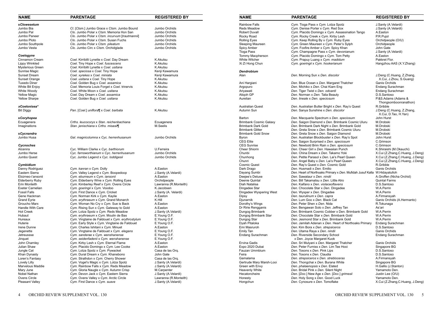| <b>NAME</b>             | <b>PARENTAGE</b>                                | <b>REGISTERED BY</b>  | <b>NAME</b>                   | <b>PARENTAGE</b>                                           | <b>REGISTERED BY</b>                           |
|-------------------------|-------------------------------------------------|-----------------------|-------------------------------|------------------------------------------------------------|------------------------------------------------|
| xClowesetum             |                                                 |                       | <b>Rainbow Falls</b>          | Cym. Tioga Pass x Cym. Lotza Spotz                         | J.Santy (A.Velardi)                            |
| Jumbo Bia               | Cl. [Ctsm.] Jumbo Grace x Ctsm. Jumbo Bound     | Jumbo Orchids         | <b>Reds Meadow</b>            | Cym. Denise Porter x Cym. Red Sox                          | J.Santy (A.Velardi)                            |
| Jumbo Pal               | Clo. Jumbo Polar x Ctsm. Memoria Hon San        | Jumbo Orchids         | <b>Robert Duvall</b>          | Cym. Placido Domingo x Cym. Assassination Tango            | A.Easton                                       |
| Jumbo Paneer            | Clo. Jumbo Polar x Ctsm. incurvum [trautmannii] | Jumbo Orchids         | Rocky Road                    | Cym. Rocky Creek x Cym. Kirby Lesh                         | P.R.Pujol                                      |
| Jumbo Ploto             | Clo. Jumbo Polar x Ctsm. Susan Fuchs            | Jumbo Orchids         | <b>Rolling Eyes</b>           | Cym. Keep Rolling By x Cym. Ruby Eyes                      | Orchidpeople (O/U)                             |
| Jumbo Southpole         | Clo. Jumbo Polar x Ctsm. pileatum               | Jumbo Orchids         | <b>Sleeping Maureen</b>       | Cym. Green Maureen x Cym. Peter's Sylph                    | Orchidpeople                                   |
| Jumbo Vesta             | Clo. Jumbo Circ x Ctsm. Orchidglade             | Jumbo Orchids         | <b>Spicy Amber</b>            | Cym. Foxfire Amber x Cym. Spicy Khan                       | John Gate                                      |
|                         |                                                 |                       | Tioga Pass                    | Cym. Champagne Pass x Cym. devonianum                      | J.Santy (A.Velardi)                            |
| Coelogyne               |                                                 |                       | <b>Tommy Macpherson</b>       | Cym. Placido Domingo x Cym. Tom Petty                      | A.Easton                                       |
| Cinnamon Cream          | Coel. Kirribilli Lynette x Coel. Day Dream      | K.Akutsu              | <b>White Witcher</b>          | Cym. Prapuy Luang x Cym. madidum                           | Pakkret Flor.                                  |
| Lippy Wrinkled          | Coel. Tiny Hope x Coel. fuscescens              | K.Akutsu              | Xi Zi Hong Chun               | Cym. goeringii x Cym. hookerianum                          | Hangzhou AAS (X.Y.Zha                          |
| <b>Mysterious Green</b> | Coel. Kirribilli Lynette x Coel. usitana        | K.Akutsu              |                               |                                                            |                                                |
| Sunrise Magic           | Coel. speciosa x Coel. Tiny Hope                | Kenji Kawamura        | Dendrobium                    |                                                            |                                                |
| Sunset Dream            | Coel. xyrekes x Coel. miniata                   | Kenji Kawamura        | Alan                          | Den. Morning Sun x Den. discolor                           | J.Deng (C.Huang, Z.Zh.                         |
| Sunset Orange           | Coel. usitana x Coel. Tiny Hope                 | K.Akutsu              |                               |                                                            | X.Cui, J.Zhou, S.Gua                           |
| <b>Tuxedo Diner</b>     | Coel. Golden Bug x Coel. assamica               | K.Akutsu              | Ani Hargiani                  | Den. Blue Ocean x Den. Margaret Thatcher                   | Ganis Orchids                                  |
| White Bit Enjoy         | Coel. Memoria Louis Forget x Coel. trinervis    | K.Akutsu              | Argopuro                      | Den. Michiko x Den. Chai Kiam Eng                          | Endang Surachman                               |
| White Woody             | Coel. White Moon x Coel. usitana                | K.Akutsu              | Ariyawati                     | Den. Tiger Twist x Den. odoardi                            | Endang Surachman                               |
| <b>Yellow Magic</b>     | Coel. Day Dream x Coel. assamica                | K.Akutsu              | Atigoh GP                     | Den. Norman x Den. Talia Beauty                            | D.S.Santoso                                    |
| <b>Yellow Sharpe</b>    | Coel. Golden Bug x Coel. usitana                | K.Akutsu              | Aurelian                      | Den. lineale x Den. speciosum                              | P.&S.Adams (Adams &<br>Thongsomboonranath      |
| xCoelonisea*            |                                                 |                       | <b>Australian Quest</b>       | Den. Australian Butter Bright x Den. Ray's Quest           | R.Gribble                                      |
| <b>Bit Diggy</b>        | Pan. [Coel.] uniflora¶ x Coel. barbata          | K.Akutsu              | Autumn Sun                    | Den. Sanya Sunshine x Den. discolor                        | J.Deng (C.Huang, Z.Zh.<br>X.Cui, D.Tao, H.Yan) |
| xCoryhopea              |                                                 |                       | Barton                        | Den. Macquarie Spectrum x Den. speciosum                   | John Hurst                                     |
| Ecuagenera              | Crths. leucocorys x Stan. reichenbachiana       | Ecuagenera            | <b>Brimbank Cosmic Galaxy</b> | Den. Saigon Diamond x Den. Brimbank Cosmic Uluru           | M.Drobski                                      |
| Imaginations            | Stan. jenischiana x Crths. misasin              | M.Seelis              | <b>Brimbank Dark Gold</b>     | Den. Brimbank Dark Night x Den. Brimbank Gold              | M.Drobski                                      |
|                         |                                                 |                       | <b>Brimbank Glitter</b>       | Den. Greta Snow x Den. Brimbank Cosmic Uluru               | M.Drobski                                      |
| xCycnandra              |                                                 |                       | <b>Brimbank Gold Snow</b>     | Den. Greta Snow x Den. Saigon Diamond                      | M.Drobski                                      |
| Jumbo Husa              | Gal. magnicolumna x Cyc. herrenhusanum          | Jumbo Orchids         | Byron                         | Den. Australian Blockbuster x Den. Ray's Spot              | John Hurst                                     |
|                         |                                                 |                       | <b>CEG Elite</b>              | Den. Saigon Surprised x Den. speciosum                     | C.Grimson                                      |
| Cycnoches               |                                                 |                       | <b>CEG Sunrise</b>            | Den. Newbold Brim Rain x Den. speciosum                    | C.Grimson                                      |
| Alcenira                | Cyc. William Clarke x Cyc. barthiorum           | U.Ferreira            | <b>Cheer Shiorin</b>          | Den. Cheer Girl x Den. Hawaiian Punch                      | K.Shiraishi (M.Okauchi)                        |
| Jumbo Herse             | Cyc. farnsworthianum x Cyc. herrenhusanum       | Jumbo Orchids         | Chunbi                        | Den. China Dream x Den. Takamo Yoki                        | X.Cui (Z.Zhang,C.Huan                          |
| Jumbo Quest             | Cyc. Jumbo Legend x Cyc. loddigesii             | Jumbo Orchids         | Chunhong                      | Den. Petite Parasol x Den. Lai's Pearl Queen               | X.Cui (Z.Zhang,C.Huan                          |
|                         |                                                 |                       | Chunri                        | Den. Angel Baby x Den. Lai's Pearl Queen                   | X.Cui (Z.Zhang,C.Huan                          |
| Cymbidium               |                                                 |                       | <b>Cosmic Quest</b>           | Den. Ray's Quest x Den. Cosmic Gold                        | R.Gribble                                      |
| Danny Rodriguez         | Cym. kanran x Cym. Dolly                        | A.Easton              | Dark Drago                    | Den. Husmadi x Den. Emilio                                 | Ganis Orchids                                  |
| Eastern Sierra          | Cym. Valley Legend x Cym. Boopedoop             | J.Santy (A.Velardi)   | Dayang Sumbi                  | Den. Heart of Northoaks Primary x Den. Mufidah Jusuf Kalla | W.Hidayatulloh                                 |
| Ebúrneo-i'ansonii       | Cym. eburneum x Cym. iansonii                   | A.Easton              | Deejee's Deluxe               | Den. Sawataur x Den. nindii                                | A.Groffen (Nicha Orchio                        |
| <b>Elderberry Ruby</b>  | Cym. Elderberry Wine x Cym. Rolling Eyes        | Orchidpeople          | Deenie Quintal                | Den. Bill Takamatsu x Den. Little Atro                     | <b>Quintal Farms</b>                           |
| Erin Monteith           | Cym. Kimberley Reef x Cym. Ovens Circle         | Lawranna (R.Monteith) | Diah Natalisa                 | Den. Kaifano x Den. violaceoflavens                        | D.S.Santoso                                    |
| <b>Exeter Carnelian</b> | Cym. goeringii x Cym. Voodoo                    | K.Jacobsen            | Dingadee Star                 | Den. Chocolate Star x Den. Dingadee                        | W.A.Perrin                                     |
| <b>Fossil Falls</b>     | Cym. First Dance x Cym. Cricket                 | J.Santy (A. Velardi)  | Dingadee Wyspering West       | Den. Wysper x Den. Dingadee                                | W.A.Perrin                                     |
| Gene Hackman            | Cym. Norman Kirk x Cym. Kaylie                  | A.Easton              | Dipsy                         | Den. taurulinum x Den. capra                               | A.Firmansyah                                   |
| <b>Grand Eyrie</b>      | Cym. erythraeum x Cym. Grand Monarch            | K.Hill                | Djunarnik                     | Den. Lum Goo x Den. Black Cat                              | Ganis Orchids (A.Herma                         |
| Groucho Marx            | Cym. Woman No Cry x Cym. Sue is Back            | A.Easton              | Dorothy's Wings               | Den. Peter Shen x Den. Nida                                | R.Tokunaga                                     |
| Handle With Care        | Cym. Rising Sun x Cym. Gateway to Gold          | A.Easton              | Dr Ririe Rengganis            | Den. Bengawan Solo x Den. Jeffrey Tan                      | As'ari                                         |
| <b>Hot Creek</b>        | Cym. Lotza Spotz x Cym. Reds Meadow             | J.Santy (A.Velardi)   | Dungog Brimbank               | Den, Brimbank Cosmic Cobber x Den, Brimbank Gold           | W.A.Perrin                                     |
| Hubaut                  | Cym. erythraeum x Cym. Moulin de Bas            | E. Young O.F.         | Dungog Brimbank Star          | Den. Chocolate Star x Den. Brimbank Gold                   | W.A.Perrin                                     |
| Hureaux                 | Cym. Vingtaine de Faldouet x Cym. erythrostylum | E. Young O.F.         | Dungog Star                   | Den. Jesmond Star x Den. Brimbank Gold                     | W.A.Perrin                                     |
| Huterie                 | Cym. Early Style x Cym. Vingtaine de Faldouet   | E.Young O.F.          | Dyah Pitaloka                 | Den. Jamilah Adenan x Den. Heart of Northoaks Primary      | Endang Surachman                               |
| Irene Dunne             | Cym. Charles Ishitani x Cym. Minuet             | A.Easton              | Emi Masruroh                  | Den. Kim Bora x Den. strepsiceros                          | D.S.Santoso                                    |
| Jegenette               | Cym. Vingtaine de Faldouet x Cym. elegans       | E.Young O.F.          | Emily Tan                     | Den. Utama Raya x Den. nindii                              | Ganis Orchids                                  |
| Jetreussse              | Cym. sanderae x Cym. wenshanense                | E.Young O.F.          | Endang Surachman              | Den. Riverside Secondary School                            | Endang Surachman                               |
| Jinquet                 | Cym. seidenfadenii x Cym. wenshanense           | E. Young O.F.         |                               | x Den. Joyce Margaret Kuok                                 |                                                |
| John Charnley           | Cym. Kirby Lesh x Cym. Eternal Flame            | A.Easton              | <b>Ervina Gadis</b>           | Den. Sri Mulyani x Den. Margaret Thatcher                  | Ganis Orchids                                  |
| Julian Shaw             | Cym. Placido Domingo x Cym. Lee Cooke           | A.Easton              | Expo 2020 Dubai               | Den. Peter Furniss x Den. Lim Tee Hooi                     | Singapore BG                                   |
| Jungle Cat              | Cym. Lotza Spotz x Cym. Pywacket                | Casa de las Orq.      | Fauzan Ummbium                | Den. Tosons x Den. Pink Lips                               | D.S.Santoso                                    |
| Khan Dynasty            | Cym. Dural Dream x Cym. Khanebono               | John Gate             | Feira                         | Den. Tosons x Den. Claudia                                 | D.S.Santoso                                    |
| Loren's Fantasy         | Cym. Strathdon x Cym. Cherry Shower             | Casa de las Orq.      | Gamalama                      | Den. strepsiceros x Den. strebloceras                      | A.Firmansyah                                   |
| Lovely Lilly            | Cym. Vogel's Magic x Cym. Lotza Spotz           | J.Santy (A.Velardi)   | Gertrude Mary Marsh-Looi      | Den. Thongchai x Den. Burana White                         | Singapore BG                                   |
| Marvelous Maddie        | Cym. Rainbow Falls x Cym. Reds Meadow           | J.Santy (A.Velardi)   | Green with Envy               | Den. phalaenopsis x Den. Elated                            | H.Gallis (J.Stanton)                           |
| Mary June               | Cym. Gloria Naugle x Cym. Autumn Crisp          | M.Carpenter           | <b>Heavenly White</b>         | Den. Bridal Pink x Den. Silent Night                       | Yamamoto Den.                                  |
| Nobel Nathan            | Cym. Devon Jack x Cym. Eastern Sierra           | J.Santy (A.Velardi)   | Hecatoncheire                 | Den. [Doc.] New Age x Den. [Doc.] grimesii                 | Justin Lee (O/U)                               |
| Ovens Circle            | Cym. Ovens Valley x Cym. Arctic Circle          | Lawranna (R.Monteith) | Honesty                       | Den. Holy Song x Den. Good Luck                            | Yamamoto Den.                                  |
| Pleasant Valley         | Cym. First Dance x Cym. suave                   | J.Santy (A.Velardi)   | Hongchun                      | Den. Cynosure x Den. Tomoflake                             | X.Cui (Z.Zhang,C.Huan                          |

| <b>NAME</b>                                | <b>PARENTAGE</b>                                                                 | <b>REGISTERED BY</b>                                 |
|--------------------------------------------|----------------------------------------------------------------------------------|------------------------------------------------------|
| Rainbow Falls                              | Cym. Tioga Pass x Cym. Lotza Spotz                                               | J.Santy (A.Velardi)                                  |
| Reds Meadow                                | Cym. Denise Porter x Cym. Red Sox                                                | J.Santy (A.Velardi)                                  |
| <b>Robert Duvall</b>                       | Cym. Placido Domingo x Cym. Assassination Tango                                  | A.Easton                                             |
| Rocky Road                                 | Cym. Rocky Creek x Cym. Kirby Lesh                                               | P.R.Pujol                                            |
| <b>Rolling Eyes</b>                        | Cym. Keep Rolling By x Cym. Ruby Eyes                                            | Orchidpeople (O/U)                                   |
| Sleeping Maureen                           | Cym. Green Maureen x Cym. Peter's Sylph                                          | Orchidpeople                                         |
| Spicy Amber<br><b>Tioga Pass</b>           | Cym. Foxfire Amber x Cym. Spicy Khan<br>Cym. Champagne Pass x Cym. devonianum    | John Gate                                            |
| Tommy Macpherson                           | Cym. Placido Domingo x Cym. Tom Petty                                            | J.Santy (A.Velardi)<br>A.Easton                      |
| White Witcher                              | Cym. Prapuy Luang x Cym. madidum                                                 | Pakkret Flor.                                        |
| Xi Zi Hong Chun                            | Cym. goeringii x Cym. hookerianum                                                | Hangzhou AAS (X.Y.Zhang)                             |
| <b>Dendrobium</b>                          |                                                                                  |                                                      |
| Alan                                       | Den. Morning Sun x Den. discolor                                                 | J.Deng (C.Huang, Z.Zhang,<br>X.Cui, J.Zhou, S.Guang) |
| Ani Hargiani                               | Den. Blue Ocean x Den. Margaret Thatcher                                         | Ganis Orchids                                        |
| Argopuro                                   | Den. Michiko x Den. Chai Kiam Eng                                                | Endang Surachman                                     |
| Ariyawati                                  | Den. Tiger Twist x Den. odoardi                                                  | Endang Surachman                                     |
| Atigoh GP                                  | Den. Norman x Den. Talia Beauty                                                  | D.S.Santoso                                          |
| Aurelian                                   | Den. lineale x Den. speciosum                                                    | P.&S.Adams (Adams &<br>Thongsomboonranathon)         |
| <b>Australian Quest</b>                    | Den. Australian Butter Bright x Den. Ray's Quest                                 | R.Gribble                                            |
| Autumn Sun                                 | Den. Sanya Sunshine x Den. discolor                                              | J.Deng (C.Huang, Z.Zhang,<br>X.Cui, D.Tao, H.Yan)    |
| Barton                                     | Den. Macquarie Spectrum x Den. speciosum                                         | John Hurst                                           |
| <b>Brimbank Cosmic Galaxy</b>              | Den. Saigon Diamond x Den. Brimbank Cosmic Uluru                                 | M.Drobski                                            |
| <b>Brimbank Dark Gold</b>                  | Den. Brimbank Dark Night x Den. Brimbank Gold                                    | M.Drobski                                            |
| <b>Brimbank Glitter</b>                    | Den. Greta Snow x Den. Brimbank Cosmic Uluru                                     | M.Drobski                                            |
| <b>Brimbank Gold Snow</b>                  | Den. Greta Snow x Den. Saigon Diamond                                            | M.Drobski                                            |
| <b>Byron</b>                               | Den. Australian Blockbuster x Den. Ray's Spot                                    | John Hurst                                           |
| <b>CEG Elite</b>                           | Den. Saigon Surprised x Den. speciosum                                           | C.Grimson                                            |
| <b>CEG Sunrise</b><br><b>Cheer Shiorin</b> | Den. Newbold Brim Rain x Den. speciosum<br>Den. Cheer Girl x Den. Hawaiian Punch | C.Grimson<br>K.Shiraishi (M.Okauchi)                 |
| Chunbi                                     | Den. China Dream x Den. Takamo Yoki                                              | X.Cui (Z.Zhang, C.Huang, J.Deng)                     |
| Chunhong                                   | Den. Petite Parasol x Den. Lai's Pearl Queen                                     | X.Cui (Z.Zhang, C.Huang, J.Deng)                     |
| Chunri                                     | Den. Angel Baby x Den. Lai's Pearl Queen                                         | X.Cui (Z.Zhang, C.Huang, J.Deng)                     |
| Cosmic Quest                               | Den. Ray's Quest x Den. Cosmic Gold                                              | R.Gribble                                            |
| Dark Drago                                 | Den. Husmadi x Den. Emilio                                                       | Ganis Orchids                                        |
| Dayang Sumbi                               | Den. Heart of Northoaks Primary x Den. Mufidah Jusuf Kalla W. Hidayatulloh       |                                                      |
| Deejee's Deluxe                            | Den. Sawataur x Den. nindii                                                      | A.Groffen (Nicha Orchid)                             |
| Deenie Quintal                             | Den. Bill Takamatsu x Den. Little Atro                                           | <b>Quintal Farms</b>                                 |
| Diah Natalisa                              | Den. Kaifano x Den. violaceoflavens                                              | D.S.Santoso                                          |
| Dingadee Star                              | Den. Chocolate Star x Den. Dingadee                                              | W.A.Perrin                                           |
| Dingadee Wyspering West<br>Dipsy           | Den. Wysper x Den. Dingadee<br>Den. taurulinum x Den. capra                      | W.A.Perrin<br>A.Firmansyah                           |
| Djunarnik                                  | Den. Lum Goo x Den. Black Cat                                                    | Ganis Orchids (A.Hermanto)                           |
| Dorothy's Wings                            | Den. Peter Shen x Den. Nida                                                      | R.Tokunaga                                           |
| Dr Ririe Rengganis                         | Den. Bengawan Solo x Den. Jeffrey Tan                                            | As'ari                                               |
| Dungog Brimbank                            | Den. Brimbank Cosmic Cobber x Den. Brimbank Gold                                 | W.A.Perrin                                           |
| Dungog Brimbank Star                       | Den. Chocolate Star x Den. Brimbank Gold                                         | W.A.Perrin                                           |
| Dungog Star                                | Den. Jesmond Star x Den. Brimbank Gold                                           | W.A.Perrin                                           |
| Dyah Pitaloka                              | Den. Jamilah Adenan x Den. Heart of Northoaks Primary                            | Endang Surachman                                     |
| Emi Masruroh                               | Den. Kim Bora x Den. strepsiceros                                                | D.S.Santoso                                          |
| <b>Emily Tan</b>                           | Den. Utama Raya x Den. nindii                                                    | Ganis Orchids                                        |
| Endang Surachman                           | Den. Riverside Secondary School<br>x Den. Joyce Margaret Kuok                    | Endang Surachman                                     |
| Ervina Gadis                               | Den. Sri Mulyani x Den. Margaret Thatcher                                        | Ganis Orchids                                        |
| Expo 2020 Dubai                            | Den. Peter Furniss x Den. Lim Tee Hooi                                           | Singapore BG                                         |
| Fauzan Ummbium                             | Den. Tosons x Den. Pink Lips                                                     | D.S.Santoso                                          |
| Feira                                      | Den. Tosons x Den. Claudia                                                       | D.S.Santoso                                          |
| Gamalama                                   | Den. strepsiceros x Den. strebloceras                                            | A.Firmansyah                                         |
| Gertrude Mary Marsh-Looi                   | Den. Thongchai x Den. Burana White                                               | Singapore BG<br>H.Gallis (J.Stanton)                 |
| Green with Envy<br><b>Heavenly White</b>   | Den. phalaenopsis x Den. Elated<br>Den. Bridal Pink x Den. Silent Night          | Yamamoto Den.                                        |
|                                            |                                                                                  |                                                      |
|                                            |                                                                                  |                                                      |
| Hecatoncheire<br>Honesty                   | Den. [Doc.] New Age x Den. [Doc.] grimesii<br>Den. Holy Song x Den. Good Luck    | Justin Lee (O/U)<br>Yamamoto Den.                    |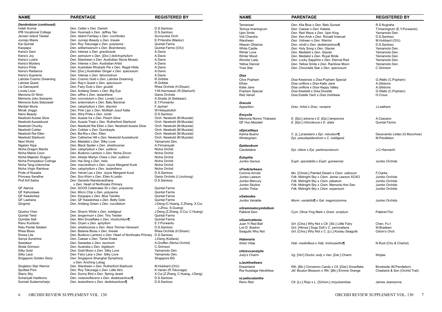| <b>PARENTAGE</b>                                  | <b>REGISTERED BY</b>                                                                                                                                                                                                                                                                                                                                                                                                                                                                                                                                                                                                                                                                                                                                                                                                                                                                                                                                                                                                                                                                                                                                                                                                                                                                                                                                                                                                                                                                                                                                                                                                                                                                                                                                                                                                                                              |
|---------------------------------------------------|-------------------------------------------------------------------------------------------------------------------------------------------------------------------------------------------------------------------------------------------------------------------------------------------------------------------------------------------------------------------------------------------------------------------------------------------------------------------------------------------------------------------------------------------------------------------------------------------------------------------------------------------------------------------------------------------------------------------------------------------------------------------------------------------------------------------------------------------------------------------------------------------------------------------------------------------------------------------------------------------------------------------------------------------------------------------------------------------------------------------------------------------------------------------------------------------------------------------------------------------------------------------------------------------------------------------------------------------------------------------------------------------------------------------------------------------------------------------------------------------------------------------------------------------------------------------------------------------------------------------------------------------------------------------------------------------------------------------------------------------------------------------------------------------------------------------------------------------------------------------|
|                                                   |                                                                                                                                                                                                                                                                                                                                                                                                                                                                                                                                                                                                                                                                                                                                                                                                                                                                                                                                                                                                                                                                                                                                                                                                                                                                                                                                                                                                                                                                                                                                                                                                                                                                                                                                                                                                                                                                   |
|                                                   | D.S.Santoso                                                                                                                                                                                                                                                                                                                                                                                                                                                                                                                                                                                                                                                                                                                                                                                                                                                                                                                                                                                                                                                                                                                                                                                                                                                                                                                                                                                                                                                                                                                                                                                                                                                                                                                                                                                                                                                       |
|                                                   | D.S.Santoso                                                                                                                                                                                                                                                                                                                                                                                                                                                                                                                                                                                                                                                                                                                                                                                                                                                                                                                                                                                                                                                                                                                                                                                                                                                                                                                                                                                                                                                                                                                                                                                                                                                                                                                                                                                                                                                       |
|                                                   | Sunnyview Orch.                                                                                                                                                                                                                                                                                                                                                                                                                                                                                                                                                                                                                                                                                                                                                                                                                                                                                                                                                                                                                                                                                                                                                                                                                                                                                                                                                                                                                                                                                                                                                                                                                                                                                                                                                                                                                                                   |
|                                                   | E.P.Hendra (Mastur)                                                                                                                                                                                                                                                                                                                                                                                                                                                                                                                                                                                                                                                                                                                                                                                                                                                                                                                                                                                                                                                                                                                                                                                                                                                                                                                                                                                                                                                                                                                                                                                                                                                                                                                                                                                                                                               |
|                                                   | <b>Quintal Farms</b>                                                                                                                                                                                                                                                                                                                                                                                                                                                                                                                                                                                                                                                                                                                                                                                                                                                                                                                                                                                                                                                                                                                                                                                                                                                                                                                                                                                                                                                                                                                                                                                                                                                                                                                                                                                                                                              |
|                                                   | Quintal Farms (O/U)                                                                                                                                                                                                                                                                                                                                                                                                                                                                                                                                                                                                                                                                                                                                                                                                                                                                                                                                                                                                                                                                                                                                                                                                                                                                                                                                                                                                                                                                                                                                                                                                                                                                                                                                                                                                                                               |
|                                                   | A.Davis                                                                                                                                                                                                                                                                                                                                                                                                                                                                                                                                                                                                                                                                                                                                                                                                                                                                                                                                                                                                                                                                                                                                                                                                                                                                                                                                                                                                                                                                                                                                                                                                                                                                                                                                                                                                                                                           |
|                                                   | A.Davis                                                                                                                                                                                                                                                                                                                                                                                                                                                                                                                                                                                                                                                                                                                                                                                                                                                                                                                                                                                                                                                                                                                                                                                                                                                                                                                                                                                                                                                                                                                                                                                                                                                                                                                                                                                                                                                           |
|                                                   | A.Davis                                                                                                                                                                                                                                                                                                                                                                                                                                                                                                                                                                                                                                                                                                                                                                                                                                                                                                                                                                                                                                                                                                                                                                                                                                                                                                                                                                                                                                                                                                                                                                                                                                                                                                                                                                                                                                                           |
|                                                   | A.Davis                                                                                                                                                                                                                                                                                                                                                                                                                                                                                                                                                                                                                                                                                                                                                                                                                                                                                                                                                                                                                                                                                                                                                                                                                                                                                                                                                                                                                                                                                                                                                                                                                                                                                                                                                                                                                                                           |
|                                                   | A.Davis                                                                                                                                                                                                                                                                                                                                                                                                                                                                                                                                                                                                                                                                                                                                                                                                                                                                                                                                                                                                                                                                                                                                                                                                                                                                                                                                                                                                                                                                                                                                                                                                                                                                                                                                                                                                                                                           |
|                                                   | A.Davis                                                                                                                                                                                                                                                                                                                                                                                                                                                                                                                                                                                                                                                                                                                                                                                                                                                                                                                                                                                                                                                                                                                                                                                                                                                                                                                                                                                                                                                                                                                                                                                                                                                                                                                                                                                                                                                           |
|                                                   | A.Davis                                                                                                                                                                                                                                                                                                                                                                                                                                                                                                                                                                                                                                                                                                                                                                                                                                                                                                                                                                                                                                                                                                                                                                                                                                                                                                                                                                                                                                                                                                                                                                                                                                                                                                                                                                                                                                                           |
|                                                   | R.Gribble                                                                                                                                                                                                                                                                                                                                                                                                                                                                                                                                                                                                                                                                                                                                                                                                                                                                                                                                                                                                                                                                                                                                                                                                                                                                                                                                                                                                                                                                                                                                                                                                                                                                                                                                                                                                                                                         |
|                                                   | R.Gribble                                                                                                                                                                                                                                                                                                                                                                                                                                                                                                                                                                                                                                                                                                                                                                                                                                                                                                                                                                                                                                                                                                                                                                                                                                                                                                                                                                                                                                                                                                                                                                                                                                                                                                                                                                                                                                                         |
|                                                   | Rhea Orchids (H.Eksan)                                                                                                                                                                                                                                                                                                                                                                                                                                                                                                                                                                                                                                                                                                                                                                                                                                                                                                                                                                                                                                                                                                                                                                                                                                                                                                                                                                                                                                                                                                                                                                                                                                                                                                                                                                                                                                            |
|                                                   | Y.M.Hermawan (R.Silamurti)                                                                                                                                                                                                                                                                                                                                                                                                                                                                                                                                                                                                                                                                                                                                                                                                                                                                                                                                                                                                                                                                                                                                                                                                                                                                                                                                                                                                                                                                                                                                                                                                                                                                                                                                                                                                                                        |
|                                                   | Ganis Orchids                                                                                                                                                                                                                                                                                                                                                                                                                                                                                                                                                                                                                                                                                                                                                                                                                                                                                                                                                                                                                                                                                                                                                                                                                                                                                                                                                                                                                                                                                                                                                                                                                                                                                                                                                                                                                                                     |
| Den. convolutum x Den. Lovely Love                | A.Sirada (A.Setiawan)                                                                                                                                                                                                                                                                                                                                                                                                                                                                                                                                                                                                                                                                                                                                                                                                                                                                                                                                                                                                                                                                                                                                                                                                                                                                                                                                                                                                                                                                                                                                                                                                                                                                                                                                                                                                                                             |
| Den. antennatum x Den. Batu Bersinar              | E.Y.Purwanto                                                                                                                                                                                                                                                                                                                                                                                                                                                                                                                                                                                                                                                                                                                                                                                                                                                                                                                                                                                                                                                                                                                                                                                                                                                                                                                                                                                                                                                                                                                                                                                                                                                                                                                                                                                                                                                      |
|                                                   | F.Jauhari                                                                                                                                                                                                                                                                                                                                                                                                                                                                                                                                                                                                                                                                                                                                                                                                                                                                                                                                                                                                                                                                                                                                                                                                                                                                                                                                                                                                                                                                                                                                                                                                                                                                                                                                                                                                                                                         |
| Den. Pink Lips x Den. Mufidah Jusuf Kalla         | W.Hidayatulloh                                                                                                                                                                                                                                                                                                                                                                                                                                                                                                                                                                                                                                                                                                                                                                                                                                                                                                                                                                                                                                                                                                                                                                                                                                                                                                                                                                                                                                                                                                                                                                                                                                                                                                                                                                                                                                                    |
| Den. Wira Pride x Den. nindii                     | D.S.Santoso                                                                                                                                                                                                                                                                                                                                                                                                                                                                                                                                                                                                                                                                                                                                                                                                                                                                                                                                                                                                                                                                                                                                                                                                                                                                                                                                                                                                                                                                                                                                                                                                                                                                                                                                                                                                                                                       |
| Den, Aussie Ira x Den, Peach Glow                 | Orch. Newbold (M.Muzslai)                                                                                                                                                                                                                                                                                                                                                                                                                                                                                                                                                                                                                                                                                                                                                                                                                                                                                                                                                                                                                                                                                                                                                                                                                                                                                                                                                                                                                                                                                                                                                                                                                                                                                                                                                                                                                                         |
| Den. Aussie Treat x Den. Rutherford Starburst     | Orch. Newbold (M.Muzslai)                                                                                                                                                                                                                                                                                                                                                                                                                                                                                                                                                                                                                                                                                                                                                                                                                                                                                                                                                                                                                                                                                                                                                                                                                                                                                                                                                                                                                                                                                                                                                                                                                                                                                                                                                                                                                                         |
| Den. Newbold Rai Ellen x Den. Newbold Aussie Glow | Orch. Newbold (M.Muzslai)                                                                                                                                                                                                                                                                                                                                                                                                                                                                                                                                                                                                                                                                                                                                                                                                                                                                                                                                                                                                                                                                                                                                                                                                                                                                                                                                                                                                                                                                                                                                                                                                                                                                                                                                                                                                                                         |
| Den. Cobber x Den. Dunokayla                      | Orch. Newbold (M.Muzslai)                                                                                                                                                                                                                                                                                                                                                                                                                                                                                                                                                                                                                                                                                                                                                                                                                                                                                                                                                                                                                                                                                                                                                                                                                                                                                                                                                                                                                                                                                                                                                                                                                                                                                                                                                                                                                                         |
| Den. Ba-Ria x Den. Ellen                          | Orch. Newbold (M.Muzslai)                                                                                                                                                                                                                                                                                                                                                                                                                                                                                                                                                                                                                                                                                                                                                                                                                                                                                                                                                                                                                                                                                                                                                                                                                                                                                                                                                                                                                                                                                                                                                                                                                                                                                                                                                                                                                                         |
| Den. Catherine Hill x Den. Newbold Aussieburst    | Orch. Newbold (M.Muzslai)                                                                                                                                                                                                                                                                                                                                                                                                                                                                                                                                                                                                                                                                                                                                                                                                                                                                                                                                                                                                                                                                                                                                                                                                                                                                                                                                                                                                                                                                                                                                                                                                                                                                                                                                                                                                                                         |
| Den. Medalist x Den. Silky Love                   | Yamamoto Den.                                                                                                                                                                                                                                                                                                                                                                                                                                                                                                                                                                                                                                                                                                                                                                                                                                                                                                                                                                                                                                                                                                                                                                                                                                                                                                                                                                                                                                                                                                                                                                                                                                                                                                                                                                                                                                                     |
| Den. Black Spider x Den. strebloceras             | A.Firmansyah                                                                                                                                                                                                                                                                                                                                                                                                                                                                                                                                                                                                                                                                                                                                                                                                                                                                                                                                                                                                                                                                                                                                                                                                                                                                                                                                                                                                                                                                                                                                                                                                                                                                                                                                                                                                                                                      |
| Den. calophyllum x Den. sutiknoi                  | Nicha Orchid                                                                                                                                                                                                                                                                                                                                                                                                                                                                                                                                                                                                                                                                                                                                                                                                                                                                                                                                                                                                                                                                                                                                                                                                                                                                                                                                                                                                                                                                                                                                                                                                                                                                                                                                                                                                                                                      |
| Den. Budiono Lamtoro x Den. Nicha Zircon          | Nicha Orchid                                                                                                                                                                                                                                                                                                                                                                                                                                                                                                                                                                                                                                                                                                                                                                                                                                                                                                                                                                                                                                                                                                                                                                                                                                                                                                                                                                                                                                                                                                                                                                                                                                                                                                                                                                                                                                                      |
| Den. Alistair Martyn Chew x Den. sutiknoi         | Nicha Orchid                                                                                                                                                                                                                                                                                                                                                                                                                                                                                                                                                                                                                                                                                                                                                                                                                                                                                                                                                                                                                                                                                                                                                                                                                                                                                                                                                                                                                                                                                                                                                                                                                                                                                                                                                                                                                                                      |
| Den. Hai Sing x Den. helix                        | Nicha Orchid                                                                                                                                                                                                                                                                                                                                                                                                                                                                                                                                                                                                                                                                                                                                                                                                                                                                                                                                                                                                                                                                                                                                                                                                                                                                                                                                                                                                                                                                                                                                                                                                                                                                                                                                                                                                                                                      |
|                                                   | Nicha Orchid                                                                                                                                                                                                                                                                                                                                                                                                                                                                                                                                                                                                                                                                                                                                                                                                                                                                                                                                                                                                                                                                                                                                                                                                                                                                                                                                                                                                                                                                                                                                                                                                                                                                                                                                                                                                                                                      |
|                                                   | Nicha Orchid                                                                                                                                                                                                                                                                                                                                                                                                                                                                                                                                                                                                                                                                                                                                                                                                                                                                                                                                                                                                                                                                                                                                                                                                                                                                                                                                                                                                                                                                                                                                                                                                                                                                                                                                                                                                                                                      |
|                                                   | D.S.Santoso                                                                                                                                                                                                                                                                                                                                                                                                                                                                                                                                                                                                                                                                                                                                                                                                                                                                                                                                                                                                                                                                                                                                                                                                                                                                                                                                                                                                                                                                                                                                                                                                                                                                                                                                                                                                                                                       |
|                                                   | Ganis Orchids (I.Linuhung)                                                                                                                                                                                                                                                                                                                                                                                                                                                                                                                                                                                                                                                                                                                                                                                                                                                                                                                                                                                                                                                                                                                                                                                                                                                                                                                                                                                                                                                                                                                                                                                                                                                                                                                                                                                                                                        |
|                                                   | D.S.Santoso                                                                                                                                                                                                                                                                                                                                                                                                                                                                                                                                                                                                                                                                                                                                                                                                                                                                                                                                                                                                                                                                                                                                                                                                                                                                                                                                                                                                                                                                                                                                                                                                                                                                                                                                                                                                                                                       |
|                                                   |                                                                                                                                                                                                                                                                                                                                                                                                                                                                                                                                                                                                                                                                                                                                                                                                                                                                                                                                                                                                                                                                                                                                                                                                                                                                                                                                                                                                                                                                                                                                                                                                                                                                                                                                                                                                                                                                   |
|                                                   | <b>Quintal Farms</b>                                                                                                                                                                                                                                                                                                                                                                                                                                                                                                                                                                                                                                                                                                                                                                                                                                                                                                                                                                                                                                                                                                                                                                                                                                                                                                                                                                                                                                                                                                                                                                                                                                                                                                                                                                                                                                              |
|                                                   | <b>Quintal Farms</b>                                                                                                                                                                                                                                                                                                                                                                                                                                                                                                                                                                                                                                                                                                                                                                                                                                                                                                                                                                                                                                                                                                                                                                                                                                                                                                                                                                                                                                                                                                                                                                                                                                                                                                                                                                                                                                              |
|                                                   | <b>Quintal Farms</b>                                                                                                                                                                                                                                                                                                                                                                                                                                                                                                                                                                                                                                                                                                                                                                                                                                                                                                                                                                                                                                                                                                                                                                                                                                                                                                                                                                                                                                                                                                                                                                                                                                                                                                                                                                                                                                              |
|                                                   | <b>Quintal Farms</b>                                                                                                                                                                                                                                                                                                                                                                                                                                                                                                                                                                                                                                                                                                                                                                                                                                                                                                                                                                                                                                                                                                                                                                                                                                                                                                                                                                                                                                                                                                                                                                                                                                                                                                                                                                                                                                              |
|                                                   | J.Deng (C.Huang, Z.Zhang, X.Cui,<br>J.Zhou, S.Guang)                                                                                                                                                                                                                                                                                                                                                                                                                                                                                                                                                                                                                                                                                                                                                                                                                                                                                                                                                                                                                                                                                                                                                                                                                                                                                                                                                                                                                                                                                                                                                                                                                                                                                                                                                                                                              |
|                                                   | J.Deng (Z.Zhang, X.Cui, C.Huang)                                                                                                                                                                                                                                                                                                                                                                                                                                                                                                                                                                                                                                                                                                                                                                                                                                                                                                                                                                                                                                                                                                                                                                                                                                                                                                                                                                                                                                                                                                                                                                                                                                                                                                                                                                                                                                  |
|                                                   | <b>Quintal Farms</b>                                                                                                                                                                                                                                                                                                                                                                                                                                                                                                                                                                                                                                                                                                                                                                                                                                                                                                                                                                                                                                                                                                                                                                                                                                                                                                                                                                                                                                                                                                                                                                                                                                                                                                                                                                                                                                              |
|                                                   | <b>Quintal Farms</b>                                                                                                                                                                                                                                                                                                                                                                                                                                                                                                                                                                                                                                                                                                                                                                                                                                                                                                                                                                                                                                                                                                                                                                                                                                                                                                                                                                                                                                                                                                                                                                                                                                                                                                                                                                                                                                              |
|                                                   | E.Y.Purwanto                                                                                                                                                                                                                                                                                                                                                                                                                                                                                                                                                                                                                                                                                                                                                                                                                                                                                                                                                                                                                                                                                                                                                                                                                                                                                                                                                                                                                                                                                                                                                                                                                                                                                                                                                                                                                                                      |
|                                                   | D.S.Santoso                                                                                                                                                                                                                                                                                                                                                                                                                                                                                                                                                                                                                                                                                                                                                                                                                                                                                                                                                                                                                                                                                                                                                                                                                                                                                                                                                                                                                                                                                                                                                                                                                                                                                                                                                                                                                                                       |
|                                                   | Rhea Orchids (H.Eksan)                                                                                                                                                                                                                                                                                                                                                                                                                                                                                                                                                                                                                                                                                                                                                                                                                                                                                                                                                                                                                                                                                                                                                                                                                                                                                                                                                                                                                                                                                                                                                                                                                                                                                                                                                                                                                                            |
|                                                   | D.S.Santoso                                                                                                                                                                                                                                                                                                                                                                                                                                                                                                                                                                                                                                                                                                                                                                                                                                                                                                                                                                                                                                                                                                                                                                                                                                                                                                                                                                                                                                                                                                                                                                                                                                                                                                                                                                                                                                                       |
|                                                   | J.Deng (Kultana)                                                                                                                                                                                                                                                                                                                                                                                                                                                                                                                                                                                                                                                                                                                                                                                                                                                                                                                                                                                                                                                                                                                                                                                                                                                                                                                                                                                                                                                                                                                                                                                                                                                                                                                                                                                                                                                  |
|                                                   | A.Groffen (Nicha Orchid)                                                                                                                                                                                                                                                                                                                                                                                                                                                                                                                                                                                                                                                                                                                                                                                                                                                                                                                                                                                                                                                                                                                                                                                                                                                                                                                                                                                                                                                                                                                                                                                                                                                                                                                                                                                                                                          |
|                                                   | C.Grimson                                                                                                                                                                                                                                                                                                                                                                                                                                                                                                                                                                                                                                                                                                                                                                                                                                                                                                                                                                                                                                                                                                                                                                                                                                                                                                                                                                                                                                                                                                                                                                                                                                                                                                                                                                                                                                                         |
|                                                   | Yamamoto Den.                                                                                                                                                                                                                                                                                                                                                                                                                                                                                                                                                                                                                                                                                                                                                                                                                                                                                                                                                                                                                                                                                                                                                                                                                                                                                                                                                                                                                                                                                                                                                                                                                                                                                                                                                                                                                                                     |
|                                                   | Yamamoto Den.                                                                                                                                                                                                                                                                                                                                                                                                                                                                                                                                                                                                                                                                                                                                                                                                                                                                                                                                                                                                                                                                                                                                                                                                                                                                                                                                                                                                                                                                                                                                                                                                                                                                                                                                                                                                                                                     |
| Den. Singapore Shanghai Symphony                  | Singapore BG                                                                                                                                                                                                                                                                                                                                                                                                                                                                                                                                                                                                                                                                                                                                                                                                                                                                                                                                                                                                                                                                                                                                                                                                                                                                                                                                                                                                                                                                                                                                                                                                                                                                                                                                                                                                                                                      |
|                                                   | M.Hubbard (O/U)                                                                                                                                                                                                                                                                                                                                                                                                                                                                                                                                                                                                                                                                                                                                                                                                                                                                                                                                                                                                                                                                                                                                                                                                                                                                                                                                                                                                                                                                                                                                                                                                                                                                                                                                                                                                                                                   |
|                                                   | K.Varian (R.Tokunaga)                                                                                                                                                                                                                                                                                                                                                                                                                                                                                                                                                                                                                                                                                                                                                                                                                                                                                                                                                                                                                                                                                                                                                                                                                                                                                                                                                                                                                                                                                                                                                                                                                                                                                                                                                                                                                                             |
|                                                   | X.Cui (Z.Zhang, C.Huang, J.Deng)                                                                                                                                                                                                                                                                                                                                                                                                                                                                                                                                                                                                                                                                                                                                                                                                                                                                                                                                                                                                                                                                                                                                                                                                                                                                                                                                                                                                                                                                                                                                                                                                                                                                                                                                                                                                                                  |
| Den. violaceoflavens x Den. dedeksantosoi¶        | D.S.Santoso                                                                                                                                                                                                                                                                                                                                                                                                                                                                                                                                                                                                                                                                                                                                                                                                                                                                                                                                                                                                                                                                                                                                                                                                                                                                                                                                                                                                                                                                                                                                                                                                                                                                                                                                                                                                                                                       |
|                                                   |                                                                                                                                                                                                                                                                                                                                                                                                                                                                                                                                                                                                                                                                                                                                                                                                                                                                                                                                                                                                                                                                                                                                                                                                                                                                                                                                                                                                                                                                                                                                                                                                                                                                                                                                                                                                                                                                   |
| Den. lasianthera x Den. dedeksantosoi¶            | D.S.Santoso                                                                                                                                                                                                                                                                                                                                                                                                                                                                                                                                                                                                                                                                                                                                                                                                                                                                                                                                                                                                                                                                                                                                                                                                                                                                                                                                                                                                                                                                                                                                                                                                                                                                                                                                                                                                                                                       |
|                                                   | Den. Cettar x Den. Danish<br>Den. Husmadi x Den. Jeffrey Tan<br>Den. Island Fantasy x Den. cochliodes<br>Den. Junrejo Beauty x Den. lineale<br>Den. Roy Tokunaga x Den. polysema<br>Den. williamsianum x Den. Bicentenary<br>Den. Intense x Den. gracilicaule<br>Den. aemulum x Den. [Doc.] dolichophyllum<br>Den. Starsheen x Den. Australian Stone Mosaic<br>Den. Intense x Den. Australian Artist<br>Den. Australian Rhubarb Pie x Den. Regal Hilda<br>Den. [Doc.] Australian Ginger x Den. speciosum<br>Den. Intense x Den. falcorostrum<br>Den. Cosmic Gold x Den. Latrobe Dreaming<br>Den. Ray's Quest x Den. speciosum<br>Den. Fairy Dust x Den. gouldii<br>Den. Aridang Green x Den. Big Eye<br>Den. affine x Den. lasianthera<br>Den. calophyllum x Den. discolor<br>Den. macranthum x Den. Joyce Margaret Kuok<br>Den. calophyllum x Den. lasianthera<br>Den. Velvet Las x Den. Joyce Margaret Kuok<br>Den. Soo Khim x Den. Ellen A Leidin<br>Den. Gerardo Nandavardhana<br>x Den. Heart of Northoaks Primary<br>Den. SOOS Celebrates 50 x Den. polysema<br>Den. Micro Chip x Den. polysema<br>Den. Kaopapa x Den. Blue Twinkle<br>Den. QF Kawelohea x Den. Betty Goto<br>Den. Aridang Green x Den. cucullatum<br>Den. Shavin White x Den. loddigesii<br>Den. tangerinum x Den. Tiny Twister<br>Den. Mini Snowflake x Den. rhodochilum¶<br>Den. Oryen x Den. aphyllum<br>Den. strebloceras x Den. Alice Timmer-Verwoert<br>Den. Batavia Blues x Den. lineale<br>Den. Budiono Lamtoro x Den. Heart of Northoaks Primary<br>Den. Caesar x Den. Tomie Drake<br>Den. Sawadee x Den. taurinum<br>Den. Australia x Den. bigibbum<br>Den. Gold Moon x Den. Silky Love<br>Den. Fairy Lace x Den. Silky Love<br>x Den. Anching Lubag<br>Den. Warsheen x Den. Rutherford Starburst<br>Den. Roy Tokunaga x Den. Little Atro<br>Den. Sunny Bird x Den. Spring Jewel |

| NAME                                | <b>PARENTAGE</b>                                                                    | <b>REGISTERED BY</b>                         | <b>NAME</b>             | <b>PARENTAGE</b>                                    | <b>REGISTERED BY</b>          |
|-------------------------------------|-------------------------------------------------------------------------------------|----------------------------------------------|-------------------------|-----------------------------------------------------|-------------------------------|
| Dendrobium (continued)              |                                                                                     |                                              | Tamansari               | Den. Kila Blue x Den. Batu Sunset                   | R.S.Nugraha                   |
| Indah Kurnia                        | Den. Cettar x Den. Danish                                                           | D.S.Santoso                                  | Tericya Imaningrum      | Den. Caesar x Den. Kakela                           | T.Imaningrum (E.Y.Purwanto)   |
| IPB Vocational College              | Den. Husmadi x Den. Jeffrey Tan                                                     | D.S.Santoso                                  | Upin Smile              | Den. Red Wave x Den. Upin King                      | Yamamoto Den.                 |
| Jensen Island Twister               | Den. Island Fantasy x Den. cochliodes                                               | Sunnyview Orch.                              | Vidi Chandra            | Den. Ken Arok x Den. Ronald Imanuel                 | D.S.Santoso                   |
| Junrejo Manis                       | Den. Junrejo Beauty x Den. lineale                                                  | E.P.Hendra (Mastur)                          | Warsheen                | Den. Visheen x Den. Warrior                         | M.Hubbard (O/U)               |
| Kai Quintal                         | Den. Roy Tokunaga x Den. polysema                                                   | <b>Quintal Farms</b>                         | Wawan Oktariza          | Den. nindii x Den. dedeksantosoi¶                   | D.S.Santoso                   |
| Kaopapa                             | Den. williamsianum x Den. Bicentenary                                               | Quintal Farms (O/U)                          | <b>White Castle</b>     | Den. Holy Song x Den. Glacier                       | Yamamoto Den.                 |
| Keira's Gem                         | Den. Intense x Den. gracilicaule                                                    | A.Davis                                      | <b>Winter Love</b>      | Den. Medalist x Den. Glacier                        | Yamamoto Den.                 |
| Keira's Joy                         | Den. aemulum x Den. [Doc.] dolichophyllum                                           | A.Davis                                      | <b>Winter Mood</b>      | Den. Medalist x Den. Royal Bride                    | Yamamoto Den.                 |
| Keira's Lustre                      | Den. Starsheen x Den. Australian Stone Mosaic                                       | A.Davis                                      | Wonder Lady             | Den. Lucky Sapphire x Den. Eternal Red              | Yamamoto Den.                 |
| Keira's Mystery                     | Den. Intense x Den. Australian Artist                                               | A.Davis                                      | <b>Yellow Dancer</b>    | Den. Yellow Smile x Den. Rainbow Moon               | Yamamoto Den.                 |
| Keira's Pride                       | Den. Australian Rhubarb Pie x Den. Regal Hilda                                      | A.Davis                                      | <b>Yves Star</b>        | Den. Chocolate Star x Den. speciosum                | C.Grimson                     |
| Keira's Radiance                    | Den. [Doc.] Australian Ginger x Den. speciosum                                      | A.Davis                                      |                         |                                                     |                               |
| Keira's Supreme                     | Den. Intense x Den. falcorostrum                                                    | A.Davis                                      | Disa                    |                                                     |                               |
| Latrobe Cosmic Dreaming             | Den. Cosmic Gold x Den. Latrobe Dreaming                                            | R.Gribble                                    | <b>Clive Popham</b>     | Disa Kewensis x Disa Popham Special                 | G. Watts (C. Popham)          |
| Latrobe Quest                       | Den. Ray's Quest x Den. speciosum                                                   | R.Gribble                                    | Ethan                   | Disa uniflora x Disa Katie Jane                     | A.Gibbons                     |
| Lia Damayanti                       | Den. Fairy Dust x Den. gouldii                                                      | Rhea Orchids (H.Eksan)                       | Katie Jane              | Disa uniflora x Disa Happy Valley                   | A.Gibbons                     |
| Lovely Love                         | Den. Aridang Green x Den. Big Eye                                                   | Y.M.Hermawan (R.Silamurti)                   | Popham Special          | Disa Kewbett x Disa Diorette                        | G. Watts (C. Popham)          |
| Memoria Dr Ninin                    | Den. affine x Den. lasianthera                                                      | Ganis Orchids                                | <b>Red Velvet</b>       | Disa Estelle Yach x Disa Unitrikew                  | H.Crous                       |
| Memoria Joko Siswanto               | Den. convolutum x Den. Lovely Love                                                  | A.Sirada (A.Setiawan)                        |                         |                                                     |                               |
| Memoria Sulis Setyowati             | Den. antennatum x Den. Batu Bersinar                                                | E.Y.Purwanto                                 | <b>Dracula</b>          |                                                     |                               |
| Mentari Muria                       | Den. calophyllum x Den. discolor                                                    | F.Jauhari                                    | Apparition              | Drac. hirtzii x Drac. vampira                       | J.Leathers                    |
| Minak Jinggo                        | Den. Pink Lips x Den. Mufidah Jusuf Kalla                                           | W.Hidayatulloh                               |                         |                                                     |                               |
| Neno Beauty                         | Den. Wira Pride x Den. nindii                                                       | D.S.Santoso                                  | Encyclia                |                                                     |                               |
| Newbold Aussie Glow                 | Den. Aussie Ira x Den. Peach Glow                                                   | Orch. Newbold (M.Muzslai)                    | Memoria Nonno Tirabassi | E. [Epi.] advena x E. [Epi.] tampensis              | A.Cassano                     |
| Newbold Aussieburst                 | Den. Aussie Treat x Den. Rutherford Starburst                                       | Orch. Newbold (M.Muzslai)                    | <b>QF Huc-Mazelet</b>   | E. [Epi.] chloroleuca x E. alata                    | <b>Quintal Farms</b>          |
| Newbold Chunky                      | Den. Newbold Rai Ellen x Den. Newbold Aussie Glow                                   | Orch. Newbold (M.Muzslai)                    |                         |                                                     |                               |
| Newbold Cobler                      | Den. Cobber x Den. Dunokayla                                                        | Orch. Newbold (M.Muzslai)                    | xEpicattleya            |                                                     |                               |
| Newbold Rai Ellen                   | Den. Ba-Ria x Den. Ellen                                                            | Orch. Newbold (M.Muzslai)                    | Karina Bueno            | C. [L.] praestans x Epi. robustum¶                  | Deusvando Leitao (G.Munchow)  |
| Newbold Starburst                   | Den. Catherine Hill x Den. Newbold Aussieburst                                      | Orch. Newbold (M.Muzslai)                    | Wintergreen             | Epi. pseudepidendrum x C. loddigesii                | M.Pendleton                   |
| Next World                          | Den. Medalist x Den. Silky Love                                                     | Yamamoto Den.                                |                         |                                                     |                               |
| Ngalam Kipa                         | Den. Black Spider x Den. strebloceras                                               | A.Firmansyah                                 | Epidendrum              |                                                     |                               |
| Nicha Dragon Mantis                 | Den. calophyllum x Den. sutiknoi                                                    | Nicha Orchid                                 | Candelabre              | Epi. ciliare x Epi. parkinsonianum                  | J-C.Hannachi                  |
| Nicha Maine Coon                    | Den. Budiono Lamtoro x Den. Nicha Zircon                                            | Nicha Orchid                                 |                         |                                                     |                               |
| Nicha Majestic Dragon               | Den. Alistair Martyn Chew x Den. sutiknoi                                           | Nicha Orchid                                 | Eulophia                |                                                     |                               |
| Nicha Pompadour Cotinga             | Den. Hai Sing x Den. helix                                                          | Nicha Orchid                                 | Jumbo Genius            | Euph. spectabilis x Euph. guineensis                | Jumbo Orchids                 |
| Nicha Tang-Udomchai                 | Den. macranthum x Den. Joyce Margaret Kuok                                          | Nicha Orchid                                 |                         |                                                     |                               |
| Nicha Virgin Rainbow                | Den. calophyllum x Den. lasianthera                                                 | Nicha Orchid                                 | xFredclarkeara          |                                                     |                               |
| Pride of Nusada                     | Den. Velvet Las x Den. Joyce Margaret Kuok                                          | D.S.Santoso                                  | <b>Corinne Arnold</b>   | Mo. [Ctmds.] Painted Desert x Ctsm. callosum        | F.Clarke                      |
| Princess Serafine                   | Den. Soo Khim x Den. Ellen A Leidin                                                 | Ganis Orchids (I.Linuhung)                   | Jumbo Lawson            | Fdk. Midnight Sky x Ctsm. Jamie Lawson XOXO         | Jumbo Orchids                 |
| Prof Arif Satria                    | Den. Gerardo Nandavardhana                                                          | D.S.Santoso                                  | Jumbo Mercury           | Fdk. Midnight Sky x Ctsm. pileatum                  | Jumbo Orchids                 |
|                                     | x Den. Heart of Northoaks Primary                                                   |                                              | Jumbo Skyline           | Fdk. Midnight Sky x Ctsm. Memoria Hon San           | Jumbo Orchids                 |
| QF Alanna                           | Den. SOOS Celebrates 50 x Den. polysema                                             | <b>Quintal Farms</b>                         | Jumbo Theia             | Fdk. Midnight Sky x Ctsm. expansum                  | Jumbo Orchids                 |
| QF Kahoolawe                        | Den. Micro Chip x Den. polysema                                                     | <b>Quintal Farms</b>                         |                         |                                                     |                               |
| QF Kawelohea                        | Den. Kaopapa x Den. Blue Twinkle                                                    | <b>Quintal Farms</b>                         | <b>xGaleodes</b>        |                                                     |                               |
| QF Laahana                          | Den. QF Kawelohea x Den. Betty Goto                                                 | <b>Quintal Farms</b>                         | Jumbo Variable          | Morm. variabilis¶ x Gal. magnicolumna               | Jumbo Orchids                 |
| Qingmei                             | Den. Aridang Green x Den. cucullatum                                                | J.Deng (C.Huang, Z.Zhang, X.Cui,             |                         |                                                     |                               |
|                                     |                                                                                     | J.Zhou, S.Guang)                             | xGrammatocymbidium      |                                                     |                               |
| Qiushui Yiren<br>Quintal Twist      | Den. Shavin White x Den. loddigesii                                                 | J.Deng (Z.Zhang, X.Cui, C.Huang)             | Pakkret Devi            | Cym. Olivia Ying Mark x Gram. scriptum              | Pakkret Flor.                 |
|                                     | Den. tangerinum x Den. Tiny Twister<br>Den. Mini Snowflake x Den. rhodochilum¶      | <b>Quintal Farms</b><br><b>Quintal Farms</b> |                         |                                                     |                               |
| Quintals Salt                       |                                                                                     |                                              | <b>xGuaricattonia</b>   |                                                     |                               |
| Ranu Kumbolo<br>Ratu Pantai Selatan | Den. Oryen x Den. aphyllum                                                          | E.Y.Purwanto                                 | Juan Yi Red Ball        | Grt. [Ctna.] Why Not x Ctt. [Slc.] Little Fairy     | Chen, Fu-I                    |
| Rhea Blues                          | Den. strebloceras x Den. Alice Timmer-Verwoert<br>Den. Batavia Blues x Den. lineale | D.S.Santoso<br>Rhea Orchids (H.Eksan)        | Lori D. Boehm           | Gct. [Hknsa.] Sogo Doll x C. percivaliana           | W.Bradeen                     |
| Rossa Lita                          | Den. Budiono Lamtoro x Den. Heart of Northoaks Primary D.S.Santoso                  |                                              | Seagulls Why Not        | Grt. [Ctna.] Why Not x C. [Lc.] Koolau Seagulls     | Odom's Orch.                  |
| Sanya Sunshine                      | Den. Caesar x Den. Tomie Drake                                                      |                                              |                         |                                                     |                               |
| Sawataur                            | Den. Sawadee x Den. taurinum                                                        | J.Deng (Kultana)<br>A.Groffen (Nicha Orchid) | Habenaria               |                                                     |                               |
| Shela Grimson                       | Den. Australia x Den. bigibbum                                                      | C.Grimson                                    | <b>Arbor Vitae</b>      | Hab. medioflexa x Hab. trichosantha¶                | N.Rust (Chu & Charlot)        |
| Silky Gold                          | Den. Gold Moon x Den. Silky Love                                                    | Yamamoto Den.                                |                         |                                                     |                               |
| Silky Lace                          | Den. Fairy Lace x Den. Silky Love                                                   | Yamamoto Den.                                | xHolcovanstylis         |                                                     |                               |
| Singapore Golden Glory              | Den. Singapore Shanghai Symphony                                                    | Singapore BG                                 | Judy's Charm            | Vg. [Hcf.] Doctor Judy x Van. [Dar.] Charm          | Wojtas                        |
|                                     | x Den. Anching Lubag                                                                |                                              | xJackfowlieara          |                                                     |                               |
| Singleton Star Warrior              | Den. Warsheen x Den. Rutherford Starburst                                           | M.Hubbard (O/U)                              | Dreamland               | Rth. [Blc.] Cinnamon Candy x Cll. [Dial.] Snowflake | Brookside (M.Pendleton)       |
| Spotted Poni                        | Den. Roy Tokunaga x Den. Little Atro                                                | K.Varian (R.Tokunaga)                        | Ria Husslage Hendrikse  | Jkf. Bouton Blossom x Rth. [Blc.] Ermine Orange     | Chadwick & Son (Orchid Trail) |
| Starry Sky                          | Den. Sunny Bird x Den. Spring Jewel                                                 | X.Cui (Z.Zhang, C.Huang, J.Deng)             |                         |                                                     |                               |
| Suhariyati Haditomo                 | Den. violaceoflavens x Den. dedeksantosoi¶                                          | D.S.Santoso                                  | xLaeliocatanthe         |                                                     |                               |
| Sumiati Sudarmoharjo                | Den. lasianthera x Den. dedeksantosoi¶                                              | D.S.Santoso                                  | Reno Red                | Ctt. [Lc.] Rojo x L. [Schom.] moyobambae            | James Jeansonne               |
|                                     |                                                                                     |                                              |                         |                                                     |                               |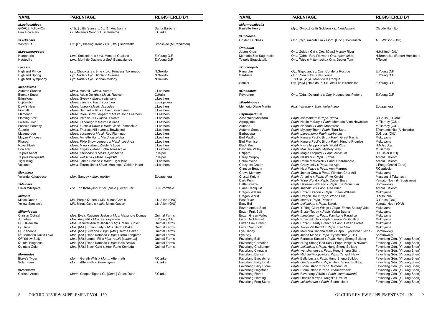| <b>NAME</b>                         | <b>PARENTAGE</b>                                                                  | <b>REGISTERED BY</b>           | <b>NAME</b>                                                | <b>PARENTAGE</b>                                                                        | <b>REGISTERED BY</b>                               |
|-------------------------------------|-----------------------------------------------------------------------------------|--------------------------------|------------------------------------------------------------|-----------------------------------------------------------------------------------------|----------------------------------------------------|
| xLaeliocattleya                     |                                                                                   |                                | xMyrmecatlaelia                                            |                                                                                         |                                                    |
| <b>GRACE Follow-On</b>              | C. [L.] Little Sunset x Lc. [L.] Ancibarina                                       | Santa Barbara                  | Paulette Henry                                             | Myc. [Smbc.] Keith Goldson x L. lueddemanii                                             | <b>Claude Hamilton</b>                             |
| Pink Porcelain                      | Lc. Melana's Song x C. intermedia                                                 | F.Clarke                       |                                                            |                                                                                         |                                                    |
|                                     |                                                                                   |                                | xOncidesa                                                  |                                                                                         |                                                    |
| xLedienara                          |                                                                                   |                                | <b>Golden Duchess</b>                                      | Onc. [Cyr.] maculatum x Gom. [Onc.] Goldrausch                                          | A.E.Watson (O/U)                                   |
| Winter Elf                          | Ctt. [Lc.] Blazing Treat x Cll. [Dial.] Snowflake                                 | Brookside (M.Pendleton)        |                                                            |                                                                                         |                                                    |
|                                     |                                                                                   |                                | <b>Oncidium</b><br>Jason Khoo                              |                                                                                         |                                                    |
| xLycamerlycaste<br>Hamonerie        | Lmc. Sabloniere x Lmc. Mont de Ouaisne                                            |                                |                                                            | Onc. Golden Girl x Onc. [Oda.] Murray River                                             | H.H.Khoo (O/U)<br>H.Brenneise (Robert Ha           |
| Hauteville                          | Lmc. Mont de Ouaisne x Sud. Beauvalande                                           | E. Young O.F.<br>E. Young O.F. | Memoria Zoe Sugarbelle<br>Teipels Stracciatella            | Onc. [Odm.] Roy Wittwer x Onc. splendidum<br>Onc. Teipels Mitternacht x Onc. Doctor Tom | P.Teipel                                           |
|                                     |                                                                                   |                                |                                                            |                                                                                         |                                                    |
| Lycaste                             |                                                                                   |                                | xOncidopsis                                                |                                                                                         |                                                    |
| <b>Highland Prince</b>              | Lyc. Choux à la crème x Lyc. Princess Takamado                                    | N.Sekido                       | Rimarche                                                   | Oip. Gigoulande x Onc. Col de la Rocque                                                 | E.Young O.F.                                       |
| <b>Highland Spring</b>              | Lyc. Nada x Lyc. Highland Sunrise                                                 | N.Sekido                       | Sardriere                                                  | Onc. [Oda.] Creux de Sloupe                                                             | E. Young O.F.                                      |
| <b>Highland Symphony</b>            | Lyc. Nada x Lyc. Shonan Melody                                                    | N.Sekido                       |                                                            | x Oip. [Vuyl.] Mont de la Rocque                                                        |                                                    |
|                                     |                                                                                   |                                | Somier                                                     | Oip. [Vuyl.] Haie de Puit x Onc. Les Hirondelles                                        | E. Young O.F.                                      |
| Masdevallia                         |                                                                                   |                                |                                                            |                                                                                         |                                                    |
| Autumn Sunrise                      | Masd. Heathii x Masd. Aurora                                                      | J.Leathers                     | xOncostele                                                 |                                                                                         |                                                    |
| <b>Beenak Snow</b>                  | Masd. Ada's Delight x Masd. Rubicon                                               | C.Halls                        | Poytronne                                                  | Onc. [Oda.] Deloraine x Ons. Hougue des Platons                                         | E. Young O.F.                                      |
| <b>Brimstone</b>                    | Masd. Gypsy x Masd. veitchiana                                                    | J.Leathers                     |                                                            |                                                                                         |                                                    |
| Cojitambo                           | Masd. caesia x Masd. coccinea                                                     | Ecuagenera                     | xPaphinopea                                                |                                                                                         |                                                    |
| Devil's Heart                       | Masd. ignea x Masd. discoidea                                                     | J.Leathers                     | Memoria Diane Martin                                       | Pna. herrerae x Stan. jenischiana                                                       | Ecuagenera                                         |
| Fireball                            | Masd. Samantha Kha x Masd. veitchiana                                             | J.Leathers                     |                                                            |                                                                                         |                                                    |
| Flamenco                            | Masd. Pixie Snow Leopard x Masd. John Leathers                                    | J.Leathers                     | Paphiopedilum                                              |                                                                                         |                                                    |
| <b>Flaming Star</b>                 | Masd. Patricia Hill x Masd. Falcata                                               | J.Leathers                     | Achentaler Micradru                                        | Paph. micranthum x Paph. druryi                                                         | O.Gruss (F.Glanz)                                  |
| Folsom Gold                         | Masd. Fandango x Masd. Gairiana                                                   | J.Leathers                     | Arpeggiate                                                 | Paph. Nettie McNay x Paph. Memoria Allan Newbown                                        | M.Tierney (O/U)                                    |
| Fuchsia Fantasy                     | Masd. Fuchsia Dawn x Masd. John Tomaschke                                         | J.Leathers                     | Aubada                                                     | Paph. Neridah x Paph. Moonfrost                                                         | M.Tierney (O/U)                                    |
| Gazelle                             | Masd. Theresa Hill x Masd. Bewitched                                              | J.Leathers                     | Autumn Steppe                                              | Paph. Mystery Tour x Paph. Turu Sano                                                    | T.Yamanoshita (A.Naka                              |
| Masquerade<br><b>Mayan Princess</b> | Masd. coccinea x Masd. Red Flamingo                                               | J.Leathers                     | Barbapapa<br><b>Bird Pacific</b>                           | Paph. papuanum x Paph. barbatum<br>Paph. Kimura Pacific Bird x Paph. Great Pacific      | O.Gruss (O/U)                                      |
| Pharoah                             | Masd. Annette Hall x Masd. discoidea<br>Masd. Pixie Snow Leopard x Masd. coccinea | J.Leathers<br>J.Leathers       | <b>Bird Promise</b>                                        | Paph. Kimura Pacific Bird x Paph. Kimura Promise                                        | Mukoyama<br>Mukoyama                               |
| Royal Flush                         | Masd. Myra x Masd. Ziegler's Love                                                 | J.Leathers                     | <b>Black Pearl</b>                                         | Paph. Parry Gripp x Paph. World Plus                                                    | H.Mitsuoka                                         |
| Sorcerer                            | Masd. Gypsy x Masd. John Tomaschke                                                | J.Leathers                     | <b>Brisbane Valley</b>                                     | Paph. Makuli x Paph. Mystery Way                                                        | M.Tierney                                          |
| <b>Teipels Achat</b>                | Masd. calocodon x Masd. ayabacana                                                 | P.Teipel                       | Calpard                                                    | Paph. Magic Leopard x Paph. callosum                                                    | R.Lussier (O/U)                                    |
| Teipels Weliquisita                 | Masd. welischii x Masd. exquisita                                                 | P.Teipel                       | Carey Murphy                                               | Paph. Naskapi x Paph. Kinzua                                                            | Arnold J.Klehm                                     |
| Tiger King                          | Masd. Jaime Posada x Masd. Tiger Kiss                                             | J.Leathers                     | Chuck Wilde                                                | Paph. Dottie McDowell x Paph. Chardmoore                                                | Arnold J.Klehm                                     |
| Volcano                             | Masd. Tourmaline x Masd. MacInnes' Golden Heart                                   | J.Leathers                     | Crazy Ice Cream                                            | Paph. Crazy Jolly x Paph. Ice Age                                                       | J.Fang (Orchid Zone)                               |
|                                     |                                                                                   |                                | <b>Crimson Beauty</b>                                      | Paph. Heat Wave x Paph. Ann-Margret                                                     | F.Capriccio                                        |
| <b>Maxillaria</b>                   |                                                                                   |                                | <b>Crows Memory</b>                                        | Paph. James Crow x Paph. Winston Churchill                                              | Mukoyama                                           |
| Yolanda Kakabadse                   | Max. Sangay x Max. molitor                                                        | Ecuagenera                     | <b>Crystal Knight</b>                                      | Paph. Amarillo x Paph. White Knight                                                     | Masayoshi Takahashi                                |
|                                     |                                                                                   |                                | Dark Rum                                                   | Paph. Wine World x Paph. Cuban Boys                                                     | Yamato-Noen (H.Sugiya                              |
| xMeloara                            |                                                                                   |                                | Delta Breeze                                               | Paph. Hawaiian Volcano x Paph. mastersianum                                             | Sorokowsky                                         |
| <b>Silver Whispers</b>              | Rlc. Erin Kobayashi x Lcr. [Dialc.] Silver Star                                   | O.J.Bromfield                  | Diane Dahlquist                                            | Paph. sukhakulii x Paph. Red Brier                                                      | Arnold J.Klehm                                     |
|                                     |                                                                                   |                                | Dragon William                                             | Paph. Enzan Dragon x Paph. Enzan Williams                                               | Mukoyama                                           |
| Miltonia                            |                                                                                   |                                | Dragon World                                               | Paph. Dragon Ball x Paph. World Plus                                                    | H.Mitsuoka                                         |
| Minas Queen                         | Milt. Purple Queen x Milt. Minas Gerais                                           | J.N.Allen (O/U)                | <b>East River</b>                                          | Paph. stonei x Paph. Psyche                                                             | O.Gruss (O/U)                                      |
| <b>Yellow Spectacle</b>             | Milt. Minas Gerais x Milt. Minas Queen                                            | J.N.Allen (O/U)                | Easy Bell                                                  | Paph. bellatulum x Paph. Sakaki                                                         | Yamato-Noen (O/U)                                  |
|                                     |                                                                                   |                                | Enzan Amber Spot                                           | Paph. Yi-Ying Giant Wings x Paph. Enzan Beauty Vale                                     | Mukoyama                                           |
| <b>Miltoniopsis</b>                 |                                                                                   |                                | <b>Enzan Fruit Ball</b>                                    | Paph. Enzan Today x Paph. Yerba Buena                                                   | Mukoyama                                           |
| <b>Christin Quintal</b>             | Mps. Eva's Razones Justas x Mps. Alexandre Dumas                                  | <b>Quintal Farms</b>           | Enzan Green Valley                                         | Paph. hangianum x Paph. Kamikane Paradise                                               | Mukoyama                                           |
| Jumelles                            | Mps. Anquetil x Mps. Escraqueville                                                | E. Young O.F.                  | Enzan Noble Bird                                           | Paph. Enzan Noble x Paph. Kimura Pacific Bird                                           | Mukoyama                                           |
| QF Haleakalā                        | Mps. Jennifer Ann Mulhollan x Mps. Maui Sunset                                    | <b>Quintal Farms</b>           | Enzan Pink Branch                                          | Paph. Enzan Beauty Branch x Paph. Enzan Probie                                          | Mukoyama                                           |
| QF Julie                            | Mps. [Milt.] Enzan Lady x Mps. Bertha Baker                                       | <b>Quintal Farms</b>           | Enzan Val Sholt                                            | Paph. Tokyo Val Knight x Paph. Tree Sholt                                               | Mukoyama                                           |
| QF Kaneohe                          | Mps. [Milt.] Silverton x Mps. [Milt.] Bertha Baker                                | <b>Quintal Farms</b>           | Eye Candy                                                  | Paph. Memoria Sabrina Mark x Paph. Eyecatcher (2011)                                    | Sorokowsky                                         |
| QF Memoria David Love               | Mps. [Milt.] Rene Komoda x Mps. Pierre Langeron                                   | <b>Quintal Farms</b>           | Eye Spy                                                    | Paph. Jenna Marie x Paph. Eyecatcher (2011)                                             | Sorokowsky                                         |
| <b>QF Yellow Belly</b>              | Mps. [Milt.] Lemon Fill x Mps. roezlii [santanae]                                 | <b>Quintal Farms</b>           | <b>Favorlang Bull</b>                                      | Paph. Formosa Sunset x Paph. Hung Sheng Bulldog                                         | Favorlang Gdn. (Yi-Lung                            |
| <b>Quintal Elegance</b>             | Mps. [Milt.] Rene Komoda x Mps. Edie Brown                                        | <b>Quintal Farms</b>           | <b>Favorlang Carnation</b>                                 | Paph. Hung Sheng Red Sea x Paph. Knight's Niveum                                        | Favorlang Gdn. (Yi-Lung                            |
| <b>Quintals Gold</b>                | Mps. [Milt.] Black Gold x Mps. Rene Komoda                                        | <b>Quintal Farms</b>           | <b>Favorlang Challenger</b>                                | Paph. bellatulum x Paph. Hung Sheng Bulldog                                             | Favorlang Gdn. (Yi-Lung                            |
|                                     |                                                                                   |                                | <b>Favorlang Cinnabar</b>                                  | Paph. wenshanense x Paph. Hung Sheng Giant                                              | Favorlang Gdn. (Yi-Lung                            |
| Mormodes                            |                                                                                   |                                | <b>Favorlang Dancer</b>                                    | Paph. Michael Koopowitz x Paph. Yang-Ji Hawk                                            | Favorlang Gdn. (Yi-Lung                            |
| <b>Blake's Tyger</b>                | Morm. Gareth Wills x Morm. Aftermath                                              | F.Clarke                       | <b>Favorlang Eyecatcher</b>                                | Paph. Bella Lucia x Paph. Hung Sheng Bulldog                                            | Favorlang Gdn. (Yi-Lung                            |
| Solar Flare                         | Morm. Aftermath x Morm. ignea                                                     | F.Clarke                       | <b>Favorlang Fairy Dust</b>                                | Paph. charlesworthii x Paph. Hung Sheng Bulldog                                         | Favorlang Gdn. (Yi-Lung                            |
| xMormodia                           |                                                                                   |                                | <b>Favorlang Fairy Stone</b><br><b>Favorlang Flagstone</b> | Paph. Stone Island x Paph. fairrieanum<br>Paph. Stone Island x Paph. charlesworthii     | Favorlang Gdn. (Yi-Lung<br>Favorlang Gdn. (Yi-Lung |
| Corinne Arnold                      | Morm. Copper Tiger x Cl. [Ctsm.] Grace Dunn                                       | F.Clarke                       | <b>Favorlang Flame</b>                                     | Paph. Favorlang Valwin x Paph. charlesworthii                                           | Favorlang Gdn. (Yi-Lung                            |
|                                     |                                                                                   |                                | <b>Favorlang Flaming</b>                                   | Paph. Orchilla x Paph. Knight's Niveum                                                  | Favorlang Gdn. (Yi-Lung                            |
|                                     |                                                                                   |                                |                                                            |                                                                                         |                                                    |

| <b>NAME</b>                                                                      | <b>PARENTAGE</b>                                                                                                                       | <b>REGISTERED BY</b>                                        |
|----------------------------------------------------------------------------------|----------------------------------------------------------------------------------------------------------------------------------------|-------------------------------------------------------------|
| xMyrmecatlaelia<br>Paulette Henry                                                | Myc. [Smbc.] Keith Goldson x L. lueddemanii                                                                                            | Claude Hamilton                                             |
| xOncidesa<br>Golden Duchess                                                      | Onc. [Cyr.] maculatum x Gom. [Onc.] Goldrausch                                                                                         | A.E.Watson (O/U)                                            |
| <b>Oncidium</b><br>Jason Khoo<br>Memoria Zoe Sugarbelle<br>Teipels Stracciatella | Onc. Golden Girl x Onc. [Oda.] Murray River<br>Onc. [Odm.] Roy Wittwer x Onc. splendidum<br>Onc. Teipels Mitternacht x Onc. Doctor Tom | H.H.Khoo (O/U)<br>H.Brenneise (Robert Hamilton)<br>P.Teipel |
| <b>xOncidopsis</b><br>Rimarche<br>Sardriere                                      | Oip. Gigoulande x Onc. Col de la Rocque<br>Onc. [Oda.] Creux de Sloupe<br>x Oip. [Vuyl.] Mont de la Rocque                             | E.Young O.F.<br>E. Young O.F.                               |
| Somier                                                                           | Oip. [Vuyl.] Haie de Puit x Onc. Les Hirondelles                                                                                       | E. Young O.F.                                               |
| xOncostele<br>Poytronne                                                          | Onc. [Oda.] Deloraine x Ons. Hougue des Platons                                                                                        | E. Young O.F.                                               |
| xPaphinopea<br>Memoria Diane Martin                                              | Pna. herrerae x Stan. jenischiana                                                                                                      | Ecuagenera                                                  |
| Paphiopedilum<br>Achentaler Micradru<br>Arpeggiate<br>Aubada                     | Paph. micranthum x Paph. druryi<br>Paph. Nettie McNay x Paph. Memoria Allan Newbown<br>Paph. Neridah x Paph. Moonfrost                 | O.Gruss (F.Glanz)<br>M.Tierney (O/U)<br>M.Tierney (O/U)     |
| Autumn Steppe                                                                    | Paph. Mystery Tour x Paph. Turu Sano                                                                                                   | T.Yamanoshita (A.Nakada)                                    |
| Barbapapa                                                                        | Paph. papuanum x Paph. barbatum                                                                                                        | O.Gruss (O/U)                                               |
| <b>Bird Pacific</b>                                                              | Paph. Kimura Pacific Bird x Paph. Great Pacific                                                                                        | Mukoyama                                                    |
| <b>Bird Promise</b>                                                              | Paph. Kimura Pacific Bird x Paph. Kimura Promise                                                                                       | Mukoyama                                                    |
| <b>Black Pearl</b>                                                               | Paph. Parry Gripp x Paph. World Plus                                                                                                   | H.Mitsuoka                                                  |
| <b>Brisbane Valley</b>                                                           | Paph. Makuli x Paph. Mystery Way                                                                                                       | M.Tierney                                                   |
| Calpard                                                                          | Paph. Magic Leopard x Paph. callosum                                                                                                   | R.Lussier (O/U)                                             |
| Carey Murphy                                                                     | Paph. Naskapi x Paph. Kinzua                                                                                                           | Arnold J.Klehm                                              |
| Chuck Wilde                                                                      | Paph. Dottie McDowell x Paph. Chardmoore                                                                                               | Arnold J.Klehm                                              |
| Crazy Ice Cream                                                                  | Paph. Crazy Jolly x Paph. Ice Age                                                                                                      | J.Fang (Orchid Zone)                                        |
| <b>Crimson Beauty</b>                                                            | Paph. Heat Wave x Paph. Ann-Margret                                                                                                    | F.Capriccio                                                 |
| Crows Memory                                                                     | Paph. James Crow x Paph. Winston Churchill                                                                                             | Mukoyama                                                    |
| <b>Crystal Knight</b>                                                            | Paph. Amarillo x Paph. White Knight                                                                                                    | Masayoshi Takahashi                                         |
| Dark Rum                                                                         | Paph. Wine World x Paph. Cuban Boys                                                                                                    | Yamato-Noen (H.Sugiyama)                                    |
| Delta Breeze                                                                     | Paph. Hawaiian Volcano x Paph. mastersianum                                                                                            | Sorokowsky                                                  |
| Diane Dahlquist                                                                  | Paph. sukhakulii x Paph. Red Brier                                                                                                     | Arnold J.Klehm                                              |
| Dragon William                                                                   | Paph. Enzan Dragon x Paph. Enzan Williams                                                                                              | Mukoyama                                                    |
| Dragon World                                                                     | Paph. Dragon Ball x Paph. World Plus                                                                                                   | H.Mitsuoka                                                  |
| <b>East River</b>                                                                | Paph. stonei x Paph. Psyche                                                                                                            | O.Gruss (O/U)                                               |
| Easy Bell                                                                        | Paph. bellatulum x Paph. Sakaki                                                                                                        | Yamato-Noen (O/U)                                           |
| Enzan Amber Spot                                                                 | Paph. Yi-Ying Giant Wings x Paph. Enzan Beauty Vale                                                                                    | Mukoyama                                                    |
| Enzan Fruit Ball                                                                 | Paph. Enzan Today x Paph. Yerba Buena                                                                                                  | Mukoyama                                                    |
| Enzan Green Valley                                                               | Paph. hangianum x Paph. Kamikane Paradise                                                                                              | Mukoyama                                                    |
| Enzan Noble Bird                                                                 | Paph. Enzan Noble x Paph. Kimura Pacific Bird                                                                                          | Mukoyama                                                    |
| Enzan Pink Branch                                                                | Paph. Enzan Beauty Branch x Paph. Enzan Probie                                                                                         | Mukoyama                                                    |
| Enzan Val Sholt                                                                  | Paph. Tokyo Val Knight x Paph. Tree Sholt                                                                                              | Mukoyama                                                    |
| Eye Candy                                                                        | Paph. Memoria Sabrina Mark x Paph. Eyecatcher (2011)                                                                                   | Sorokowsky                                                  |
| Eye Spy                                                                          | Paph. Jenna Marie x Paph. Eyecatcher (2011)                                                                                            | Sorokowsky                                                  |
| Favorlang Bull                                                                   | Paph. Formosa Sunset x Paph. Hung Sheng Bulldog                                                                                        | Favorlang Gdn. (Yi-Lung Shen)                               |
| <b>Favorlang Carnation</b>                                                       | Paph. Hung Sheng Red Sea x Paph. Knight's Niveum                                                                                       | Favorlang Gdn. (Yi-Lung Shen)                               |
| <b>Favorlang Challenger</b>                                                      | Paph. bellatulum x Paph. Hung Sheng Bulldog                                                                                            | Favorlang Gdn. (Yi-Lung Shen)                               |
| Favorlang Cinnabar                                                               | Paph. wenshanense x Paph. Hung Sheng Giant                                                                                             | Favorlang Gdn. (Yi-Lung Shen)                               |
| <b>Favorlang Dancer</b>                                                          | Paph. Michael Koopowitz x Paph. Yang-Ji Hawk                                                                                           | Favorlang Gdn. (Yi-Lung Shen)                               |
| Favorlang Eyecatcher                                                             | Paph. Bella Lucia x Paph. Hung Sheng Bulldog                                                                                           | Favorlang Gdn. (Yi-Lung Shen)                               |
| <b>Favorlang Fairy Dust</b>                                                      | Paph. charlesworthii x Paph. Hung Sheng Bulldog                                                                                        | Favorlang Gdn. (Yi-Lung Shen)                               |
| <b>Favorlang Fairy Stone</b>                                                     | Paph. Stone Island x Paph. fairrieanum                                                                                                 | Favorlang Gdn. (Yi-Lung Shen)                               |
| <b>Favorlang Flagstone</b>                                                       | Paph. Stone Island x Paph. charlesworthii                                                                                              | Favorlang Gdn. (Yi-Lung Shen)                               |
| <b>Favorlang Flame</b>                                                           | Paph. Favorlang Valwin x Paph. charlesworthii                                                                                          | Favorlang Gdn. (Yi-Lung Shen)                               |
| <b>Favorlang Flaming</b>                                                         | Paph. Orchilla x Paph. Knight's Niveum                                                                                                 | Favorlang Gdn. (Yi-Lung Shen)                               |
| Favorlang Frog Stone                                                             | Paph. spicerianum x Paph. Stone Island                                                                                                 | Favorlang Gdn. (Yi-Lung Shen)                               |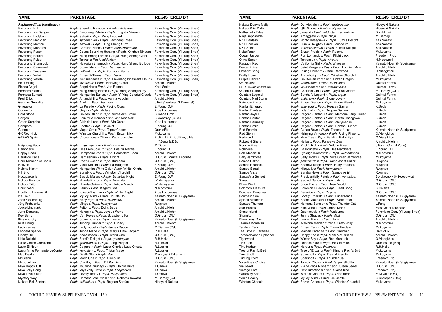| <b>NAME</b>                | <b>PARENTAGE</b>                                             | <b>REGISTERED BY</b>           | <b>NAME</b>                |                        | <b>PARENTAGE</b>                                | <b>REGISTERED BY</b>    |
|----------------------------|--------------------------------------------------------------|--------------------------------|----------------------------|------------------------|-------------------------------------------------|-------------------------|
| Paphiopedilum (continued)  |                                                              |                                | Nakata Donvis Maliy        |                        | Paph. Donvischilum x Paph. malipoense           | Hideyuki Nakata         |
| Favorlang Hill             | Paph. Shen-Liu Rainbow x Paph. fairrieanum                   | Favorlang Gdn. (Yi-Lung Shen)  | Nakata Win Maliy           |                        | Paph. QF Winona x Paph. malipoense              | Hideyuki Nakata         |
| Favorlang Ice Dagger       | Paph. Favorlang Valwin x Paph. Knight's Niveum               | Favorlang Gdn. (Yi-Lung Shen)  | Nathaniel's Tales          |                        | Paph. parishii x Paph. adductum var. anitum     | Don N. Lai              |
| Favorlang Ladybug          | Paph. Sakaki x Paph. Ruby Leopard                            | Favorlang Gdn. (Yi-Lung Shen)  | Ninja Impossible           |                        | Paph. Arpeggiate x Paph. Ninja                  | M.Tierney               |
| Favorlang Magician         | Paph. spicerianum x Paph. Favorlang Rose                     | Favorlang Gdn. (Yi-Lung Shen)  | <b>NKT Fantasy</b>         |                        | Paph. Norito Hasegawa x Paph. Fumi's Delight    | Yas.Nakato              |
| Favorlang Mantou           | Paph. niveum x Paph. Hung Sheng Olive                        | Favorlang Gdn. (Yi-Lung Shen)  | <b>NKT Passion</b>         |                        | Paph. Fumi's Delight x Paph. Fanaticum          | Yas.Nakato              |
| <b>Favorlang Monarch</b>   | Paph. Caroline Hands x Paph. rothschildianum                 | Favorlang Gdn. (Yi-Lung Shen)  | <b>NKT Spirit</b>          |                        | Paph. rothschildianum x Paph. Fumi's Delight    | Yas.Nakato              |
| Favorlang Peach            | <i>Paph.</i> Cocoa Sparkling Hunting x Paph. Knight's Niveum | Favorlang Gdn. (Yi-Lung Shen)  | Nobel Year                 |                        | Paph. Enzan Probie x Paph. Paeony               | Mukoyama                |
| <b>Favorlang Porcini</b>   | Paph. Hung Sheng Lemon x Paph. Hung Sheng Giant              | Favorlang Gdn. (Yi-Lung Shen)  | Ocean Jasper               |                        | Paph. Pon Lomando x Paph. Flight Jack           | Freedom Proj.           |
| <b>Favorlang Pulsar</b>    | Paph. Taiwan x Paph. adductum                                | Favorlang Gdn. (Yi-Lung Shen)  | Olivia Sugar               |                        | Paph. Tontonsuk x Paph. niveum                  | N.Mochizuki             |
| <b>Favorlang Shamrock</b>  | Paph. Hawaiian Shamrock x Paph. Hung Sheng Bulldog           | Favorlang Gdn. (Yi-Lung Shen)  | Paragon Red                |                        | Paph. California Girl x Paph. Winesap           | Yamato-Noen (H.Sugiya   |
| <b>Favorlang Stoneland</b> | Paph. Stone Island x Paph. henryanum                         | Favorlang Gdn. (Yi-Lung Shen)  | Peeter Kriisa              |                        | Paph. Saint Margarets Bay x Paph. Loonie K-Man  | Arnold J.Klehm          |
| <b>Favorlang Treasure</b>  | Paph. bellatulum x Paph. Formosa Flame                       | Favorlang Gdn. (Yi-Lung Shen)  | <b>Phoenix Song</b>        |                        | Paph. Rising Phoenix x Paph. Redwood            | O.Viengkhou             |
| <b>Favorlang Valwin</b>    | Paph. Enzan Williams x Paph. Valwin                          | Favorlang Gdn. (Yi-Lung Shen)  | <b>Pretty Nose</b>         |                        | Paph. Arapaholight x Paph. Winston Churchill    | Arnold J.Klehm          |
| Favorlang Vanilla          | Paph. wenshanense x Paph. Favorlang Iridescent Clouds        | Favorlang Gdn. (Yi-Lung Shen)  | <b>Purple Dancer</b>       |                        | Paph. Goultenianum x Paph. Enzan Dragon         | Mukoyama                |
| Felix Eifling              | Paph. sukhakulii x Paph. Hsinying Cloud                      | Arnold J.Klehm                 | QF Halawa                  |                        | Paph. urbanianum x Paph. violascens             | <b>Quintal Farms</b>    |
| Florida Angel              | Paph. Angel Hair x Paph. Jan Ragan                           | Krull-Smith                    | QF Ki'owaiokihawaine       |                        | Paph. violascens x Paph. vietnamense            | <b>Quintal Farms</b>    |
| Formosa Flame              | Paph. Hung Sheng Flame x Paph. Hung Sheng Ruby               | Favorlang Gdn. (Yi-Lung Shen)  | Queen's Gambit             |                        | Paph. Charlie's Girl x Paph. Ajay's Belvedere   | M.Tierney (O/U)         |
| Formosa Sunset             | Paph. Hampshire Sunset x Paph. Yi-Ying Colorful Clouds       | Favorlang Gdn. (Yi-Lung Shen)  | Quintals Legend            |                        | Paph. Satchel's Legend x Paph. argus            | <b>Quintal Farms</b>    |
| <b>Fred Elliot</b>         | Paph. Amandahill x Paph. Varina Vaughn                       | Arnold J.Klehm                 | <b>Quintals Mini Stone</b> |                        | Paph. thaianum x Paph. Stone Lovely             | <b>Quintal Farms</b>    |
| German Geniality           | Paph. Aladin x Paph. henryanum                               | J.Puig Verdura (G.Demmel)      | <b>Rainbow Fusion</b>      |                        | Paph. Enzan Dragon x Paph. Enzan Blendia        | Mukoyama                |
| Gingueval                  | Paph. La Perelle x Paph. Pacific Ocean                       | E.Young O.F.                   | <b>Ranfan Emerald</b>      |                        | Paph. emersonii x Paph. Regcan Sanfan           | K.Ueda                  |
| Godeurfou                  | Paph. Onyx x Paph. ciliolare                                 | X.de Loubresse                 | Ranfan Fantasy             |                        | Paph. Lola Bird x Paph. Regcan Sanfan           | K.Ueda                  |
| <b>Gold Stone</b>          | Paph. Golden Island x Paph. Sorcerer's Stone                 | Suwada Orch.                   | Ranfan Joyful              |                        | Paph. Regcan Sanfan x Paph. Memoria Larry Heuer | K.Ueda                  |
| Gorgon                     | Paph. Shin-Yi Williams x Paph. sanderianum                   | B.Goostrey (S.Tsui)            | Ranfan Sanfan              |                        | Paph. Regcan Sanfan x Paph. Norito Hasegawa     | K.Ueda                  |
| Green Surprise             | Paph. Clair de Lune x Paph. Via Quatal                       | X.de Loubresse                 | Ranfan Sanmally            |                        | Paph. Regcan Sanfan x Paph. malipoense          | K.Ueda                  |
| Grimperel                  | Paph. Spotter x Paph. Colonist                               | E. Young O.F.                  | Ranfan Smile               |                        | Paph. Regcan Sanfan x Paph. Ranfan Quartet      | K.Ueda                  |
| Gungnir                    | Paph. Magic Oro x Paph. Topaz Charm                          | OrchidFix                      | <b>Red Sparkle</b>         |                        | Paph. Cuban Boys x Paph. Theresa Usuki          | Yamato-Noen (H.Sugiya   |
| <b>GX Red Nick</b>         | Paph. Winston Churchill x Paph. Enzan Nick                   | Mukoyama                       | <b>Red Storm</b>           |                        | Paph. Hsinying Vinyweb x Paph. Rising Phoenix   | O.Viengkhou             |
| <b>GXAAS Spring</b>        | Paph. Cocoa Lovely Oliver x Paph. concolor                   | Xiuling Li (X.Li, J.Fan, J.He, | Redwood                    |                        | Paph. New Tree x Paph. Fighting Bull's Eye      | O.Viengkhou             |
|                            |                                                              | Y.Zeng & Z.Bu)                 | Robert H Sherer            |                        | Paph. Hellas x Paph. Panaewa Zoo                | Arnold J.Klehm          |
| Haiphong Baby              | Paph. rungsuriyanum x Paph. niveum                           | M.Tibbs                        | Rock 'n Free               |                        | Paph. Rock'n Roll x Paph. Wild 'n Free          | J.Fang (Orchid Zone)    |
| Hamonerie                  | Paph. Des Pres Soleil x Paph. Bas du Marais                  | E. Young O.F.                  | Rollinerie                 |                        | Paph. La Hougette x Paph. Des Marchiers         | E. Young O.F.           |
| Happy Beau                 | Paph. Hampshire Zoo x Paph. Hampshire Beau                   | Arnold J.Klehm                 | Saki Mochizuki             |                        | Paph. Lynleigh Koopowitz x Paph. vietnamense    | N.Mochizuki             |
| Harall de Paris            | Paph. Harrisianum x Paph. Allright                           | O.Gruss (Marcel Lecoufle)      | Salty Jamboree             |                        | Paph. Salty Today x Paph. Miya Green Jamboree   | Mukoyama                |
| Harri Minner aus Berlin    | Paph. Pacific Ocean x Paph. Burnham                          | O.Gruss (O/U)                  | Samba Baker                |                        | Paph. primulinum x Paph. Dame Janet Baker       | R.Agnes                 |
| Hativels                   | Paph. Vieux Moulin x Paph. La Hougette                       | E. Young O.F.                  | Samba Peacock              |                        | Paph. Shadow Magic x Paph. Ruby Peacock         | R.Agnes                 |
| Helena Klehm               | Paph. Hampshire White Oak x Paph. White Knight               | Arnold J.Klehm                 | Samba Squall               |                        | Paph. Nisqually x Paph. henryanum               | R.Agnes                 |
| Hill Bird                  | Paph. Songbird x Paph. Winston Churchill                     | O.Gruss (O/U)                  | Samba Vista                |                        | Paph. Samba Hews x Paph. Samba Artist           | R.Agnes                 |
| Hocquarderie               | Paph. Bas du Marais x Paph. Saturday Night                   | E. Young O.F.                  | Santa Ana Sunset           |                        | Paph. Presidentially Petula x Paph. venustum    | Sorokowsky (H.Koopow    |
| Hokota Beacon              | Paph. Hokota Fusion x Paph. Amanda                           | W.Nagayama                     | Sayso                      |                        | Paph. Sacred Dancer x Paph. callosum            | O.Gruss (O/U)           |
| Hokota Triton              | Paph. Hokota Celisia x Paph. Hokota March                    | W.Nagayama                     | Show World                 |                        | Paph. Show Piece x Paph. New World              | O.Gruss (O/U)           |
| Houkiboshi                 | Paph. Saiun x Paph. Kagemusha                                | N.Mochizuki                    | Solomon Treasure           |                        | Paph. Solomon Queen x Paph. Pearl Song          | S.Oikawa                |
| Hunthrou Hammabit          | Paph. rothschildianum x Paph. White Knight                   | X.de Loubresse                 | Southern Daughter          |                        | Paph. Berenice x Paph. Psyche                   | O.Gruss (O/U)           |
| Ice Field                  | Paph. Icy Icy Wind x Paph. Double Up                         | Yamato-Noen (H.Sugiyama)       | Southern Sea               |                        | Paph. Lovely Emerald x Paph. Lunar Maria        | Yamato-Noen (H.Sugiya   |
| John Wollenburg            | Paph. Rosy Eqret x Paph. sukhakulii                          | Arnold J.Klehm                 | Splash Mountain            |                        | Paph. Space Mountain x Paph. World Plus         | Yamato-Noen (H.Sugiya   |
| Jörg Frehsonke             | Paph. Mingo x Paph. henryanum                                | R.Agnes                        | Spotted Thunder            |                        | Paph. Hamana Samson x Paph. Thunder Cat         | J.Fang                  |
| Joyce Lindmark             | Paph. Felton x Paph. Doll's Bebe                             | Arnold J.Klehm                 | <b>Star Rubies</b>         |                        | Paph. Fine Wine x Paph. Jenna Marie             | Masayoshi Takahashi     |
| June Dunaway               | Paph. Hakugin x Paph. Joyous World                           | Arnold J.Klehm                 | Stone Island               |                        | Paph. Quennevais x Paph. Waipunga               | Favorlang Gdn. (Yi-Lung |
| Key Berry                  | Paph. Carl Keyes x Paph. Strawberry Fair                     | O.Gruss (O/U)                  | Stramitz                   |                        | Paph. Jenny Strauss x Paph. Mitzi               | O.Gruss (O/U)           |
| Kiss and Cry               | Paph. Stone Lovely x Paph. niveum                            | Yamato-Noen (H.Sugiyama)       | Strawberry Roan            |                        | Paph. Lauren Klehm x Paph. Inca                 | Arnold J.Klehm          |
| Kurt Eifling               | Paph. Johnny Jumper x Paph. Lunacy                           | Arnold J.Klehm                 | Takuma Komatsu             |                        | Paph. Wawona Maiden x Paph. Crazy Jolly         | N.Mochizuki             |
| Lady James                 | Paph. Lady Isobel x Paph. James Bacon                        | M.Tierney (O/U)                | <b>Tandem Park</b>         |                        | Paph. Enzan Park x Paph. Enzan Tandem           | Mukoyama                |
| <b>Leopard Sparks</b>      | Paph. Jenna Marie x Paph. Mary's Little Leopard              | R.H.Hella                      | Tea Time in Paradise       |                        | Paph. Maiden Paradise x Paph. Yalinbah          | OrchidFix               |
| Liberty Hill               | Paph. Acclamation x Paph. World One                          | O.Gruss (O/U)                  |                            | Terpsechorean Splendor | Paph. Happy Zoo x Paph. Marti McCormick         | Arnold J.Klehm          |
| <b>Little Delight</b>      | Paph. Barbi's Delight x Paph. godefroyae                     | R.H.Hella                      | Tigerwood                  |                        | Paph. Winter Sky x Paph. Red Monarch            | O.Viengkhou             |
| Lussr Céline Camirand      | Paph. gratrixianum x Paph. Lang Pepper                       | R.Lussier                      | Tink Tien                  |                        | Paph. Orinoco Flow x Paph. Ho Chi Minh          | Orchids Ltd [MN]        |
| Lussr El Nouh              | Paph. Calpard x Paph. Lussr Charles-Luca Onesta              | R.Lussier                      | <b>Tiny Harbur</b>         |                        | Paph. Harbur x Paph. thaianum                   | R.H.Hella               |
| Lussr Mme Fernande LeConte | Paph. venustum x Paph. Tristar Mabo                          | R.Lussier                      | Tree of Pacific Bird       |                        | Paph. Tree of Enzan x Paph. Kimura Pacific Bird | Mukoyama                |
| Mac Death                  | Paph. Death Star x Paph. Mac                                 | Masayoshi Takahashi            | <b>Tree Sholt</b>          |                        | Paph. Sparsholt x Paph. Tree of Blendia         | Mukoyama                |
| McGlenn                    | Paph. Mach One x Paph. Glenburn                              | O.Gruss (O/U)                  | <b>Turning Point</b>       |                        | Paph. Sparsholt x Paph. Thunder Cat             | Freedom Proj.           |
| Metropolitan               | Paph. City Boy x Paph. Oil Painting                          | Yamato-Noen (H.Sugiyama)       | Valentine's Choice         |                        | Paph. Jared's Choice x Paph. Super Shuttle      | Yamato-Noen (H.Sugiya   |
| Miya Happy Gift            | Paph. Tsukuba Yuunagi x Paph. Orchid Drive                   | T.Ozawa                        | Via Jewel                  |                        | Paph. Via Muchos Ninos x Paph. Green Jewel      | O.Gruss (O/U)           |
| Miya Jolly Hang            | Paph. Miya Jolly Nette x Paph. hangianum                     | T.Ozawa                        | Vintage Port               |                        | Paph. New Direction x Paph. Claret Tree         | Freedom Proj.           |
| Miya Lovely Map            | Paph. Lovely Today x Paph. malipoense                        | T.Ozawa                        | <b>Wellesley Bear</b>      |                        | Paph. Wellesleyanum x Paph. Wine Bear           | M.Miyake (O/U)          |
| Mystery Way                | Paph. Hamana Makuvin x Paph. Robert's Reward                 | M.Tierney (O/U)                | <b>White Beauty</b>        |                        | Paph. Icy Icy Wind x Paph. Ice Castle           | S.Skoropad (O/U)        |
| Nakata Bell Sanfan         | Paph. bellatulum x Paph. Regcan Sanfan                       | Hideyuki Nakata                | Winston Chocola            |                        | Paph. Enzan Chocola x Paph. Winston Churchill   | Mukoyama                |

| NAME                                       | <b>PARENTAGE</b>                                                                      | <b>REGISTERED BY</b>            |
|--------------------------------------------|---------------------------------------------------------------------------------------|---------------------------------|
| Nakata Donvis Maliy                        | Paph. Donvischilum x Paph. malipoense                                                 | Hideyuki Nakata                 |
| Nakata Win Maliy                           | Paph. QF Winona x Paph. malipoense                                                    | Hideyuki Nakata                 |
| Nathaniel's Tales                          | Paph. parishii x Paph. adductum var. anitum                                           | Don N. Lai                      |
| Ninja Impossible                           | Paph. Arpeggiate x Paph. Ninja                                                        | M.Tierney                       |
| NKT Fantasy                                | Paph. Norito Hasegawa x Paph. Fumi's Delight                                          | Yas.Nakato                      |
| NKT Passion                                | Paph. Fumi's Delight x Paph. Fanaticum                                                | Yas.Nakato                      |
| NKT Spirit                                 | Paph. rothschildianum x Paph. Fumi's Delight                                          | Yas.Nakato                      |
| Nobel Year                                 | Paph. Enzan Probie x Paph. Paeony                                                     | Mukoyama                        |
| Ocean Jasper                               | Paph. Pon Lomando x Paph. Flight Jack                                                 | Freedom Proj.                   |
| Olivia Sugar                               | Paph. Tontonsuk x Paph. niveum                                                        | N.Mochizuki                     |
| Paragon Red                                | Paph. California Girl x Paph. Winesap                                                 | Yamato-Noen (H.Sugiyama)        |
| Peeter Kriisa                              | Paph. Saint Margarets Bay x Paph. Loonie K-Man                                        | Arnold J.Klehm                  |
| Phoenix Song                               | Paph. Rising Phoenix x Paph. Redwood                                                  | O.Viengkhou                     |
| Pretty Nose                                | Paph. Arapaholight x Paph. Winston Churchill                                          | Arnold J.Klehm                  |
| Purple Dancer                              | Paph. Goultenianum x Paph. Enzan Dragon                                               | Mukoyama                        |
| QF Halawa                                  | Paph. urbanianum x Paph. violascens                                                   | <b>Quintal Farms</b>            |
| QF Ki'owaiokihawaine                       | Paph. violascens x Paph. vietnamense                                                  | <b>Quintal Farms</b>            |
| Queen's Gambit                             | Paph. Charlie's Girl x Paph. Ajay's Belvedere                                         | M.Tierney (O/U)                 |
| Quintals Legend                            | Paph. Satchel's Legend x Paph. argus                                                  | <b>Quintal Farms</b>            |
| Quintals Mini Stone                        | Paph. thaianum x Paph. Stone Lovely                                                   | <b>Quintal Farms</b>            |
| <b>Rainbow Fusion</b>                      | Paph. Enzan Dragon x Paph. Enzan Blendia                                              | Mukoyama                        |
| Ranfan Emerald                             | Paph. emersonii x Paph. Regcan Sanfan                                                 | K.Ueda                          |
| Ranfan Fantasy                             | Paph. Lola Bird x Paph. Regcan Sanfan                                                 | K.Ueda                          |
| Ranfan Joyful                              | Paph. Regcan Sanfan x Paph. Memoria Larry Heuer                                       | K.Ueda<br>K.Ueda                |
| Ranfan Sanfan                              | Paph. Regcan Sanfan x Paph. Norito Hasegawa<br>Paph. Regcan Sanfan x Paph. malipoense |                                 |
| Ranfan Sanmally<br>Ranfan Smile            | Paph. Regcan Sanfan x Paph. Ranfan Quartet                                            | K.Ueda<br>K.Ueda                |
| Red Sparkle                                | Paph. Cuban Boys x Paph. Theresa Usuki                                                | Yamato-Noen (H.Sugiyama)        |
| Red Storm                                  | Paph. Hsinying Vinyweb x Paph. Rising Phoenix                                         | O.Viengkhou                     |
| Redwood                                    | Paph. New Tree x Paph. Fighting Bull's Eye                                            | O.Viengkhou                     |
| Robert H Sherer                            | Paph. Hellas x Paph. Panaewa Zoo                                                      | Arnold J.Klehm                  |
| Rock 'n Free                               | Paph. Rock'n Roll x Paph. Wild 'n Free                                                | J.Fang (Orchid Zone)            |
| Rollinerie                                 | Paph. La Hougette x Paph. Des Marchiers                                               | E. Young O.F.                   |
| Saki Mochizuki                             | Paph. Lynleigh Koopowitz x Paph. vietnamense                                          | N.Mochizuki                     |
| Salty Jamboree                             | Paph. Salty Today x Paph. Miya Green Jamboree                                         | Mukoyama                        |
| Samba Baker                                | Paph. primulinum x Paph. Dame Janet Baker                                             | R.Agnes                         |
| Samba Peacock                              | Paph. Shadow Magic x Paph. Ruby Peacock                                               | R.Agnes                         |
| Samba Squall                               | Paph. Nisqually x Paph. henryanum                                                     | R.Agnes                         |
| Samba Vista                                | Paph. Samba Hews x Paph. Samba Artist                                                 | R.Agnes                         |
| Santa Ana Sunset                           | Paph. Presidentially Petula x Paph. venustum                                          | Sorokowsky (H.Koopowitz)        |
| Sayso                                      | Paph. Sacred Dancer x Paph. callosum                                                  | O.Gruss (O/U)                   |
| Show World                                 | Paph. Show Piece x Paph. New World                                                    | O.Gruss (O/U)                   |
| Solomon Treasure                           | Paph. Solomon Queen x Paph. Pearl Song                                                | S.Oikawa                        |
| Southern Daughter                          | Paph. Berenice x Paph. Psyche                                                         | O.Gruss (O/U)                   |
| Southern Sea                               | Paph. Lovely Emerald x Paph. Lunar Maria                                              | Yamato-Noen (H.Sugiyama)        |
| Splash Mountain                            | Paph. Space Mountain x Paph. World Plus                                               | Yamato-Noen (H.Sugiyama)        |
| Spotted Thunder                            | Paph. Hamana Samson x Paph. Thunder Cat                                               | J.Fang                          |
| Star Rubies                                | Paph. Fine Wine x Paph. Jenna Marie                                                   | Masayoshi Takahashi             |
| Stone Island                               | Paph. Quennevais x Paph. Waipunga                                                     | Favorlang Gdn. (Yi-Lung Shen)   |
| Stramitz                                   | Paph. Jenny Strauss x Paph. Mitzi                                                     | O.Gruss (O/U)                   |
| Strawberry Roan                            | Paph. Lauren Klehm x Paph. Inca                                                       | Arnold J.Klehm                  |
| Takuma Komatsu                             | Paph. Wawona Maiden x Paph. Crazy Jolly                                               | N.Mochizuki                     |
| Tandem Park                                | Paph. Enzan Park x Paph. Enzan Tandem                                                 | Mukoyama                        |
| Tea Time in Paradise                       | Paph. Maiden Paradise x Paph. Yalinbah                                                | OrchidFix                       |
| Terpsechorean Splendor                     | Paph. Happy Zoo x Paph. Marti McCormick                                               | Arnold J.Klehm                  |
| Tigerwood<br><b>Tink Tien</b>              | Paph. Winter Sky x Paph. Red Monarch<br>Paph. Orinoco Flow x Paph. Ho Chi Minh        | O.Viengkhou                     |
|                                            |                                                                                       | Orchids Ltd [MN]<br>R.H.Hella   |
| Tiny Harbur<br><b>Tree of Pacific Bird</b> | Paph. Harbur x Paph. thaianum<br>Paph. Tree of Enzan x Paph. Kimura Pacific Bird      |                                 |
| Tree Sholt                                 |                                                                                       | Mukoyama<br>Mukoyama            |
|                                            | Paph. Sparsholt x Paph. Tree of Blendia<br>Paph. Sparsholt x Paph. Thunder Cat        | Freedom Proj.                   |
| <b>Turning Point</b>                       |                                                                                       |                                 |
| Valentine's Choice                         | Paph. Jared's Choice x Paph. Super Shuttle                                            | Yamato-Noen (H.Sugiyama)        |
| Via Jewel                                  | Paph. Via Muchos Ninos x Paph. Green Jewel                                            | O.Gruss (O/U)                   |
| Vintage Port<br>Wellesley Bear             | Paph. New Direction x Paph. Claret Tree<br>Paph. Wellesleyanum x Paph. Wine Bear      | Freedom Proj.<br>M.Miyake (O/U) |
| White Beauty                               | Paph. Icy Icy Wind x Paph. Ice Castle                                                 | S.Skoropad (O/U)                |
|                                            |                                                                                       |                                 |

Winston Chocola *Paph.* Enzan Chocola x Paph. Winston Churchill Mukoyama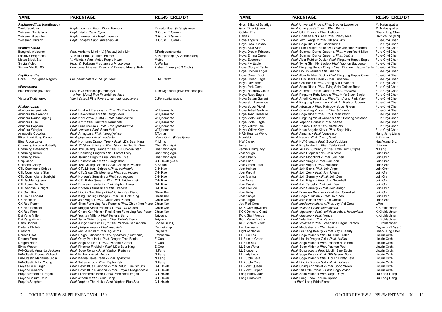| <b>NAME</b>                                      | <b>PARENTAGE</b>                                                                             | <b>REGISTERED BY</b>               | <b>NAME</b>                          | <b>PARENTAGE</b>                                                                              | <b>REGISTERED BY</b>             |
|--------------------------------------------------|----------------------------------------------------------------------------------------------|------------------------------------|--------------------------------------|-----------------------------------------------------------------------------------------------|----------------------------------|
| Paphiopedilum (continued)                        |                                                                                              |                                    | Glos' Srikandi Salatiga              | Phal. Universal Pride x Phal. Brother Lawrence                                                | M. Natasaputra                   |
| World Sculptor                                   | Paph. Louvre x Paph. World Famous                                                            | Yamato-Noen (H.Sugiyama)           | Glos' Tiger Queen                    | Phal. Chingruey's Tiger x Phal. Prima                                                         | M. Natasaputra                   |
| Wössner Blackglanz                               | Paph. Vert x Paph. tigrinum                                                                  | O.Gruss (F.Glanz)                  | Golden Era                           | Phal. Sibin Prince x Phal. Heliodor                                                           | Chen-Hung Chen                   |
| Wössner Braemher                                 | Paph. herrmannii x Paph. braemii                                                             | O.Gruss (F.Glanz)                  | Hawes                                | <i>Phal.</i> Chelsea McGuire x <i>Phal.</i> Pretty Nice                                       | Orchids Ltd [MN]                 |
| Wössner Drurarmi                                 | Paph. druryi x Paph. armeniacum                                                              | O.Gruss (F.Glanz)                  | Hoya Angel's Kitty                   | Phal. Yizhu Angel x Phal. Chiada Kitty                                                        | Fure-Chyi Chen                   |
|                                                  |                                                                                              |                                    | Hoya Black Galaxy                    | Phal. Sogo Dio x Phal. schilleriana                                                           | Fure-Chyi Chen                   |
| xPapilionanda                                    |                                                                                              |                                    | Hoya Blue Star                       | Phal. Liu's Twilight Rainbow x Phal. Jennifer Palermo                                         | Fure-Chyi Chen                   |
| <b>Bangkok Welcome</b>                           | Pda. Madame Mimi x V. [Ascda.] Julia Lim                                                     | T.Paripoonanonda                   | Hoya Dream Princess                  | Phal. Summer Dance Queen x Phal. Magnificent Mibs                                             | Fure-Chyi Chen                   |
| Lanlalyn Fragrance                               | V. Mali x Pda. [V.] Mimi Palmer                                                              | B.Pumploenpit(S.Wannakrairoj)      | Hoya Emma Queen                      | Phal. Summer Dance Queen x Phal. bellina                                                      | Fure-Chyi Chen                   |
| Motes Black Star                                 | V. Violeta x Pda. Motes Purple Haze                                                          | Motes                              | Hoya Evergreen                       | <i>Phal.</i> Aber Rubber Duck x <i>Phal.</i> Pingtung Happy Eagle                             | Fure-Chyi Chen                   |
| Sylvia Violet                                    | Pda. [V.] Paksorn Fragrance x V. coerulea                                                    | A.Waribam                          | Hoya Fly Eagle                       | <i>Phal.</i> Tying Shin Fly Eagle x <i>Phal.</i> Yaphon Badperson                             | Fure-Chyi Chen                   |
| Xishan Mindful 85                                | Pda. Josephine van Brero x V. Prayard Muang Ratch                                            | Xishan Primary (SG Orch.)          | Hoya Glory of Eagle                  | Phal. Pingtung Happy Glory x Phal. Pingtung Happy Eagle Fure-Chyi Chen                        |                                  |
| <b>Papilionanthe</b>                             |                                                                                              |                                    | Hoya Golden Angel<br>Hoya Green Duck | Phal. Lioulin Venus x Phal. mannii                                                            | Fure-Chyi Chen                   |
| Doris E. Rodríguez Negrón                        | Ple. pedunculata x Ple. [V.] teres                                                           | J. M. Perez                        | Hoya Green Eagle                     | Phal. Aber Rubber Duck x Phal. Pingtung Happy Glory<br>Phal. LD's Bear Queen x Phal. Grosbeak | Fure-Chyi Chen<br>Fure-Chyi Chen |
|                                                  |                                                                                              |                                    | Hoya Lavender                        | Phal. Grosbeak x Phal. Zheng Min Lavender                                                     | Fure-Chyi Chen                   |
| xPerreiraara                                     |                                                                                              |                                    | Hoya Pink Gem                        | Phal. Sogo Nice x Phal. Tying Shin Golden Rose                                                | Fure-Chyi Chen                   |
| Five Friendships Atisha                          | Prra. Five Friendships Pitchaya                                                              | T.Thaviyonchai (Five Friendships)  | Hoya Rainbow Cloud                   | Phal. Summer Dance Queen x Phal. tetraspis                                                    | Fure-Chyi Chen                   |
|                                                  | x Van. [Prra.] Five Friendships Jade                                                         |                                    | Hoya Ruby Eagle                      | Phal. Pingtung Ruby Love x Phal. Yin's Black Eagle                                            | Fure-Chyi Chen                   |
| Victoria Tkatchenko                              | Van. [Vasco.] Pine Rivers x Aer. quinquevulnera                                              | C.Pornpattanapong                  | Hoya Saturn Sunset                   | Phal. Angdi Kolopaking x Phal. YangYang Pink Mary                                             | Fure-Chyi Chen                   |
|                                                  |                                                                                              |                                    | Hoya Sun Lawrence                    | Phal. Pingtung Lawrence x Phal. AL Redsun Queen                                               | Fure-Chyi Chen                   |
| <b>Phalaenopsis</b>                              |                                                                                              |                                    | Hoya Super Violet                    | Phal. tetraspis x Phal. Rainbow Super Green                                                   | Fure-Chyi Chen                   |
| Abuflora Angkukueh                               | Phal. Kuntrarti Rarashati x Phal. OX Black Face                                              | W.Tjiasmanto                       | Hoya Tetra Rainbow                   | Phal. Chienlung Vincent x Phal. tetraspis                                                     | Fure-Chyi Chen                   |
| Abuflora Bika Ambon                              | Phal. Deventeriana x Phal. Sogo Meili                                                        | W.Tjiasmanto                       | <b>Hoya Toad Treasure</b>            | Phal. Sogo Nice x Phal. GW Green World                                                        | Fure-Chyi Chen                   |
| Abuflora Dadar Jagung                            | Phal. New Wave (1985) x Phal. amboinensis                                                    | W.Tjiasmanto                       | Hoya Viola Queen                     | Phal. Pingtung Violet Queen x Phal. Penang Violacea                                           | Fure-Chyi Chen                   |
| Abuflora Gulali                                  | Phal. Jim x Phal. Kuntrarti Rarashati                                                        | W.Tjiasmanto                       | <b>Hova Violet Eagle</b>             | Phal. Yaphon Cousin x Phal. bellina                                                           | Fure-Chyi Chen                   |
| Abuflora Popcorn                                 | Phal. Liu's Sakura x Phal. [Dor.] pulcherrima                                                | W.Tjiasmanto                       | Hoya Yellow Elfin                    | Phal. Unimax Elfin x Phal. micholitzii                                                        | Fure-Chyi Chen                   |
| Abuflora Wingko                                  | Phal. venosa x Phal. Sogo Meili                                                              | W.Tjiasmanto                       | Hoya Yellow Kitty                    | Phal. Hoya Angel's Kitty x Phal. Sogo Kitty                                                   | Fure-Chyi Chen                   |
| Annabelle Cocollos                               | Phal. Arlington x Phal. hieroglyphica                                                        | T.Tomas                            | <b>HRB Huahua World</b>              | Phal. Almanis x Phal. Venosasp                                                                | Hung Jeng Liang                  |
| Blitar Bumi Bung Karno                           | Phal. gigantea x Phal. modesta                                                               | Wawa Orch. (D.Setijawan)           | Humlebi                              | Phal. Hebe x Phal. Cherry Spot                                                                | <b>B.Fischer</b>                 |
| Blue Ridge Lava                                  | Phal. Norman's Dragon Tree x Phal. LD's Bear King                                            | M.Mims                             | HW-5 grex                            | Phal. HW-3 grex x Phal. Sogo Yukidian                                                         | Hua Wang Bio.                    |
| Charming Autumn Butterfly                        | Phal. JC Stars Shining x Phal. Giant Lin Duo Er-Guen                                         | Char Ming Agri.                    | Indre                                | Phal. Purple Heart x Phal. Taida Pearl                                                        | I.Liutkus                        |
| Charming Cassandra                               | Phal. Tzu Chiang Orange x Phal. OX Golden Star                                               | Char Ming Agri.                    | Jamie's Burgundy                     | Phal. Yu Pin Burgundy x Phal. Little Gem Stripes                                              | N.Fang                           |
| <b>Charming Dream</b>                            | Phal. Charming Singer x Phal. Forest Fairy                                                   | Char Ming Agri.                    | Join Amigo                           | Phal. Join Utopia x Phal. Join Astro                                                          | Join Orch.                       |
| <b>Charming Pixie</b>                            | Phal. Taisuco Bright x Phal. Zuma's Pixie                                                    | Char Ming Agri.                    | Join Charity                         | Phal. Join Moonlight x Phal. Join Zen                                                         | Join Orch.                       |
| Chip Chop<br><b>Christine Casey</b>              | Phal. Rainbow Chip x Phal. Sogo Ibon<br>Phal. Tzu Chiang Dance x Phal. Chang Maw Jade        | C-L.Hsieh (O/U)<br><b>B.Belton</b> | Join Ease<br>Join Green Lake         | Phal. Join Amigo x Phal. Join Zen<br>Phal. Join Angel x Phal. Heliodor                        | Join Orch.<br>Join Orch.         |
| <b>CTL Cochlearis Stripes</b>                    | Phal. CTL Lindenii Stripes x Phal. cochlearis                                                | C-H.Kuo                            | Join Haikou                          | Phal. Join Star x Phal. Join Angel                                                            | Join Orch.                       |
| CTL Corningiana Star                             | Phal. CTL Stuar Christopher x Phal. corningiana                                              | C-H.Kuo                            | Join Knight                          | Phal. Join Zen x Phal. Join Utopia                                                            | Join Orch.                       |
| CTL Corningiana Sunlight                         | Phal. Noreen's Sunshine x Phal. corningiana                                                  | C-H.Kuo                            | Join Mantra                          | Phal. Join Serenity x Phal. Join Zen                                                          | Join Orch.                       |
| CTL Golden Queen                                 | Phal. CTL Kahu Queen x Phal. CTL Taichung Girl                                               | C-H.Kuo                            | Join Nova                            | Phal. Join Bright x Phal. Join Snowball                                                       | Join Orch.                       |
| <b>CTL Lover Kaiulani</b>                        | Phal. Princess Kaiulani x Phal. Yaphon Lover                                                 | C-H.Kuo                            | Join Passion                         | Phal. Join Target x Phal. Join Zen                                                            | Join Orch.                       |
| <b>CTL Venosa Sunlight</b>                       | Phal. Noreen's Sunshine x Phal. venosa                                                       | C-H.Kuo                            | Join Prelude                         | Phal. Join Serenity x Phal. Join Amigo                                                        | Join Orch.                       |
| CX Gold King                                     | Phal. Lioulin Gold King x Phal. Chian Xen Piano                                              | Chian Xen                          | Join Ruby                            | Phal. Formosa Sunrise x Phal. Join Snowball                                                   | Join Orch.                       |
| CX Gold Leopard                                  | Phal. King Car Big Orange x Phal. CX Gold King                                               | Chian Xen                          | Join Sanya                           | Phal. Sogo Yukidian x Phal. Join Zen                                                          | Join Orch.                       |
| CX Raccoon                                       | Phal. Join Angel x Phal. Chian Xen Panda                                                     | Chian Xen                          | Join Target                          | Phal. Join Spirit x Phal. Join Utopia                                                         | Join Orch.                       |
| CX Red Peach                                     | Phal. Shan Feng Jing Red Peach x Phal. Chian Xen Piano Chian Xen                             |                                    | Joy Red Coral                        | Phal. lueddemanniana x Phal. Joy Viol Coral                                                   | J.Wu                             |
| <b>CX Red Peacock</b>                            | Phal. Maggie Small Peacock x Phal. OX Queen                                                  | Chian Xen                          | <b>KCK Corningwilson</b>             | Phal. wilsonii x Phal. corningiana                                                            | K.Kirchlechner                   |
| CX Red Plum                                      | Phal. Chian Xen Violin x Phal. Shan Feng Jing Red Peach Chian Xen                            |                                    | <b>KCK Delicate Giant</b>            | Phal. gigantea x Phal. deliciosa subsp. hookeriana                                            | K.Kirchlechner                   |
| Dai Yang Miller                                  | Phal. Yushan Miller x Phal. Fuller's Berry                                                   | Taiyoung                           | <b>KCK Giant Venus</b>               | Phal. gigantea x Phal. Venus                                                                  | K.Kirchlechner                   |
| Dai Yang Vivien                                  | Phal. Taida Vivien Stripes x Phal. Fuller's Berry                                            | Taiyoung                           | <b>KCK Venus Victrix</b>             | Phal. Valentinii x Phal. Venus                                                                | K.Kirchlechner                   |
| Dann Bonnell                                     | Phal. Jungo Smith (2006) x Phal. Yaphon Sensational                                          | Bonnell (O/U)                      | <b>KCK Violent Violet</b>            | Phal. violacea x Phal. Josephine Cagas Ramon                                                  | K.Kirchlechner                   |
| Dieter's Phillata                                | Phal. philippinensis x Phal. maculata                                                        | Rennekamp                          | Lembuswana                           | Phal. Modestrana x Phal. bellina                                                              | Raynalta (T.Nyan)                |
| Dirandra                                         | Phal. kapuasensis x Phal. equestris                                                          | Raynalta                           | <b>Light of Nanke</b>                | Phal. Gu Keng Beauty x Phal. Yayu Beauty                                                      | Chen-Hung Chen                   |
| Double Shot                                      | Phal. Helga Lukassen x Phal. speciosa [= tetraspis]                                          | Frehsonke                          | LL Blue Fox                          | Phal. Sogo Vivien x Phal. KS Blue Ludde                                                       | Lioulin Orch.                    |
| Dragon Flame                                     | Phal. Okay Petit Hot x Phal. Dragon Tree Eagle<br>Phal. Sogo Kaiulani x Phal. Phoenix Garnet | E.Goo                              | LL Blue in Green<br>LL Blue Sky      | Phal. Lioulin Dragon Girl x Phal. bellina                                                     | Lioulin Orch.                    |
| Dragon Heart                                     |                                                                                              | E.Goo<br>E.Goo                     |                                      | Phal. Sogo Vivien x Phal. Yaphon Blue Sea                                                     | Lioulin Orch.                    |
| Elvira Weber<br><b>FANGtastic Amanda Jackson</b> | Phal. Phoenix Firebird x Phal. LD's Bear King<br>Phal. Sogo Relex x Phal. Yaphon Perfume     | N.Fang                             | LL Blue Water<br>LL Blueberry        | Phal. Sogo Vivien x Phal. Yaphon Pool<br>Phal. Equalacea x Phal. Lioulin Blue Eagle           | Lioulin Orch.<br>Lioulin Orch.   |
| <b>FANGtastic Donna Richard</b>                  | Phal. Ember x Phal. Mugato                                                                   | N.Fang                             | LL Lady Luck                         | Phal. Sogo Relex x Phal. GW Green World                                                       | Lioulin Orch.                    |
| <b>FANGtastic Marianne Ciola</b>                 | Phal. Kaoda Davis Pearl x Phal. aphrodite                                                    | N.Fang                             | LL Purple Beta                       | Phal. Sogo Vivien x Phal. Lioulin Pretty Beta                                                 | Lioulin Orch.                    |
| FANGtastic Nikki Young                           | Phal. Tetrasambo x Phal. Yaphon Sir                                                          | N.Fang                             | LL Purple Coral                      | Phal. Lioulin Dragon Girl x Phal. violacea                                                    | Lioulin Orch.                    |
| Freya's Blue Origin                              | Phal. Peter Blue Diamond x Phal. Mituo Blue Smurfs                                           | C-L.Hsieh                          | LL Violet Queen                      | Phal. Ching Ann Violet x Phal. Sogo Vivien                                                    | Lioulin Orch.                    |
| Freya's Blueberry                                | Phal. Peter Blue Diamond x Phal. Freya's Dragonscale                                         | C-L.Hsieh                          | <b>LL Violet Stripes</b>             | Phal. OX Little Prince x Phal. Sogo Vivien                                                    | Lioulin Orch.                    |
| Freya's Emerald Dragon                           | Phal. LD Emerald Bear x Phal. Miro Red Dragon                                                | C-L.Hsieh                          | Long Pride Affair                    | Phal. Sogo Vivien x Phal. Sogo Dolyn                                                          | Jui-Fang Liang                   |
| Freya's Sakura Rain                              | Phal. lindenii x Phal. Chip Chop                                                             | C-L.Hsieh                          | Long Pride Afra                      | Phal. Long Pride Fortune Spikes                                                               | Jui-Fang Liang                   |
| Freya's Sapphire                                 | Phal. Yaphon The Hulk x Phal. Yaphon Blue Sea                                                | C-L.Hsieh                          |                                      | x Phal. Long Pride Flame                                                                      |                                  |
|                                                  |                                                                                              |                                    |                                      |                                                                                               |                                  |

| <b>NAME</b>                           | <b>PARENTAGE</b>               |                                                                                                                               | <b>REGISTERED B</b>                 |
|---------------------------------------|--------------------------------|-------------------------------------------------------------------------------------------------------------------------------|-------------------------------------|
| Glos' Srikandi Salatiga               |                                | Phal. Universal Pride x Phal. Brother Lawrence                                                                                | M. Natasaputra                      |
| Glos' Tiger Queen                     |                                | Phal. Chingruey's Tiger x Phal. Prima                                                                                         | M. Natasaputra                      |
| Golden Era                            |                                | Phal. Sibin Prince x Phal. Heliodor                                                                                           | Chen-Hung Chen                      |
| Hawes                                 |                                | Phal. Chelsea McGuire x Phal. Pretty Nice                                                                                     | Orchids Ltd [MN]                    |
| Hoya Angel's Kitty                    |                                | Phal. Yizhu Angel x Phal. Chiada Kitty                                                                                        | Fure-Chyi Chen                      |
| Hoya Black Galaxy                     |                                | Phal. Sogo Dio x Phal. schilleriana                                                                                           | Fure-Chyi Chen                      |
| Hoya Blue Star                        |                                | Phal. Liu's Twilight Rainbow x Phal. Jennifer Palermo                                                                         | Fure-Chyi Chen                      |
| Hoya Dream Princess                   |                                | <b>Phal. Summer Dance Queen x Phal. Magnificent Mibs</b>                                                                      | Fure-Chyi Chen                      |
| Hoya Emma Queen                       |                                | Phal. Summer Dance Queen x Phal. bellina                                                                                      | Fure-Chyi Chen                      |
| Hoya Evergreen                        |                                | Phal. Aber Rubber Duck x Phal. Pingtung Happy Eagle                                                                           | Fure-Chyi Chen                      |
| Hoya Fly Eagle<br>Hoya Glory of Eagle |                                | Phal. Tying Shin Fly Eagle x Phal. Yaphon Badperson<br>Phal. Pingtung Happy Glory x Phal. Pingtung Happy Eagle Fure-Chyi Chen | Fure-Chyi Chen                      |
| Hoya Golden Angel                     |                                | Phal. Lioulin Venus x Phal. mannii                                                                                            | Fure-Chyi Chen                      |
| Hoya Green Duck                       |                                | <i>Phal.</i> Aber Rubber Duck x <i>Phal.</i> Pingtung Happy Glory                                                             | Fure-Chyi Chen                      |
| Hoya Green Eagle                      |                                | Phal. LD's Bear Queen x Phal. Grosbeak                                                                                        | Fure-Chyi Chen                      |
| Hoya Lavender                         |                                | Phal. Grosbeak x Phal. Zheng Min Lavender                                                                                     | Fure-Chyi Chen                      |
| Hoya Pink Gem                         |                                | <i>Phal.</i> Sogo Nice x <i>Phal.</i> Tying Shin Golden Rose                                                                  | Fure-Chyi Chen                      |
| Hoya Rainbow Cloud                    |                                | Phal. Summer Dance Queen x Phal. tetraspis                                                                                    | Fure-Chyi Chen                      |
| Hoya Ruby Eagle                       |                                | Phal. Pingtung Ruby Love x Phal. Yin's Black Eagle                                                                            | Fure-Chyi Chen                      |
| Hoya Saturn Sunset                    |                                | Phal. Angdi Kolopaking x Phal. YangYang Pink Mary                                                                             | Fure-Chyi Chen                      |
| Hoya Sun Lawrence                     |                                | Phal. Pingtung Lawrence x Phal. AL Redsun Queen                                                                               | Fure-Chyi Chen                      |
| Hoya Super Violet                     |                                | Phal. tetraspis x Phal. Rainbow Super Green                                                                                   | Fure-Chyi Chen                      |
| Hoya Tetra Rainbow                    |                                | Phal. Chienlung Vincent x Phal. tetraspis                                                                                     | Fure-Chyi Chen                      |
| Hoya Toad Treasure                    |                                | Phal. Sogo Nice x Phal. GW Green World                                                                                        | Fure-Chyi Chen                      |
| Hoya Viola Queen                      |                                | Phal. Pingtung Violet Queen x Phal. Penang Violacea                                                                           | Fure-Chyi Chen                      |
| Hoya Violet Eagle                     |                                | Phal. Yaphon Cousin x Phal. bellina                                                                                           | Fure-Chyi Chen                      |
| Hoya Yellow Elfin                     |                                | Phal. Unimax Elfin x Phal. micholitzii                                                                                        | Fure-Chyi Chen                      |
| Hoya Yellow Kitty<br>HRB Huahua World |                                | Phal. Hoya Angel's Kitty x Phal. Sogo Kitty<br>Phal. Almanis x Phal. Venosasp                                                 | Fure-Chyi Chen                      |
| Humlebi                               |                                | Phal. Hebe x Phal. Cherry Spot                                                                                                | Hung Jeng Liang<br><b>B.Fischer</b> |
| HW-5 grex                             |                                | Phal. HW-3 grex x Phal. Sogo Yukidian                                                                                         | Hua Wang Bio.                       |
| Indre                                 |                                | Phal. Purple Heart x Phal. Taida Pearl                                                                                        | I.Liutkus                           |
| Jamie's Burgundy                      |                                | Phal. Yu Pin Burgundy x Phal. Little Gem Stripes                                                                              | N.Fang                              |
| Join Amigo                            |                                | Phal. Join Utopia x Phal. Join Astro                                                                                          | Join Orch.                          |
| Join Charity                          |                                | Phal. Join Moonlight x Phal. Join Zen                                                                                         | Join Orch.                          |
| Join Ease                             |                                | Phal. Join Amigo x Phal. Join Zen                                                                                             | Join Orch.                          |
| Join Green Lake                       |                                | Phal. Join Angel x Phal. Heliodor                                                                                             | Join Orch.                          |
| Join Haikou                           |                                | Phal. Join Star x Phal. Join Angel                                                                                            | Join Orch.                          |
| Join Knight                           |                                | Phal. Join Zen x Phal. Join Utopia                                                                                            | Join Orch.                          |
| Join Mantra                           |                                | Phal. Join Serenity x Phal. Join Zen                                                                                          | Join Orch.                          |
| Join Nova                             |                                | Phal. Join Bright x Phal. Join Snowball                                                                                       | Join Orch.                          |
| Join Passion<br>Join Prelude          |                                | Phal. Join Target x Phal. Join Zen                                                                                            | Join Orch.<br>Join Orch.            |
| Join Ruby                             |                                | Phal. Join Serenity x Phal. Join Amigo<br>Phal. Formosa Sunrise x Phal. Join Snowball                                         | Join Orch.                          |
| Join Sanya                            |                                | Phal. Sogo Yukidian x Phal. Join Zen                                                                                          | Join Orch.                          |
| Join Target                           |                                | Phal. Join Spirit x Phal. Join Utopia                                                                                         | Join Orch.                          |
| Joy Red Coral                         |                                | Phal. lueddemanniana x Phal. Joy Viol Coral                                                                                   | J.Wu                                |
| KCK Corningwilson                     |                                | Phal. wilsonii x Phal. corningiana                                                                                            | K.Kirchlechner                      |
| KCK Delicate Giant                    |                                | Phal. gigantea x Phal. deliciosa subsp. hookeriana                                                                            | K.Kirchlechner                      |
| KCK Giant Venus                       | Phal. gigantea x Phal. Venus   |                                                                                                                               | K.Kirchlechner                      |
| KCK Venus Victrix                     | Phal. Valentinii x Phal. Venus |                                                                                                                               | K.Kirchlechner                      |
| KCK Violent Violet                    |                                | Phal. violacea x Phal. Josephine Cagas Ramon                                                                                  | K.Kirchlechner                      |
| Lembuswana                            |                                | Phal. Modestrana x Phal. bellina                                                                                              | Raynalta (T.Nyan)                   |
| Light of Nanke                        |                                | Phal. Gu Keng Beauty x Phal. Yayu Beauty                                                                                      | Chen-Hung Chen                      |
| LL Blue Fox                           |                                | Phal. Sogo Vivien x Phal. KS Blue Ludde<br>Phal. Lioulin Dragon Girl x Phal. bellina                                          | Lioulin Orch.                       |
| LL Blue in Green<br>LL Blue Sky       |                                | Phal. Sogo Vivien x Phal. Yaphon Blue Sea                                                                                     | Lioulin Orch.<br>Lioulin Orch.      |
| LL Blue Water                         |                                | Phal. Sogo Vivien x Phal. Yaphon Pool                                                                                         | Lioulin Orch.                       |
| LL Blueberry                          |                                | Phal. Equalacea x Phal. Lioulin Blue Eagle                                                                                    | Lioulin Orch.                       |
| LL Lady Luck                          |                                | Phal. Sogo Relex x Phal. GW Green World                                                                                       | Lioulin Orch.                       |
| LL Purple Beta                        |                                | Phal. Sogo Vivien x Phal. Lioulin Pretty Beta                                                                                 | Lioulin Orch.                       |
| LL Purple Coral                       |                                | Phal. Lioulin Dragon Girl x Phal. violacea                                                                                    | Lioulin Orch.                       |
| LL Violet Queen                       |                                | Phal. Ching Ann Violet x Phal. Sogo Vivien                                                                                    | Lioulin Orch.                       |
| <b>LL Violet Stripes</b>              |                                | Phal. OX Little Prince x Phal. Sogo Vivien                                                                                    | Lioulin Orch.                       |
| Long Pride Affair                     |                                | Phal. Sogo Vivien x Phal. Sogo Dolyn                                                                                          | Jui-Fang Liang                      |
| Long Pride Afra                       |                                | Phal. Long Pride Fortune Spikes                                                                                               | Jui-Fang Liang                      |
|                                       | x Phal. Long Pride Flame       |                                                                                                                               |                                     |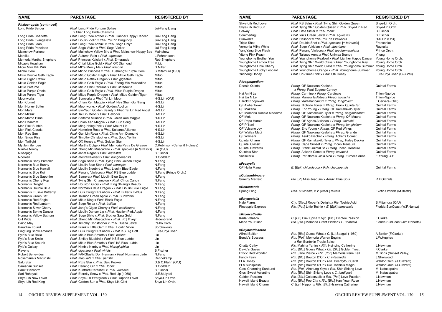| <b>NAME</b>                                      | <b>PARENTAGE</b>                                                                                 | <b>REGISTERED BY</b>         | <b>NAME</b>                                   | <b>PARENTAGE</b>                                                                                     | <b>REGISTERED BY</b>                 |
|--------------------------------------------------|--------------------------------------------------------------------------------------------------|------------------------------|-----------------------------------------------|------------------------------------------------------------------------------------------------------|--------------------------------------|
| Phalaenopsis (continued)                         |                                                                                                  |                              | Shye-Lih Red Lover                            | Phal. KS Balm x Phal. Tying Shin Golden Queen                                                        | Shye-Lih Orch.                       |
| Long Pride Berger                                | Phal. Long Pride Fortune Spikes                                                                  | Jui-Fang Liang               | Shye-Lih Red Sun                              | Phal. Tying Shin Golden Queen x Phal. Shye-Lih Red                                                   | Shve-Lih Orch.                       |
|                                                  | x Phal. Long Pride Charisma                                                                      |                              | Solway                                        | Phal. Little Sister x Phal. lobbii                                                                   | <b>B.Fischer</b>                     |
| Long Pride Charlotte                             | Phal. Long Pride Amber x Phal. Lianher Happy Dancer                                              | Jui-Fang Liang               | Sommerfugl                                    | Phal. Yin's Green Jewel x Phal. equestris                                                            | <b>B.Fischer</b>                     |
| Long Pride Evangelista                           | Phal. Lioulin Violin x Phal. Yu Pin Burgundy                                                     | Jui-Fang Liang               | Sunworks                                      | Phal. Heliodor x Phal. Yu Pin Fireworks                                                              | $H-S.Lin (O/U)$                      |
| Long Pride Leah                                  | Phal. Long Pride Adzuki x Phal. Sogo Dolyn                                                       | Jui-Fang Liang               | <b>Triple Shot</b>                            | Phal. Double Shot x Phal. speciosa [= tetraspis]                                                     | Frehsonke                            |
| Long Pride Penelope                              | Phal. Sogo Vivien x Phal. Sogo Vieker                                                            | Jui-Fang Liang               | Vernonia Milky White                          | Phal. Sogo Yukidian x Phal. stuartiana                                                               | Raynalta                             |
| Mainshow Fortune                                 | Phal. Mainshow Yellow Bird x Phal. Mainshow Happy Bee Mainshow                                   |                              | YangYang Blue Flash                           | Phal. Penang Violacea x Phal. lueddemanniana                                                         | Prince Orch.                         |
| Marsika                                          | Phal. Autumn Rain x Phal. equestris                                                              | L.Fehrenbach                 | <b>Yitong Pink Peach</b>                      | Phal. Taisuco Anna x Phal. Unimax Brandy<br>Phal. Younghome Peafowl x Phal. Lianher Happy Dancer     | Yitong                               |
| Memoria Martha Shepherd                          | Phal. Princess Kaiulani x Phal. Emeraude                                                         | Rob Shepherd                 | Younghome Brother You<br>Younghome Lemon Tree | Phal. Tying Shin World Class x Phal. Younghome Ray                                                   | Young Home Orch.<br>Young Home Orch. |
| Micaels Huashan                                  | Phal. Chiali Little Gold x Phal. OX Diamond                                                      | M.Liu                        | Younghome Little Cherry                       | Phal. Tying Shin World Class x Phal. Younghome Summer Young Home Orch.                               |                                      |
| Micro Mini Milli Willi                           | Phal. MD's Mercy Me x Phal. wilsonii                                                             | D.Miller                     | Younghome Lucky Leopard                       | Phal. Younghome Orange x Phal. Younghome Summer                                                      | Young Home Orch.                     |
| Minho Gem                                        | Phal. Minho Princess x Phal. Fusheng's Purple Gem                                                | S.Mitamura (O/U)             | <b>Yucheng Honey</b>                          | Phal. Chi-Yueh Pink x Phal. OX Honey                                                                 | Fure-Chyi Chen (C-C.V                |
| Mituo Double Gelb Eagle                          | Phal. Mituo Golden Eagle x Phal. Mituo Gelb Eagle                                                | Mituo                        |                                               |                                                                                                      |                                      |
| Mituo Gigan Reflex                               | Phal. Mituo Reflex Dragon x Phal. gigantea<br>Phal. Mituo Gelb Eagle x Phal. Zheng Min Muscadine | Mituo<br>Mituo               | Phragmipedium                                 |                                                                                                      |                                      |
| Mituo Golden Eagle<br>Mituo Perfume              | Phal. Mituo Shin Perfume x Phal. stuartiana                                                      | Mituo                        | Deenie Quintal                                | Phrag. QF Naukana Kealoha                                                                            | <b>Quintal Farms</b>                 |
| Mituo Purple Oriole                              | <i>Phal.</i> Mituo Gelb Eagle x <i>Phal.</i> Mituo Purple Dragon                                 | Mituo                        |                                               | x Phrag. Paul Eugene Conroy                                                                          |                                      |
| Mituo Purple Tiger                               | Phal. Mituo Purple Dragon x Phal. Mituo Golden Tiger                                             | Mituo                        | Hai An N Le                                   | Phrag. Carmine x Phrag. Cardinale                                                                    | Thien-Ngo Le                         |
| Moonworks                                        | Phal. Sunworks x Phal. Tai Lin Moon                                                              | $H-S.Lin (O/U)$              | Hai Uu N Le                                   | Phrag. Manzur la Aldea x Phrag. kovachii                                                             | Thien-Ngo Le                         |
| Mori Comet                                       | Phal. Chian Xen Magpie x Phal. Ney Shan Gu Niang                                                 | H-S.Lin                      | Harold Koopowitz                              | Phrag. xtalamancanum x Phrag. longifolium                                                            | F.Cervera (O/U)                      |
| Mori Honey Butter                                | Phal. Moonworks x Phal. Golden Apollon                                                           | H-S.Lin                      | QF Aloha Tower                                | Phrag. Nicholle Tower x Phrag. Frank Quintal Sr                                                      | <b>Quintal Farms</b>                 |
| Mori Mars                                        | Phal. Sin-Yaun Golden Beauty x Phal. Tai Lin Red Angel                                           | H-S.Lin                      | QF Makana                                     | Phrag. Eric Young x Phrag. QF Kamakakilo Tyler                                                       | <b>Quintal Farms</b>                 |
| Mori Mitsuki                                     | Phal. Tai Lin Moon x Phal. Heliodor                                                              | H-S.Lin                      | QF Memoria Ronald Medeiros                    | Phrag. QF Kamakakilo Tyler x Phrag. sargentianum                                                     | <b>Quintal Farms</b>                 |
| Mori Momo Hime                                   | Phal. Saitama Alliance x Phal. Chian Xen Magpie                                                  | H-S.Lin                      | QF Moki                                       | Phrag. QF Naukana Kealoha x Phrag. QF Mauna                                                          | <b>Quintal Farms</b>                 |
| Mori Phantom                                     | Phal. Chian Xen Magpie x Phal. Surf Song                                                         | H-S.Lin                      | QF Papa Harold                                | Phrag. QF Agnes Atkinson x Phrag. kovachii                                                           | <b>Quintal Farms</b>                 |
| Mori Pink Bubble                                 | Phal. Ming-Hsing Pink x Phal. Mount Lip                                                          | H-S.Lin                      | QF Pi'ilani                                   | Phrag. QF Naukana Kealoha x Phrag. longifolium                                                       | <b>Quintal Farms</b>                 |
| Mori Pink Clouds                                 | Phal. Homeline Rose x Phal. Saitama Alliance                                                     | H-S.Lin                      | QF Volcano Joy                                | Phrag. Eric Young x Phrag. QF Red Wings                                                              | <b>Quintal Farms</b>                 |
| Mori Red Sun                                     | Phal. Gan Lin Rosa x Phal. Ching Ann Diamond                                                     | H-S.Lin                      | QF Wailea Maui                                | Phrag. QF Naukana Kealoha x Phrag. Grande                                                            | <b>Quintal Farms</b>                 |
| Mori Snow Kiss                                   | Phal. Timothy Christopher x Phal. Sogo Yenlin                                                    | H-S.Lin                      | QF Wainani                                    | Phrag. Asuko Fischer x Phrag. Acker's Comet                                                          | <b>Quintal Farms</b>                 |
| Mori Twilight                                    | Phal. OX Honey x Phal. Golden Star                                                               | H-S.Lin                      | Quintal Charm                                 | Phrag. QF Kamakakilo Tyler x Phrag. Haley Decker                                                     | <b>Quintal Farms</b>                 |
| My Jennifer Lee                                  | Phal. Martha Dolge x Phal. Memoria Petra De Graauw                                               | C.Robinson (Carter & Holmes) | <b>Quintal Classic</b>                        | Phrag. Cape Sunset x Phrag. Incan Treasure                                                           | <b>Quintal Farms</b>                 |
| Nimble Nimby                                     | Phal. Zheng Min Muscadine x Phal. speciosa [= tetraspis]                                         | Lin (O/U)                    | <b>Quintal Rewards</b>                        | Phrag. Frank Quintal Sr x Phrag. Incan Treasure                                                      | <b>Quintal Farms</b>                 |
| Nissepige                                        | Phal. Janet Ragan x Phal. equestris                                                              | <b>B.Fischer</b>             | <b>Quintals Star</b>                          | Phrag. Acker's Comet x Phrag. kovachii                                                               | <b>Quintal Farms</b>                 |
| Noonien                                          | Phal. mentawaiensis x Phal. honghenensis                                                         | D.Goddard                    | Vasselerie                                    | Phrag. Peruflora's Cirila Alca x Phrag. Eumelia Arias                                                | E. Young O.F.                        |
| Norman's Baby Pumpkin                            | Phal. Sogo Shito x Phal. Tying Shin Golden Eagle                                                 | N.Fang                       |                                               |                                                                                                      |                                      |
| Norman's Blue Bunny                              | Phal. Lioulin Blue Star x Phal. tetraspis                                                        | N.Fang                       | xProsyclia<br>QF Hullu Manu                   | E. [Epi.] chloroleuca x Psh. chacaoensis                                                             | <b>Quintal Farms</b>                 |
| Norman's Blue Hawaii                             | Phal. Lioulin Bluebird x Phal. Lioulin Blue Eagle                                                | N.Fang                       |                                               |                                                                                                      |                                      |
| Norman's Blue Koi                                | Phal. Penang Violacea x Phal. KS Blue Ludde                                                      | N.Fang (Prince Orch.)        | xQuisumbingara                                |                                                                                                      |                                      |
| Norman's Blue Sapphire                           | Phal. Samera x Phal. Lioulin Blue Eagle                                                          | N.Fang                       | Sureiny Marrero                               | Ple. [V.] Miss Joaquim x Aerdy. Blue Spur                                                            | R.F.Orchids                          |
| Norman's Cherry Pop                              | Phal. Tying Shin Champion x Phal. Citrus Candy                                                   | N.Fang                       |                                               |                                                                                                      |                                      |
| Norman's Delight                                 | Phal. Houston Glory x Phal. King Shiang's Beauty                                                 | N.Fang                       | xRenantanda                                   |                                                                                                      |                                      |
| Norman's Double Blue                             | Phal. Norman's Blue Dragon x Phal. Lioulin Blue Eagle                                            | N.Fang                       | <b>Spring Fling</b>                           | Ren. pulchella¶ x V. [Neof.] falcata                                                                 | Exotic Orchids (M.Blietz             |
| Norman's Elusive Butterfly<br>Norman's Green Bat | Phal. Liu's Twilight Rainbow x Phal. Fuller's E-Plus                                             | N.Fang                       |                                               |                                                                                                      |                                      |
| Norman's Red Eagle                               | Phal. Taisuco Green Apple x Phal. Sunworks<br>Phal. Mituo King x Phal. Black Eagle               | N.Fang<br>N.Fang             | xRhyncatclia                                  |                                                                                                      |                                      |
| Norman's Red Lantern                             | Phal. Sogo Relex x Phal. bellina                                                                 | N.Fang                       | Nalo Flares                                   | Cty. [Stac.] Robert's Delight x RIc. Toshie Aoki                                                     | S.Mitamura (O/U)                     |
| Norman's Silver Cherry                           | Phal. Jong's Gigan Cherry x Phal. schilleriana                                                   | N.Fang                       | <b>Pineapple Express</b>                      | RIc. [Pot.] Little Toshie x E. [Epi.] tampensis                                                      | Florida SunCoast (W.F.I              |
| Norman's Spring Dancer                           | Phal. Lioulin Dancer Lip x Phal. Hualien Pink Apple                                              | N.Fang                       |                                               |                                                                                                      |                                      |
| Norman's Yellow Batman                           | Phal. Sogo Shito x Phal. Brother Sara Gold                                                       | N.Fang                       | xRhyncatlaelia                                |                                                                                                      |                                      |
| OH Pride                                         | Phal. Zheng Min Muscadine x Phal. [Ki.] finleyi                                                  | Hildenbrand                  | Karla Velasco                                 | C. [Lc.] Pink Spice x Ryc. [Blc.] Picotee Passion                                                    | F.Clarke                             |
| Paiho May                                        | Phal. Timothy Christopher x Phal. Buena Jewel                                                    | Paiho Orch.                  | Made You Blush                                | RIc. [BIc.] Memoria Grant Eichler x L. undulata                                                      | Florida SunCoast (Jim F              |
| Paradise Found                                   | Phal. Frank's Little Gem x Phal. Lioulin Violin                                                  | Sorokowsky                   |                                               |                                                                                                      |                                      |
| Pingtung Snow Amanda                             | Phal. Liu's Twilight Rainbow x Phal. KS Big Dott                                                 | Fure-Chyi Chen               | xRhyncattleanthe                              |                                                                                                      |                                      |
| Pylo's Blue Bella                                | Phal. Mituo Blue Smurfs x Phal. bellina                                                          | Lin                          | <b>Alfred Beitler</b>                         | <i>Rth.</i> [ <i>Blc.</i> ] Guess What x C. [L.] Seagull (1980)                                      | A.Beitler (F.Clarke)                 |
| Pylo's Blue Smile                                | Phal. Smiley Bluebird x Phal. KS Blue Ludde                                                      | Lin                          | <b>Bundy's Success</b>                        | Rth. [Pot.] Memoria Warren Eggins                                                                    | J.W.Hughes                           |
| Pylo's Blue Smurfs                               | Phal. Mituo Blue Smurfs x Phal. KS Blue Ludde                                                    | Lin                          |                                               | x Rlc. Burdekin Tropic Spice                                                                         |                                      |
| Pylo's Galaxy                                    | Phal. Nimble Nimby x Phal. hieroglyphica                                                         | Lin                          | Chatty Cathy                                  | Rlc. Mahina Yahiro x Rth. Hsinying Catherine                                                         | J.Newman                             |
| Ravens                                           | Phal. gigantea x Phal. viridis                                                                   | <b>B.Fischer</b>             | David's Guess                                 | Rth. [Blc.] Guess What x Ctt. [Slc.] Golden Treat                                                    | F.Clarke                             |
| <b>Robert Benevides</b>                          | Phal. FANGtastic Don Herman x Phal. Norman's Jade                                                | N.Fang                       | <b>Exotic Red Wonder</b>                      | Rth. Jane Pierce x RIc. [Pot.] Memoria Irene Feil                                                    | M.Tibbs (Sunset Valley)              |
| Rosemarie's Macurishii                           | Phal. maculata x Phal. parishii                                                                  | Rennekamp                    | <b>Fancy Fairy</b>                            | Rth. [Blc.] Bouton D'Or x C. intermedia                                                              | J.Sherwood                           |
| Salu Star                                        | Phal. Pixie Star x Phal. Salu Peoker                                                             | $D.8$ C.Plahn (O/U)          | <b>FLA Honey</b>                              | Rth. [Blc.] Bouton D'Or x Rth. Twentyfour Carat                                                      | Waldor Orch. (J.Grezaff              |
| Samarian Sunset                                  | Phal. Penang Girl x Phal. lobbii                                                                 | D.Goddard                    | <b>FLA Sunsplash</b>                          | Rth. [Blc.] Bouton D'Or x Rlc. Toshie's Magic                                                        | Waldor Orch. (J.Grezaff              |
| Sankt Hansorm                                    | Phal. Kuntrarti Rarashati x Phal. violacea                                                       | <b>B.Fischer</b>             | Glos' Charming Sunburst                       | Rth. [Pot.] Ahchung Yoyo x Rth. Shin Shiang Love                                                     | M. Natasaputra                       |
| Sari Rohayati                                    | Phal. Eternity Snow x Phal. Red Lip (1968)                                                       | U.E.Mulyadi                  | Glos' Sweet Valentine                         | Rth. [Blc.] Shin Shiang Love x C. loddigesii                                                         | M. Natasaputra                       |
| Shye-Lih New Lover                               | Phal. Shye-Lih Evergreen x Phal. Yaphon Lover                                                    | Shye-Lih Orch.               | Golden Passion                                | RIc. [BIc.] Goldenzelle x Rth. [Pot.] Love Passion                                                   | J.Newman                             |
| Shye-Lih Red King                                | Phal. Golden Sun x Phal. Shye-Lih Glint                                                          | Shye-Lih Orch.               | Hawaii Island Beauty<br>Hawaii Island Charm   | Rth. [Blc.] Pop City x Rlc. [Blc.] Haw Yuan Rose<br>C. ILc I Ninnon x Rth. IRIc I Heinving Catherine | J.Newman<br>I Newman                 |

| <b>NAME</b>                                 | <b>PARENTAGE</b>                                                                                     | <b>REGISTERED BY</b>                             |
|---------------------------------------------|------------------------------------------------------------------------------------------------------|--------------------------------------------------|
| Shye-Lih Red Lover                          | Phal. KS Balm x Phal. Tying Shin Golden Queen                                                        | Shye-Lih Orch.                                   |
| Shye-Lih Red Sun                            | Phal. Tying Shin Golden Queen x Phal. Shye-Lih Red                                                   | Shye-Lih Orch.                                   |
| Solway                                      | Phal. Little Sister x Phal. lobbii                                                                   | <b>B.Fischer</b>                                 |
| Sommerfugl                                  | Phal. Yin's Green Jewel x Phal. equestris                                                            | <b>B.Fischer</b>                                 |
| <b>Sunworks</b>                             | Phal. Heliodor x Phal. Yu Pin Fireworks                                                              | $H-S.Lin (O/U)$                                  |
| <b>Triple Shot</b>                          | Phal. Double Shot x Phal. speciosa [= tetraspis]                                                     | Frehsonke<br>Raynalta                            |
| Vernonia Milky White<br>YangYang Blue Flash | Phal. Sogo Yukidian x Phal. stuartiana<br>Phal. Penang Violacea x Phal. lueddemanniana               | Prince Orch.                                     |
| Yitong Pink Peach                           | Phal. Taisuco Anna x Phal. Unimax Brandy                                                             | Yitong                                           |
| Younghome Brother You                       | Phal. Younghome Peafowl x Phal. Lianher Happy Dancer                                                 | Young Home Orch.                                 |
| Younghome Lemon Tree                        | Phal. Tying Shin World Class x Phal. Younghome Ray                                                   | Young Home Orch.                                 |
| Younghome Little Cherry                     | Phal. Tying Shin World Class x Phal. Younghome Summer Young Home Orch.                               |                                                  |
| Younghome Lucky Leopard                     | Phal. Younghome Orange x Phal. Younghome Summer                                                      | Young Home Orch.                                 |
| Yucheng Honey                               | Phal. Chi-Yueh Pink x Phal. OX Honey                                                                 | Fure-Chyi Chen (C-C.Wu)                          |
| Phragmipedium                               |                                                                                                      |                                                  |
| Deenie Quintal                              | Phrag. QF Naukana Kealoha                                                                            | <b>Quintal Farms</b>                             |
|                                             | x Phrag. Paul Eugene Conroy                                                                          |                                                  |
| Hai An N Le                                 | Phrag. Carmine x Phrag. Cardinale                                                                    | Thien-Ngo Le                                     |
| Hai Uu N Le                                 | Phrag. Manzur la Aldea x Phrag. kovachii                                                             | Thien-Ngo Le                                     |
| Harold Koopowitz                            | Phrag. xtalamancanum x Phrag. longifolium                                                            | F.Cervera (O/U)                                  |
| OF Aloha Tower                              | Phrag. Nicholle Tower x Phrag. Frank Quintal Sr                                                      | <b>Quintal Farms</b>                             |
| QF Makana<br>QF Memoria Ronald Medeiros     | Phrag. Eric Young x Phrag. QF Kamakakilo Tyler                                                       | <b>Quintal Farms</b>                             |
| QF Moki                                     | Phrag. QF Kamakakilo Tyler x Phrag. sargentianum<br>Phrag. QF Naukana Kealoha x Phrag. QF Mauna      | <b>Quintal Farms</b><br><b>Quintal Farms</b>     |
| QF Papa Harold                              | Phrag. QF Agnes Atkinson x Phrag. kovachii                                                           | <b>Quintal Farms</b>                             |
| QF Pi'ilani                                 | Phrag. QF Naukana Kealoha x Phrag. longifolium                                                       | <b>Quintal Farms</b>                             |
| QF Volcano Joy                              | Phrag. Eric Young x Phrag. QF Red Wings                                                              | <b>Quintal Farms</b>                             |
| QF Wailea Maui                              | Phrag. QF Naukana Kealoha x Phrag. Grande                                                            | <b>Quintal Farms</b>                             |
| QF Wainani                                  | Phrag. Asuko Fischer x Phrag. Acker's Comet                                                          | <b>Quintal Farms</b>                             |
| Quintal Charm                               | Phrag. QF Kamakakilo Tyler x Phrag. Haley Decker                                                     | <b>Quintal Farms</b>                             |
| Quintal Classic                             | Phrag. Cape Sunset x Phrag. Incan Treasure                                                           | <b>Quintal Farms</b>                             |
| <b>Quintal Rewards</b>                      | Phrag. Frank Quintal Sr x Phrag. Incan Treasure                                                      | <b>Quintal Farms</b>                             |
| Quintals Star                               | Phrag. Acker's Comet x Phrag. kovachii                                                               | <b>Quintal Farms</b>                             |
| Vasselerie                                  | Phrag. Peruflora's Cirila Alca x Phrag. Eumelia Arias                                                | E. Young O.F.                                    |
| xProsyclia                                  |                                                                                                      |                                                  |
| QF Hullu Manu                               | E. [Epi.] chloroleuca x Psh. chacaoensis                                                             | <b>Quintal Farms</b>                             |
| xQuisumbingara                              |                                                                                                      |                                                  |
| <b>Sureiny Marrero</b>                      | Ple. [V.] Miss Joaquim x Aerdy. Blue Spur                                                            | R.F.Orchids                                      |
| xRenantanda                                 |                                                                                                      |                                                  |
| Spring Fling                                | Ren. pulchella¶ x V. [Neof.] falcata                                                                 | Exotic Orchids (M.Blietz)                        |
| xRhyncatclia                                |                                                                                                      |                                                  |
| Nalo Flares                                 | Cty. [Stac.] Robert's Delight x Rlc. Toshie Aoki<br>RIc. [Pot.] Little Toshie x E. [Epi.] tampensis  | S.Mitamura (O/U)<br>Florida SunCoast (W.F.Nunez) |
| Pineapple Express                           |                                                                                                      |                                                  |
| xRhyncatlaelia                              |                                                                                                      |                                                  |
| Karla Velasco<br>Made You Blush             | C. [Lc.] Pink Spice x Ryc. [Blc.] Picotee Passion<br>RIc. [Blc.] Memoria Grant Eichler x L. undulata | F.Clarke<br>Florida SunCoast (Jim Roberts)       |
| xRhyncattleanthe                            |                                                                                                      |                                                  |
| <b>Alfred Beitler</b>                       | Rth. [Blc.] Guess What x C. [L.] Seagull (1980)                                                      | A.Beitler (F.Clarke)                             |
| <b>Bundy's Success</b>                      | Rth. [Pot.] Memoria Warren Eggins                                                                    | J.W.Hughes                                       |
|                                             | x Rlc. Burdekin Tropic Spice                                                                         |                                                  |
| Chatty Cathy                                | Rlc. Mahina Yahiro x Rth. Hsinying Catherine                                                         | J.Newman                                         |
| David's Guess                               | Rth. [Blc.] Guess What x Ctt. [Slc.] Golden Treat                                                    | F.Clarke                                         |
| <b>Exotic Red Wonder</b>                    | Rth. Jane Pierce x Rlc. [Pot.] Memoria Irene Feil                                                    | M. Tibbs (Sunset Valley)                         |
| <b>Fancy Fairy</b>                          | Rth. [Blc.] Bouton D'Or x C. intermedia                                                              | J.Sherwood                                       |
| <b>FLA Honey</b>                            | Rth. [Blc.] Bouton D'Or x Rth. Twentyfour Carat                                                      | Waldor Orch. (J.Grezaffi)                        |
| FLA Sunsplash                               | Rth. [Blc.] Bouton D'Or x Rlc. Toshie's Magic                                                        | Waldor Orch. (J.Grezaffi)                        |
| Glos' Charming Sunburst                     | Rth. [Pot.] Ahchung Yoyo x Rth. Shin Shiang Love                                                     | M. Natasaputra                                   |
| Glos' Sweet Valentine                       | Rth. [Blc.] Shin Shiang Love x C. loddigesii                                                         | M. Natasaputra                                   |
| Golden Passion                              | RIc. [BIc.] Goldenzelle x Rth. [Pot.] Love Passion                                                   | J.Newman                                         |
| Hawaii Island Beauty                        | Rth. [Blc.] Pop City x Rlc. [Blc.] Haw Yuan Rose                                                     | J.Newman                                         |

Hawaii Island Charm *C*. [*Lc*.] Nippon x *Rth.* [*Blc.*] Hsinying Catherine J.Newman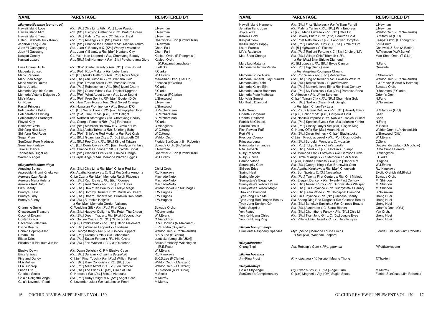| <b>NAME</b>                   | <b>PARENTAGE</b>                                         | <b>REGISTERED BY</b>           | <b>NAME</b>                        | <b>PARENTAGE</b>                                       | <b>REGISTERED BY</b>     |
|-------------------------------|----------------------------------------------------------|--------------------------------|------------------------------------|--------------------------------------------------------|--------------------------|
| xRhyncattleanthe (continued)  |                                                          |                                | Hawaii Island Harmony              | RIc. [Blc.] Fritz Nickolaus x RIc. William Farrell     | J.Newman                 |
| Hawaii Island Love            | RIc. [BIc.] Chia Lin x Rth. [Pot.] Love Passion          | J.Newman                       | Jennilyn Fang Juan                 | RIc. Mahina Yahiro x RIc. [BIc.] Pink Empress          | J.Newman                 |
| Hawaii Island Mint            | Rth. [Blc.] Hsinying Catherine x Rlc. Pratum Green       | J.Newman                       | Joyce Yoza                         | C. [Lc.] Maria Ozzella x Rlc. [Blc.] Chia Lin          | Waldor Orch. (L.Y.Naka   |
| Hawaii Island Treat           | RIc. [BIc.] Mahina Yahiro x Ctt. Trick or Treat          | J.Newman                       | Karen's Gold                       | RIc. Beverly Blietz x RIc. [Pot.] Beaufort Gold        | S.Mitamura (O/U)         |
| Helen Elizabeth Tuck Kemp     | Rlc. [Pot.] Amangi x Ctt. [Slc.] Brass Town              | Chadwick & Son (Orchid Trail)  | <b>Kasipat Gem</b>                 | RIc. Phet Ratsima x C. [Lc.] Longriver Compton         | Kasipat Orch. (P.Thong   |
| Jennilyn Fang Juan            | Rth. [Blc.] Chance the Chance x Rlc. Mahina Yahiro       | J.Newman                       | Krull's Happy Happy                | RIc. [Pot.] Paradise Ruby x C. [SIc.] Circle of Life   | Krull-Smith              |
| Juan Yi Guangmang             | Rth. Juan Yi Beauty x C. [S/c.] Wendy's Valentine        | Chen, Fu-I                     | Laura Francis                      | RI. [B.] digbyana x C. Picasso                         | Chadwick & Son (A.Bor    |
| Juan Yi Guowang               | Rth. Juan Yi Beauty x Rlc. [Blc.] Huatand City           | Chen, Fu-I                     | Life's Radiance                    | RIc. [Pot.] Radiant Fortune x C. [SIc.] Circle of Life | R.Thiessen (A.W.Burke    |
| Kasipat Goodly                | Ctt. Yuan Nan Leopard x Rth. Chomyong Beauty             | Kasipat Orch. (P.Thongmisit)   | Mao-Shan Change                    | RIc. [Blc.] Village Chief Triumph x RIc.               | Mao-Shan Orch. (T-S.Li   |
| Kasipat Luxury                | Rth. [Blc.] Nell Hammer x Rlc. [Blc.] Petcharatana Glory | Kasipat Orch.                  |                                    | x Rlc. [Pot.] Shin Shiang Diamond                      |                          |
|                               |                                                          | (K.Pawanathanachote)           | Mary Lou Mattana                   | RI. [B.] glauca x RIc. [Blc.] Bryce Canyon             | N.Fang                   |
| Lues Ohana Hui Pu             | RIc. Glos' Scarlet Beauty x Rth. [BIc.] Love Sound       | Luetticke                      | Memoria Bellamira Varela           | RIc. [Pot.] Egyptian Queen                             | Quesada                  |
| Magenta Sunset                | Rth. [Pot.] Ruby Maker x Rlc. Lebenkreis                 | F.Clarke                       |                                    | x Rlc. Angelina Rodriguez Cheung                       |                          |
| Magic Patterns                | Ctt. [Lc.] Alsaks Pattern x Rth. [Pot.] Roy's Magic      | W.J.Evans                      | Memoria Bruce Alkire               | RIc. Port Wine x RIc. [BIc.] Mellowglow                | J.Sherwood               |
| Mao-Shan Magic                | RIc. [BIc.] Yen Surprise x Rth. Wattana Gold             | Mao-Shan Orch. (T-S.Lin)       | Memoria General Judy Plunkett      | RIc. [BIc.] King of Taiwan x RIc. Lawless Walküre      | Waldor Orch. (L.Y.Naka   |
| Maria Amelia Quiros           | Rth. [Pot.] Dream Smith x Rlc. Paradise Rose             | Fonseca (F.Clarke)             | Memoria Jim Diehl                  | RIc. [BIc.] Temple Bells x C. percivaliana             | J.J.Francis (Carter & Ho |
| Maria Juanita                 | RIc. [Pot.] Rubescence x Rth. [Blc.] Izumi Charm         | F.Clarke                       | Memoria Koichi Ejiri               | RIc. [Pot.] Memoria Ichie Ejiri x RIc. Next Century    | Suwada Orch.             |
| Memoria Olga Iris Colon       | Rth. [Blc.] Guess What x Rth. Tropical Upgrade           | F.Clarke                       | Memoria Louise Boersma             | RIc. [Pot.] My Precious x RIc. [Pot.] Paradise Rose    | D.Boersma (F.Clarke)     |
| Memoria Victoria Delgado JD   | Rth. [Pot.] What About Love x Rth. Love Sound            | Fonseca (F.Clarke)             | Memoria Plato Mathews              | C. Alfresco x RIc. White Surprise                      | Odom's Orch.             |
| Mia's Magic                   | Rth. [Pot.] Free Spirit x Rth. [Blc.] Bouton D'Or        | J.Sherwood                     | <b>Montclair Sunset</b>            | C. [Lc.] Tainan City x Rlc. [Blc.] Chan Hsiu Gold      | N.Fang                   |
| Oh Rose                       | Rlc. Haw Yuan Rose x Rth. Chief Sweet Orange             | J.Newman                       | Monthatip Diamond                  | RIc. [BIc.] Nakhon Chaisri Pink Delight                | S.Noisuwan               |
| <b>Pastel Princess</b>        | Rlc. Hawaiian Prominence x Rth. Bouton D'Or              | J.Sherwood                     |                                    | x RIc. [BIc.] Chian-Tzy Lass                           |                          |
| Petcharatana Bella            | Ctt. [Lc.] Secret Love x Rth. [Blc.] Phinyophan Boy      | S.Petcharatana                 | Nalo Green                         | RIc. Prada Green Deluxe x RIc. [BIc.] Beverly Blietz   | S.Mitamura (O/U)         |
| Petcharatana Shining          | Rth. [Pot.] Thi-Ti x Rlc. [Blc.] Term Delight            | S.Petcharatana                 | <b>Oriental Gorgeous</b>           | C. [Lc.] Colibri x Rlc. [Blc.] Gorgeous Gold           | Saab                     |
| Petcharatana Starbright       | Rth. Netrasiri Starbright x Rth. Chomyong Beauty         | S.Petcharatana                 | <b>Oriental Rainbow</b>            | RIc. Nobile's Impulse x RIc. Nobile's Tropical Sunset  | Saab                     |
| Playful Kitty                 | Rth. Georgia Peach x Rth. [Pot.] Firehouse               | F.Clarke                       | <b>Patrick McClintock</b>          | RIc. [Pot.] Spanish Eyes x RIc. [BIc.] Mahina Yahiro   | N.Fang                   |
| <b>Rainbow Circle</b>         | Rth. [Blc.] Momilani Rainbow x C. Circle of Life         | O.Viengkhou                    | <b>Pauline Brault</b>              | RIc. [Pot.] Classy Lady x RIc. [BIc.] Pisgah King      | M.Seelis                 |
| Shinfong Nice Lady            | RIc. [BIc.] Aloha Taiwan x Rth. Shinfong Baby            | W-C.Hung                       | <b>Pink Powder Puff</b>            | C. Nancy Off x RIc. [Bc.] Mount Hood                   | Waldor Orch. (L.Y.Naka   |
| Shinfong Red Rose             | Rth. [Pot.] Shinfong Red Mudan x RIc. Red Crab           | W-C.Hung                       | Port Wine                          | RIc. [Blc.] Owen Holmes x C. [Lc.] Blackstocks         | J.Sherwood (O/U)         |
| Sugar Plum                    | Rth. [Blc.] Guanmiau City x C. [Lc.] Elizabeth Off       | Waldor Orch.                   | Precious Cosmo                     | C. [SIc.] Precious Jewel x RIc. [Pot.] Cosmo-Zelle     | W.J.Evans                |
| SunCoast Pure Madness         | Rth. [Blc.] Pop City x Rlc. [Blc.] King of Taiwan        | Florida SunCoast (Jim Roberts) | Princesa Luna                      | RIc. [BIc.] Burdekin Wonder x C. mossiae               | C.Solis                  |
| Sunshine Fantasy              | Ctt. [Lc.] Denis Olivas x Rth. [Blc.] Fordyce Fantasy    | Suwada Orch. (F.Clarke)        | Raimunda Fernandes                 | RIc. [Pot.] Tokyo Bay x C. intermedia                  | Deusvando Leitao (G.M    |
| Take a Chance                 | Rth. Chance the Chance x Ctt. [C.] White Bridal          | J.Newman                       | Rita Horbach                       | RIc. [BIc.] Pieral x C. [Lc.] Florália's Triumph       | R.Da Cunha Pereira       |
| Tennessee HughLee             | Rth. [Blc.] Wanda's Fire x Rth. Ermine Orange            | Chadwick & Son (Orchid Trail)  | <b>Ruby Peacock</b>                | RIc. Memoria Frank Fordyce x RIc. Crimson Circle       | O.Viengkhou              |
| Warren's Angel                | C. Purple Angel x Rth. Memoria Warren Eggins             | W.J.Evans                      | <b>Ruby Sunrise</b>                | RIc. Circle of Angels x C. Memoria Trudi Marsh         | F.Clarke                 |
|                               |                                                          |                                | Samba Vitoria                      | C. [Slc.] Samba Princess x Rlc. [Bc.] Bet or Not       | R.Agnes                  |
| xRhyncholaeliocattleya        |                                                          |                                | <b>Serendipity Gem</b>             | RIc. [BIc.] George King x RIc. Brunswick Gem           | W.J.Evans                |
| <b>Amazing Sunset</b>         | RIc. [BIc.] Chia Lin x RIc. [BIc.] Chialin Red Sun       | Chi Li Orch.                   | Shirozu Erica                      | Rlc. Agatha Kinukawa x Rlc. [Blc.] Chunyeah            | R.J.Kinukawa             |
| Aparecida Hiromi Kinukawa     | RIc. Agatha Kinukawa x C. [Lc.] Recóndita Armonía        | R.J.Kinukawa                   | <b>Spring Heat</b>                 | RIc. Sun Spots x C. [S.] flavasulina                   | Exotic Orchids (M.Blietz |
| Aurora's Czar Ralph           | C. Le Czar x RIc. [BIc.] Memoria Ralph Placentia         | Machado-Neto                   | <b>Spring Melody</b>               | RIc. [Pot.] Twenty First Century x RIc. Omi Melody     | Suwada Orch.             |
| Aurora's Maria Helena         | RIc. [BIc.] Ruth Davis x RIc. [BIc.] Oconee              | Machado-Neto                   | Sunnystate's Elegance              | RIc. Elegant Dancer x RIc. Twenty First Century        | M. Shindou               |
| Aurora's Red Ruth             | Rlc. [Pot.] Red Crab x Rlc. [Blc.] Ruth Davis            | Machado-Neto                   | Sunnystate's Yellow Dream          | RIc. [BIc.] Taiwan Ruby x RIc. Sunnystate's Whisper    | M. Shindou               |
| <b>Bill's Beauty</b>          | RIc. [BIc.] Haw Yuan Beauty x C. Tokyo Magic             | W.MacCorkell (R.Tokunaga)      | Sunnystate's Yellow Magic          | RIc. [BIc.] Liu's Joyance x RIc. Sunnystate's Canary   | M. Shindou               |
| Bundy's Class                 | RIc. [BIc.] Dorothy DuRietz x RIc. Burdekin Dream        | J.W.Hughes                     | <b>Thaksina Diamond</b>            | RIc. [Blc.] Siam White x RIc. Shinaphat Diamond        | S.Noisuwan               |
| Bundy's Lady                  | RIc. [BIc.] Dream Trader x RIc. Burdekin Debutante       | J.W.Hughes                     | Tyan Jong Hsin Mei                 | RIc. Liu's Joyance x RIc. [BIc.] Chinese Beauty        | Jheng Huei               |
| Bundy's Sunny                 | RIc. [BIc.] Burdekin Heights                             | J.W.Hughes                     | Tyan Jong Red Dragon Beauty        | RIc. Shang Ding Red Dragon x RIc. Chinese Beauty       | Jheng Huei               |
|                               | x RIc. [BIc.] Memoria Gordon Vallance                    |                                | Tyan Jong Sunlight Girl            | RIc. [BIc.] Bangkok Sunlight x RIc. Chinese Beauty     | Jheng Huei               |
| <b>Charming Smile</b>         | C. Wedding Gift x Rlc. [Pot.] First Class                | Suwada Orch.                   | <b>White Surprise</b>              | RIc. [BIc.] Avadream x C. Sierra Blanca                | Odom's Orch. (O/U)       |
| Chaweewan Treasure            | RIc. [BIc.] Haadyai Delight x RIc. Petch Tha Cheen       | P.Donchanda                    | Yen Fancy                          | RIc. [BIc.] Chomthong Fancy x RIc. [BIc.] Chia Lin     | Yen Orch.                |
| Coconut Dream                 | RIc. [BIc.] Dream Trader x RIc. [Rolf.] Coconut Ice      | W.J.Evans                      | Yun Ke Huang Chiao                 | RIc. [BIc.] Tyan Jong Girl x C. [Lc.] Jungle Eyes      | Jheng Huei               |
| Costa Dorada                  | Rlc. Golden Costa x C. [Slc.] Circle of Life             | O.Viengkhou                    | Yun Ke Huang Ying                  | RIc. Village Chief Talent x C. [Lc.] Jungle Eyes       | Jheng Huei               |
| Deception Valentine           | C. [Lc.] Orchid Affair x Rlc. [Blc.] Glenn Maidment      | R.&J.Hopkins (R.Maidment)      |                                    |                                                        |                          |
| Divine Beauty                 | RIc. [BIc.] Waianae Leopard x C. forbesii                | E.P.Hendra (Suyanto)           | xRhynchomyrmeleya                  |                                                        |                          |
| Donald PopPop Allen           | Rlc. George King x Rlc. [Blc.] Golden Slippers           | Waldor Orch. (L.Y.Nakanishi)   | <b>SunCoast Raspberry Sparkles</b> | Myc. [Smbc.] Memoria Louise Fuchs                      | Florida SunCoast (Jim F  |
| Dream Life                    | RIc. [Pot.] Dream Circle x RIc. Lebenkreis               | B.K.S.Lee (F.Clarke)           |                                    | x Rlc. [Blc.] Waianae Leopard                          |                          |
| Eileen Dries                  | RIc. [Pot.] Susan Fender x RIc. Hilo Grand               | Luetticke (Long Life[USA])     |                                    |                                                        |                          |
| Elizabeth II Platinum Jubilee | RIc. [BIc.] Fort Watson x C. [Lc.] Okarchee              | British Embassy, Washington    | xRhynchorides                      |                                                        |                          |
|                               |                                                          | (R.E.Post)                     | Chang Thai                         | Aer. Robsan's Gem x Rhy. gigantea                      | P.Puttiworrapong         |
| Elusive Dawn                  | RIc. Dawn Delight x C. P V Elusive Case                  | W.J.Evans                      |                                    |                                                        |                          |
| Erica Shirozu                 | Rlc. [Blc.] Durigan x C. tigrina [leopoldii]             | R.J.Kinukawa                   | xRhynchovanda                      |                                                        |                          |
| Fine and Dandy                | C. [Slc.] Final Touch x Rlc. [Pot.] William Farrell      | B.K.S.Lee (F.Clarke)           | Jim-Ping Frost                     | Rhy. gigantea x V. [Ascda.] Muang Thong                | T.Thakien                |
| <b>FLA Ruffles</b>            | RIc. [BIc.] Mary Conquista x RIc. [BIc.] Joe             | Waldor Orch. (J.Grezaffi)      |                                    |                                                        |                          |
| <b>FLA Sundrop</b>            | RIc. [Pot.] Marc Alfont x C. [Lc.] Lou Gilmore           | Waldor Orch. (J.Grezaffi)      | xRhyntonleya                       |                                                        |                          |
| Friar's Life                  | RIc. [BIc.] The Friar x C. [SIc.] Circle of Life         | R.Thiessen (A.W.Burke)         | Gaia's Shy Angel                   | Rly. Swan's Shy x C. [Slc.] Angel Flare                | M.Murray                 |
| Gabriela Seelis               | C. Horace x RIc. [Pot.] Mitsuo Akatsuka                  | M.Seelis                       | SunCoast's Complimentary           | C. [Lc.] Magneri x Rly. [Otr.] Sugita Spots            | Florida SunCoast (Jim F  |
| Gaia's Delightful Angel       | Rlc. [Pot.] Ruby Delight x C. [Slc.] Angel Flare         | M.Murray                       |                                    |                                                        |                          |
| Gaia's Lavender Pearl         | C. Lavender Lulu x Rlc. Lakehaven Pearl                  | M.Murray                       |                                    |                                                        |                          |
|                               |                                                          |                                |                                    |                                                        |                          |
|                               |                                                          |                                |                                    |                                                        |                          |

| NAME                               | <b>PAREN IAGE</b>                                                  | <b>REGISTERED BT</b>           |
|------------------------------------|--------------------------------------------------------------------|--------------------------------|
| Hawaii Island Harmony              | RIc. [Blc.] Fritz Nickolaus x RIc. William Farrell                 | J.Newman                       |
| Jennilyn Fang Juan                 | RIc. Mahina Yahiro x RIc. [BIc.] Pink Empress                      | J.Newman                       |
| Joyce Yoza                         | C. [Lc.] Maria Ozzella x Rlc. [Blc.] Chia Lin                      | Waldor Orch. (L.Y.Nakanishi)   |
| Karen's Gold                       | RIc. Beverly Blietz x RIc. [Pot.] Beaufort Gold                    | S.Mitamura (O/U)               |
| Kasipat Gem                        | RIc. Phet Ratsima x C. [Lc.] Longriver Compton                     | Kasipat Orch. (P. Thongmisit)  |
| Krull's Happy Happy                | RIc. [Pot.] Paradise Ruby x C. [SIc.] Circle of Life               | Krull-Smith                    |
| Laura Francis                      | RI. [B.] digbyana x C. Picasso                                     | Chadwick & Son (A.Borlin)      |
| Life's Radiance                    | RIc. [Pot.] Radiant Fortune x C. [SIc.] Circle of Life             | R.Thiessen (A.W.Burke)         |
| Mao-Shan Change                    | RIc. [BIc.] Village Chief Triumph x RIc.                           | Mao-Shan Orch. (T-S.Lin)       |
|                                    | x Rlc. [Pot.] Shin Shiang Diamond                                  |                                |
| Mary Lou Mattana                   | RI. [B.] glauca x RIc. [BIc.] Bryce Canyon                         | N.Fang                         |
| Memoria Bellamira Varela           | RIc. [Pot.] Egyptian Queen                                         | Quesada                        |
|                                    | x Rlc. Angelina Rodriguez Cheung                                   |                                |
| Memoria Bruce Alkire               | RIc. Port Wine x RIc. [BIc.] Mellowglow                            | J.Sherwood                     |
| Memoria General Judy Plunkett      | RIc. [Blc.] King of Taiwan x RIc. Lawless Walküre                  | Waldor Orch. (L.Y.Nakanishi)   |
| Memoria Jim Diehl                  | RIc. [BIc.] Temple Bells x C. percivaliana                         | J.J.Francis (Carter & Holmes)  |
| Memoria Koichi Ejiri               | RIc. [Pot.] Memoria Ichie Ejiri x RIc. Next Century                | Suwada Orch.                   |
| Memoria Louise Boersma             | RIc. [Pot.] My Precious x RIc. [Pot.] Paradise Rose                | D.Boersma (F.Clarke)           |
| Memoria Plato Mathews              | C. Alfresco x RIc. White Surprise                                  | Odom's Orch.                   |
| Montclair Sunset                   | C. [Lc.] Tainan City x Rlc. [Blc.] Chan Hsiu Gold                  | N.Fang                         |
| Monthatip Diamond                  | RIc. [BIc.] Nakhon Chaisri Pink Delight                            | S.Noisuwan                     |
|                                    | x Rlc. [Blc.] Chian-Tzy Lass                                       |                                |
| Nalo Green                         | RIc. Prada Green Deluxe x RIc. [BIc.] Beverly Blietz               | S.Mitamura (O/U)               |
| <b>Oriental Gorgeous</b>           | C. [Lc.] Colibri x Rlc. [Blc.] Gorgeous Gold                       | Saab                           |
| Oriental Rainbow                   | RIc. Nobile's Impulse x RIc. Nobile's Tropical Sunset              | Saab                           |
| Patrick McClintock                 | RIc. [Pot.] Spanish Eyes x RIc. [BIc.] Mahina Yahiro               | N.Fang                         |
| Pauline Brault                     | RIc. [Pot.] Classy Lady x RIc. [BIc.] Pisgah King                  | M.Seelis                       |
| Pink Powder Puff                   | C. Nancy Off x RIc. [Bc.] Mount Hood                               | Waldor Orch. (L.Y.Nakanishi)   |
| Port Wine                          | RIc. [Blc.] Owen Holmes x C. [Lc.] Blackstocks                     | J.Sherwood (O/U)               |
| Precious Cosmo                     | C. [Slc.] Precious Jewel x Rlc. [Pot.] Cosmo-Zelle                 | W.J.Evans                      |
| Princesa Luna                      | RIc. [BIc.] Burdekin Wonder x C. mossiae                           | C.Solis                        |
| Raimunda Fernandes                 | RIc. [Pot.] Tokyo Bay x C. intermedia                              | Deusvando Leitao (G.Muchow)    |
| Rita Horbach                       | RIc. [BIc.] Pieral x C. [Lc.] Florália's Triumph                   | R.Da Cunha Pereira             |
| Ruby Peacock                       | RIc. Memoria Frank Fordyce x RIc. Crimson Circle                   | O.Viengkhou                    |
| Ruby Sunrise                       | RIc. Circle of Angels x C. Memoria Trudi Marsh                     | F.Clarke                       |
| Samba Vitoria                      | C. [Slc.] Samba Princess x Rlc. [Bc.] Bet or Not                   | R.Agnes                        |
| Serendipity Gem                    | RIc. [BIc.] George King x RIc. Brunswick Gem                       | W.J.Evans                      |
| Shirozu Erica                      | Rlc. Agatha Kinukawa x Rlc. [Blc.] Chunyeah                        | R.J.Kinukawa                   |
| Spring Heat                        | RIc. Sun Spots x C. [S.] flavasulina                               | Exotic Orchids (M.Blietz)      |
| Spring Melody                      | RIc. [Pot.] Twenty First Century x RIc. Omi Melody                 | Suwada Orch.                   |
| Sunnystate's Elegance              | RIc. Elegant Dancer x RIc. Twenty First Century                    | M. Shindou                     |
| Sunnystate's Yellow Dream          | RIc. [BIc.] Taiwan Ruby x RIc. Sunnystate's Whisper                | M. Shindou                     |
| Sunnystate's Yellow Magic          | RIc. [BIc.] Liu's Joyance x RIc. Sunnystate's Canary               | M. Shindou                     |
| Thaksina Diamond                   | RIc. [Blc.] Siam White x RIc. Shinaphat Diamond                    | S.Noisuwan                     |
| Tyan Jong Hsin Mei                 | RIc. Liu's Joyance x RIc. [BIc.] Chinese Beauty                    | Jheng Huei                     |
| Tyan Jong Red Dragon Beauty        | RIc. Shang Ding Red Dragon x RIc. Chinese Beauty                   | Jheng Huei                     |
| Tyan Jong Sunlight Girl            | RIc. [Blc.] Bangkok Sunlight x RIc. Chinese Beauty                 | Jheng Huei                     |
| <b>White Surprise</b>              | RIc. [BIc.] Avadream x C. Sierra Blanca                            | Odom's Orch. (O/U)             |
| Yen Fancy                          | RIc. [Blc.] Chomthong Fancy x RIc. [Blc.] Chia Lin                 | Yen Orch.                      |
| Yun Ke Huang Chiao                 | RIc. [Blc.] Tyan Jong Girl x C. [Lc.] Jungle Eyes                  | Jheng Huei                     |
| Yun Ke Huang Ying                  | RIc. Village Chief Talent x C. [Lc.] Jungle Eyes                   | Jheng Huei                     |
| xRhynchomyrmeleya                  |                                                                    |                                |
| <b>SunCoast Raspberry Sparkles</b> | Myc. [Smbc.] Memoria Louise Fuchs<br>x Rlc. [Blc.] Waianae Leopard | Florida SunCoast (Jim Roberts) |
| xRhynchorides                      |                                                                    |                                |
| Chang Thai                         | Aer. Robsan's Gem x Rhy. gigantea                                  | P.Puttiworrapong               |
| xRhynchovanda                      |                                                                    |                                |
| Jim-Ping Frost                     | Rhy. gigantea x V. [Ascda.] Muang Thong                            | T.Thakien                      |
| xRhyntonleya                       |                                                                    |                                |
| Gaia's Shy Angel                   | Rly. Swan's Shy x C. [Slc.] Angel Flare                            | M.Murray                       |
| SunCoast's Complimentary           | C. [Lc.] Magneri x Rly. [Otr.] Sugita Spots                        | Florida SunCoast (Jim Roberts) |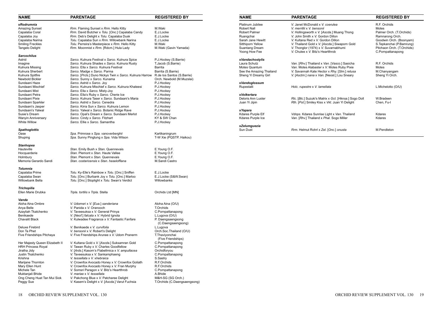| <b>NAME</b>                    | <b>PARENTAGE</b>                                         | <b>REGISTERED BY</b>         | <b>NAME</b>                            | <b>PARENTAGE</b>                                                         | <b>REGISTERED BY</b>                         |
|--------------------------------|----------------------------------------------------------|------------------------------|----------------------------------------|--------------------------------------------------------------------------|----------------------------------------------|
| xRodrumnia                     |                                                          |                              | Platinum Jubilee                       | V. Janet McDonald x V. coerulea                                          | R.F. Orchids                                 |
| <b>Amazing Sunset</b>          | Rrm. Flaming Sunset x Rrm. Hello Kitty                   | M.Waki                       | <b>Robert Nall</b>                     | V. merrillii x V. bensonii                                               | Motes                                        |
| Capalaba Coral                 | Rrm. David Butcher x Tolu. [Onc.] Capalaba Candy         | E.J.Locke                    | <b>Robert Palmer</b>                   | V. Hollingsworth x V. [Ascda.] Muang Thong                               | Palmer Orch. (T.Orchids                      |
|                                |                                                          | E.J.Locke                    |                                        | V. John Smith x V. Gordon Dillon                                         |                                              |
| Capalaba Joy                   | Rrm. Deb's Delight x Tolu. Capalaba Dusk                 |                              | Ruangchai                              |                                                                          | Ramnarong Orch.                              |
| Capalaba Narina                | Tolu. Capalaba Sun x Rrm. Willowbank Narina              | E.J.Locke                    | Sarah Jane Hewitt                      | V. Kultana Red x V. Gordon Dillon                                        | Goodwin Orch. (Boonya                        |
| <b>Smiling Freckles</b>        | Tolu. Perreira's Masterpiece x Rrm. Hello Kitty          | M.Waki                       | Sitthiporn Yellow                      | V. Thailand Gold x V. [Ascda.] Siwaporn Gold                             | S. Tepkanchai (P. Bamru                      |
| <b>Tangelo Delight</b>         | Rrm. Moonmist x Rrm. [Rdcm.] Hula Lady                   | M.Waki (Gavin Yamada)        | <b>Suantang Dream</b><br>Yoong How Fee | V. Thonglor (1974) x V. Suvarnabhumi<br>V. Chulee x V. Bitz's Heartthrob | Pitchaon Orch. (T.Orchi<br>C.Pornpattanapong |
| <b>Sarcochilus</b>             |                                                          |                              |                                        |                                                                          |                                              |
| Astrid                         | Sarco. Kulnura Festival x Sarco. Kulnura Spice           | P.J.Hockey (S.Barrie)        | xVandachostylis                        |                                                                          |                                              |
| Imagine                        | Sarco. Kulnura Shades x Sarco. Kulnura Rusty             | T.Jacob (S.Barrie)           | Laura Schutz                           | Van. [Rhv.] Thailand x Van. [Vasco.] Sasicha                             | R.F. Orchids                                 |
| Kulnura Missing                | Sarco. Ella x Sarco. Kulnura Festival                    | Barrita                      | Motes Quantum                          | Van. Motes Alabaster x V. Motes Ruby Pixie                               | Motes                                        |
| Kulnura Sherbert               | Sarco. Madge x Sarco. Parma                              | Barrita (S.Barrie)           | See the Amazing Thailand               | V. Savannah Kate Hector x Rhy. [Slm.] retusa                             | M.Chanyangam                                 |
| Kulnura Spitfire               | Sarco. [Prcls.] Duno Nickys Twin x Sarco. Kulnura Harrow | R.de los Santos (S.Barrie)   | Sheng Yi Dreamy Girl                   | V. [Asctm.] nana x Van. [Neost.] Lou Sneary                              | Sheng Yi Orch.                               |
| Newbold Bickler                | Sarco. Sunny x Sarco. Kunama                             | Orch. Newbold (M.Muzslai)    |                                        |                                                                          |                                              |
| Sundaani Haze                  | Sarco. Astrid x Sarco. Joy                               | P.J.Hockey                   | xVandoglossum                          |                                                                          |                                              |
| Sundaani Mischief              | Sarco. Kulnura Mischief x Sarco. Kulnura Khaleesi        | P.J.Hockey                   | Rupestalli                             | Holc. rupestre x V. lamellata                                            | L.Michelotto (O/U)                           |
| Sundaani Mist                  | Sarco. Ella x Sarco. Misty-Joy                           | P.J.Hockey                   |                                        |                                                                          |                                              |
| Sundaani Petra                 | Sarco. Ella's Ruby x Sarco. Cherie Ice                   | P.J.Hockey                   | xVolkertara                            |                                                                          |                                              |
| Sundaani Pixie                 | Sarco. Kulnura Taser x Sarco. Sundaani's Maria           |                              | Deloris Ann Luster                     |                                                                          | W.Bradeen                                    |
|                                |                                                          | P.J.Hockey                   |                                        | RIc. [BIc.] Suzuki's Matrix x Gct. [Hknsa.] Sogo Doll                    |                                              |
| Sundaani Sparkler              | Sarco. Astrid x Sarco. Cenedra                           | P.J.Hockey                   | Juan Yi Jipin                          | Rth. [Pot.] Smiley Kiss x Vkt. Juan Yi Delight                           | Chen, Fu-I                                   |
| Sundaani's Jasper              | Sarco. Kirra Sun x Sarco. Kulnura Lemon                  | P.J.Hockey                   |                                        |                                                                          |                                              |
| Sundaani's Yalwal              | Sarco. Yalwal x Sarco. Botanic Ridge Rave                | P.J.Hockey                   | x Yapara                               |                                                                          |                                              |
| Susie's Dream                  | Sarco. Opal's Dream x Sarco. Sundaani Merlot             | P.J.Hockey                   | Kdares Purple Elf                      | Vdnps. Kdares Sunrise Light x Van. Thailand                              | Kdares                                       |
| <b>Wanyin Anniversary</b>      | Sarco. Cindy x Sarco. Fitzhart                           | KY & SW Chan                 | Kdares Purple Ice                      | Van. [Rhv.] Thailand x Phal. Sogo Miller                                 | Kdares                                       |
| <b>White Willow</b>            | Sarco. Ellie x Sarco. Samantha                           | P.J.Hockey                   |                                        |                                                                          |                                              |
|                                |                                                          |                              | xZelumguezia                           |                                                                          |                                              |
| <b>Spathoglottis</b>           |                                                          |                              | Sun Dust                               | Rrm. Helmut Rohrl x Zel. [Onc.] onusta                                   | M.Pendleton                                  |
| Oase                           | Spa. Primrose x Spa. vanoverberghii                      | Kartikaningrum               |                                        |                                                                          |                                              |
| Shuping                        | Spa. Sunny Pingtung x Spa. Vida Wilson                   | T-W Xie (PQSTP, Haikou)      |                                        |                                                                          |                                              |
|                                |                                                          |                              |                                        |                                                                          |                                              |
| <b>Stanhopea</b>               |                                                          |                              |                                        |                                                                          |                                              |
| Hauteville                     | Stan. Emily Bush x Stan. Quennevais                      | E. Young O.F.                |                                        |                                                                          |                                              |
| Hocquarderie                   | Stan. Plemont x Stan. Haute Vallee                       | E. Young O.F.                |                                        |                                                                          |                                              |
| Holmbury                       | Stan. Plemont x Stan. Quennevais                         | E. Young O.F.                |                                        |                                                                          |                                              |
| Memoria Gerardo Sandi          | Stan. costaricensis x Stan. haseloffiana                 | M.Sandi Castro               |                                        |                                                                          |                                              |
| Tolumnia                       |                                                          |                              |                                        |                                                                          |                                              |
| Capalaba Prime                 | Tolu. Ky-Elle's Rainbow x Tolu. [Onc.] Sniffen           | E.J.Locke                    |                                        |                                                                          |                                              |
|                                |                                                          |                              |                                        |                                                                          |                                              |
| Capalaba Swan                  | Tolu. [Onc.] Burbank Joy x Tolu. [Onc.] Marloo           | E.J.Locke (S&W.Swan)         |                                        |                                                                          |                                              |
| Willowbank Bella               | Tolu. [Onc.] Stoplight x Tolu. Swan's Verdict            | Willowbanks                  |                                        |                                                                          |                                              |
| <b>Trichopilia</b>             |                                                          |                              |                                        |                                                                          |                                              |
| Ellen Marie Drubka             | Trpla. tortilis x Trpla. Stella                          | Orchids Ltd [MN]             |                                        |                                                                          |                                              |
|                                |                                                          |                              |                                        |                                                                          |                                              |
| Vanda                          |                                                          |                              |                                        |                                                                          |                                              |
| Aloha Aina Ombre               | V. Udomsri x V. [Eua.] sanderiana                        | Aloha Aina (O/U)             |                                        |                                                                          |                                              |
| Anya Belle                     | V. Panida x V. Oranooch                                  | T.Orchids                    |                                        |                                                                          |                                              |
| Azayliah Tkatchenko            | V. Taveesuksa x V. General Prinya                        | C.Pornpattanapong            |                                        |                                                                          |                                              |
| Benikaede                      | V. [Neof.] falcata x V. Hybrid Ignota                    | L.Lugova (O/U)               |                                        |                                                                          |                                              |
| <b>Chavalit Black</b>          | V. Kulwadee Fragrance x V. Fantastic Fanfare             | P. Daengsaengsong            |                                        |                                                                          |                                              |
|                                |                                                          | (C.Daengsaengsong)           |                                        |                                                                          |                                              |
| Deluxe Firebird                | V. Benikaede x V. curvifolia                             | L.Lugova                     |                                        |                                                                          |                                              |
| Don Ta Phet                    | V. bensonii x V. Robert's Delight                        | Orch.Soc.Thailand (O/U)      |                                        |                                                                          |                                              |
| Five Friendships Pitchaya      | V. Five Friendships Arunee x V. Udom Pranerm             | T.Thaviyonchai               |                                        |                                                                          |                                              |
|                                |                                                          | (Five Friendships)           |                                        |                                                                          |                                              |
| Her Majesty Queen Elizabeth II | V. Kultana Gold x V. [Ascda.] Suksamran Gold             | C.Pornpattanapong            |                                        |                                                                          |                                              |
| <b>HRH Princess Royal</b>      | V. Tawan Ruby x V. Charles Goodfellow                    | C.Pornpattanapong            |                                        |                                                                          |                                              |
|                                |                                                          |                              |                                        |                                                                          |                                              |
| Jiratha Jidy                   | V. [Ards.] Kasorn's Flabellmica x V. ampullacea          | Orchidforyou                 |                                        |                                                                          |                                              |
| Justin Tkatchenko              | V. Taveesuksa x V. Sankamphaeng                          | C.Pornpattanapong            |                                        |                                                                          |                                              |
| Krishna                        | V. tessellata x V. xhebraica                             | S.Sastry                     |                                        |                                                                          |                                              |
| Marijane Thornton              | V. Crownfox Avocado Honey x V. Crownfox Goliath          | R.F.Orchids                  |                                        |                                                                          |                                              |
| Mary Ellen Hunt                | V. Crownfox Avocado Honey x V. Fran Murphy               | R.F.Orchids                  |                                        |                                                                          |                                              |
| Michele Tan                    | V. Somsri Paragon x V. Bitz's Heartthrob                 | C.Pornpattanapong            |                                        |                                                                          |                                              |
| Muktanjali Bhide               | V. mariae x V. tessellata                                | A.Bhide                      |                                        |                                                                          |                                              |
| Ong Cheng Huat Tan Mui Siok    | V. Pakchong Blue x V. Patcharee Delight                  | M&H-SG (SG Orch.)            |                                        |                                                                          |                                              |
| Peggy Sue                      | V. Kasem's Delight x V. [Ascda.] Varut Fuchsia           | T.Orchids (C.Daengsaengsong) |                                        |                                                                          |                                              |

| <b>NAME</b>                                                                                                                                | <b>PARENTAGE</b>                                                                                                                                                                                                                                                                                                 | <b>REGISTERED BY</b>                                                                                                                                                             |
|--------------------------------------------------------------------------------------------------------------------------------------------|------------------------------------------------------------------------------------------------------------------------------------------------------------------------------------------------------------------------------------------------------------------------------------------------------------------|----------------------------------------------------------------------------------------------------------------------------------------------------------------------------------|
| Platinum Jubilee<br>Robert Nall<br>Robert Palmer<br>Ruangchai<br>Sarah Jane Hewitt<br>Sitthiporn Yellow<br>Suantang Dream<br>Yoong How Fee | V. Janet McDonald x V. coerulea<br>V. merrillii x V. bensonii<br>V. Hollingsworth x V. [Ascda.] Muang Thong<br>V. John Smith x V. Gordon Dillon<br>V. Kultana Red x V. Gordon Dillon<br>V. Thailand Gold x V. [Ascda.] Siwaporn Gold<br>V. Thonglor (1974) x V. Suvarnabhumi<br>V. Chulee x V. Bitz's Heartthrob | R.F. Orchids<br>Motes<br>Palmer Orch. (T.Orchids)<br>Ramnarong Orch.<br>Goodwin Orch. (Boonyam)<br>S. Tepkanchai (P. Bamrung)<br>Pitchaon Orch. (T.Orchids)<br>C.Pornpattanapong |
|                                                                                                                                            |                                                                                                                                                                                                                                                                                                                  |                                                                                                                                                                                  |
| xVandachostylis<br>Laura Schutz<br>Motes Quantum<br>See the Amazing Thailand<br>Sheng Yi Dreamy Girl                                       | Van. [Rhv.] Thailand x Van. [Vasco.] Sasicha<br>Van. Motes Alabaster x V. Motes Ruby Pixie<br>V. Savannah Kate Hector x Rhy. [Slm.] retusa<br>V. [Asctm.] nana x Van. [Neost.] Lou Sneary                                                                                                                        | R.F. Orchids<br><b>Motes</b><br>M.Chanyangam<br>Sheng Yi Orch.                                                                                                                   |
| xVandoqlossum<br>Rupestalli                                                                                                                | Holc. rupestre x V. lamellata                                                                                                                                                                                                                                                                                    | L.Michelotto (O/U)                                                                                                                                                               |
| x Volkertara<br>Deloris Ann Luster<br>Juan Yi Jipin                                                                                        | RIc. [BIc.] Suzuki's Matrix x Gct. [Hknsa.] Sogo Doll<br>Rth. [Pot.] Smiley Kiss x Vkt. Juan Yi Delight                                                                                                                                                                                                          | W.Bradeen<br>Chen, Fu-I                                                                                                                                                          |
| x Yapara<br>Kdares Purple Elf<br>Kdares Purple Ice                                                                                         | Vdnps. Kdares Sunrise Light x Van. Thailand<br>Van. [Rhv.] Thailand x Phal. Sogo Miller                                                                                                                                                                                                                          | Kdares<br>Kdares                                                                                                                                                                 |
| xZelumquezia<br>Sun Dust                                                                                                                   | Rrm. Helmut Rohrl x Zel. [Onc.] onusta                                                                                                                                                                                                                                                                           | M.Pendleton                                                                                                                                                                      |
|                                                                                                                                            |                                                                                                                                                                                                                                                                                                                  |                                                                                                                                                                                  |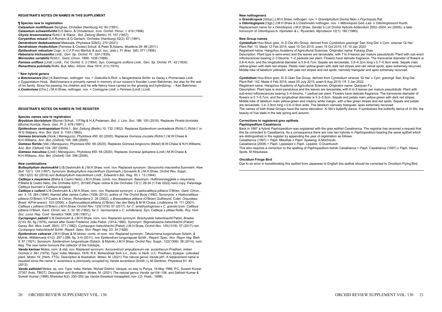#### **REGISTRAR'S NOTES ON NAMES IN THIS SUPPLEMENT**

#### **¶ Species new to registration**

*Catasetum multifissum* Senghas, *Orchidee* (Hamburg) 42: 60 (1991). *Catasetum schweinfurthii* D.E.Benn. & Christenson, *Icon. Orchid. Peruv.*: t. 419 (1998). *Chysis bruennowiana* Rchb.f. & Warsz., *Bot. Zeitung* (Berlin) 15: 157 (1857). *Coryanthes misasii* G.A.Romero & G.Gerlach, *Orchidee* (Hamburg) 42(2): 67 (1991). *Dendrobium dedeksantosoi* Metusala, *Phytotaxa* 528(5): 270 (2021). *Dendrobium rhodochilum* (Ferreras & Cootes) Schuit. & Peter B.Adams, *Muelleria* 29: 66 (2011). *Epidendrum robustum* Cogn. in C.F.P.von Martius & auct. suc. (eds.), *Fl. Bras.* 3(6): 571 (1906). *Habenaria trichosantha* Lindl., *Gen. Sp. Orchid. Pl.*: 324 (1835). *Mormodes variabilis* Rchb.f., *Gard. Chron.* 1869: 1038 (1869). *Panisea uniflora* (Lindl.) Lindl., *Fol. Orchid.* 5: 2 (1854). Syn. *Coelogyne uniflora* Lindl., *Gen. Sp. Orchid. Pl.*: 42 (1830). *Renanthera pulchella* Rolfe, *Bull. Misc. Inform. Kew* 1914: 213 (1914).

#### **\* New hybrid genera**

**x** *Batchmanara* [*Bat*.] K.Batchman, nothogen. nov. = *Galeottia* A.Rich. x *Neogardneria* Schltr. ex Garay x *Promenaea* Lindl. x *Zygopetalum* Hook. '*Batchmanara* is primarily named in memory of our nursery's founder, Loren Batchman, but also for the rest of his family. Since his passing, his children and his wife Nancy have carried on the growing and hybridizing.' – Karl Batchman. **x** *Coelonisea* [*Clns*.] J.M.H.Shaw, nothogen. nov. = *Coelogyne* Lindl. x *Panisea* (Lindl.) Lindl.

#### **REGISTRAR'S NOTES ON NAMES IN THE REGISTER**

#### **Species names new to registration**

*Bryobium bicristatum* (Blume) Schuit., Y.P.Ng & H.A.Pedersen, *Bot. J. Linn. Soc.* 186: 193 (2018). Replaces *Pinalia bicristata* (Blume) Kuntze, *Revis. Gen. Pl.* 2: 678 (1891).

*Epidendrum centropetalum* Rchb.f., *Bot. Zeitung* (Berlin) 10: 732 (1852). Replaces *Epidendrum centradenia* (Rchb.f.) Rchb.f. in W.G.Walpers, *Ann. Bot. Syst.* 6: 1163 (1865).

*Gomesa bicornuta* (Hook.) Meneguzzo, *Phytotaxa* 450: 62 (2020). Replaces *Gomesa cruciata* (Rchb.f.) M.W.Chase & N.H.Williams, *Ann. Bot.* (Oxford) 104: 396 (2009).

*Gomesa florida* (Vell.) Meneguzzo, *Phytotaxa* 450: 58 (2020). Replaces *Gomesa longicornu* (Mutel) M.W.Chase & N.H.Williams, *Ann. Bot.* (Oxford) 104: 397 (2009).

*Gomesa maculosa* (Lindl.) Meneguzzo, *Phytotaxa* 450: 56 (2020). Replaces *Gomesa spiloptera* (Lindl.) M.W.Chase & N.H.Williams, *Ann. Bot*. (Oxford) 104: 398 (2009).

#### **New combinations**

*Bulbophyllum deshmukhii* U.B.Deshmukh & J.M.H.Shaw, nom. nov. Replaced synonym: *Genyorchis macrantha* Summerh. *Kew Bull.* 12(1): 124 (1957). Synonym: *Bulbophyllum macranthum* (Summerh.) Govaerts & J.M.H.Shaw, *Orchid Rev. Suppl*., 126(1323): 62 (2018) non *Bulbophyllum macranthum* Lindl., *Edwards's Bot. Reg*. 30: t. 13 (1844).

*Cattleya* **x** *meyeriana* (Blaha & Castro Neto) J.M.H.Shaw, comb. nov. Basionym: Basionym: *Hoffmannseggella* x *meyeriana* P.Blaha & Castro Neto, *Die Orchidee* 5(01), 2019/E-Paper online & *Die Orchidee* 73(1): 28-34 (1 Feb 2022) hard copy. Parentage *Cattleya fournieri* x *Cattleya longipes*.

*Cattleya* **x** *cullenii* U.B.Deshmukh & J.M.H.Shaw, nom. nov. Replaced synonym: x *Laeliocattleya pittiana* O'Brien, *Gard. Chron.*, ser. 3, 15: 264 (1894). Named after James Cullen (1936–2013), author of *The Orchid Book* (1992). Synonyms: x *Hadrocattleya pittiana* (O'Brien) V.P.Castro & Chiron, *Richardiana* 2: 26 (2002). x *Brasicattleya pittiana* (O'Brien) Gutfreund, Colet. *Orquídeas Brasil*. 4(Pré-anexo): 103 (2006). x *Sophrocattleya pittiana* (O'Brien) Van den Berg & M.W.Chase, *Lindleyana* 16: 111 (2001). *Cattleya* x *pittiana* (O'Brien) J.M.H.Shaw, *Orchid Rev.* 125(1319): 57 (2017), for *C. amethystoglossa* x *C. grandis* [non. *Cattleya pittiana* O'Brien, *Gard. Chron.* ser. 3, 32: 95 (1902), for *C. harrisoniana* x *C. schilleriana*. Syn: *Cattleya* x *pittiae* Rolfe, *Roy. Hort. Soc. Lond. Rep. Conf. Genetics* 1906: 239 (1907).]

*Cyclopogon pabstii* U.B.Deshmukh & J.M.H.Shaw, nom. nov. Replaced synonym: *Brachystele hatschbachii* Pabst, *Bradea* 2(14): 80, fig (1976), named after Guido Frederico João Pabst, (1914–1980). Synonym: *Stigmatosema hatschbachii* (Pabst) Garay, *Bot. Mus. Leafl.* 28(4): 377 (1982). *Cyclopogon hatschbachii* (Pabst) J.M.H.Shaw, *Orchid Rev.* 125(1319): 57 (2017) non *Cyclopogon hatschbachii* Schltr. *Repert. Spec. Nov. Regni Veg.* 23: 34 (1926)

*Epidendrum cabrerae* J.M.H.Shaw & M.Idrees, comb. et nom. nov. Replaced synonym: *Takulumena tungurahuae* Szlach. & Mytnik, *Willdenowia* 41(2): 297 (-298; fig. 3-4) (2011), non *Epidendrum tunguraguae* Schltr., *Repert. Spec. Nov. Regni Veg. Beih.* 8: 87 (1921). Synonym: *Epidendrum tungurahuae* (Szlach. & Mytnik) J.M.H.Shaw, *Orchid Rev. Suppl.*, 122(1306): 38 (2014), nom. illeg. The new name honours the collector of the holotype.

*Vanda karinae* Motes, nom. & stat. nov. Replaced synonym: *Ascocentrum ampullaceum* var. *aurantiacum* Pradhan, *Indian Orchids* 2: 561 (1979), Type: India, Manipur, 1976. R.K. Mohendrajit Sinh s.n., (holo. in Herb. U.C. Pradhan). Epitype: cultivated plant, *Motes* 19, (Herb. FTG). Description & Illustration: *Motes*, M. (2021) The natural genus *Vanda* p81. A replacement name is required since the name *V. aurantiaca* is previously occupied by *Vanda aurantiaca* (Schltr.) L.M.Gardiner, *Phytotaxa* 61: 49  $(2012)$ 

*Vanda sathishii* Motes, sp. nov. Type: India, Kerala, Wynad District: Varayal, on way to Periya, 19 May 1998, P.C. Suresh Kumar 27357 (holo. TBGT). Description and illustration: Motes, M. (2021) *The natural genus Vanda*. pp104–106, and Sathish Kumar & Suresh Kumar (1998) *Rheedea* 8(2): 250–252 (as *Vanda thwaitesii* misapplied, non J.D. Hook., 1898).

#### **New nothogenera**

**x** *Grandicopsis* [*Gdcp*.] J.M.H.Shaw, nothogen. nov. = *Grandiphyllum* Docha Neto x *Psychopsis* Raf. **x** *Odontoglopsis* [*Ogp*.] J.M.H.Shaw & U.Deshmukh nothogen. nov. = *Miltoniopsis* God.-Leb. x *Odontoglossum* Kunth. Replacement name for x *Odontiopsis* J.M.H.Shaw, *Sander's List Orchid Hybrids Addendum* 2002–2004. xlv (2005), a later homonym of *Odontiopsis* K. Hjortstam & L. Ryvarden, *Mycotaxon* 12(1): 180 (1980).

#### **New Group names**

*Cymbidium* Hou-Shun grex, Xi Zi Die Wu Group, derived from *Cymbidium goeringii* 'San Xing Die' x *Cym. sinense* 'Qi Hei'. Plant Ref: 13. Made 12 Feb 2015; seed 10 Oct 2015; sown 15 Oct 2015; f.fl. 10 Jan 2022.

Registrant name: Hangzhou Academy of Agricultural Sciences. Originator name: Fukang Zhao.

Description: Plant type is semi-erect and the leaves are lanceolate, with 7 to 9 leaves per mature pseudobulb. Plant with sub-erect inflorescences bearing 2–3 blooms, 1–2 pedicels per plant. Flowers have delicate fragrance. The transverse diameter of flowers is 5.8–6.4cm, and the longitudinal diameter is 5.9–6.7cm. Sepals are lanceolate, 3.9–4.2cm long x 0.7–0.9cm wide. Sepals main yellow-green with dark red stripes. Petals main yellow-green with dark red stripes and red velvet spots, apex extremely recurved. Middle lobe of labellum yellowish, with pale red stripes and red spots, narrowly triangular and apex extremely recurved.

*Cymbidium* Hou-Shun grex, Xi Zi Qian Dai Group, derived from *Cymbidium sinense* 'Qi Hei' x *Cym. goeringii* 'San Xing Die'. Plant Ref: 142. Made 4 Feb 2015; seed 25 July 2015; sown 6 Aug 2015; f.fl. 3 Jan 2022.

Registrant name: Hangzhou Academy of Agricultural Sciences. Originator name: Qiaojuan Fu.

Description: Plant type is semi-pendulous and the leaves are lanceolate, with 6 to 8 leaves per mature pseudobulb. Plant with sub-erect inflorescences bearing 3–4 blooms, 1 pedicel per plant. Flowers have delicate fragrance. The transverse diameter of flowers is 5.1–5.7cm, and the longitudinal diameter is 5.3–5.8cm. Sepals and petals main yellow-green with dark red stripes. Middle lobe of labellum main yellow-green and creamy white margin, with a few green stripes and red spots. Sepals and petals are lanceolate, 3.4–3.9cm long x 0.6–0.9cm wide. The labellum narrowly triangular, apex extremely recurved. The names of both these Groups have the same derivation: Xi Shi's butterfly dance. It symbolizes the butterfly dance of Xi Shi, the beauty of Yue state in the late spring and autumn.

#### **Corrections to registered grex epithets** *Paphiopedilum* **Casablanca**

Back in 1997 a hybrid *Paphiopedilum* was registered with the grex epithet Casabranca. The registrar has received a request that this be corrected to Casablanca. As a consequence there are now two hybrids in *Paphiopedilum* bearing the same epithet which are distinguished in the register by appending the year of registration as follows: Casablanca (1997) = *Paph.* Maudiae x *Paph.* Spawing, A.Mochizuki

Casablanca (2008) = *Paph.* Lippespot x *Paph.* Lippetor, O.Duerbusch

This also requires a correction to the spelling of *Paphiopedilum* Isshiki Casablanca = *Paph.* Casablanca (1997) x *Paph.* Heavy Spots, M.Kitsukawa.

#### *Oncidium* **Fringe Bird**

Due to an error in transliterating this epithet from Japanese to English this epithet should be corrected to *Oncidium* Flying Bird.